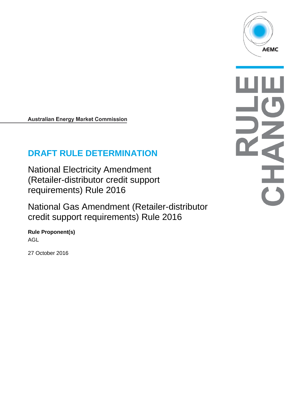

# **DRAFT RULE DETERMINATION**

National Electricity Amendment (Retailer-distributor credit support requirements) Rule 2016

National Gas Amendment (Retailer-distributor credit support requirements) Rule 2016

**Rule Proponent(s)** AGL

27 October 2016

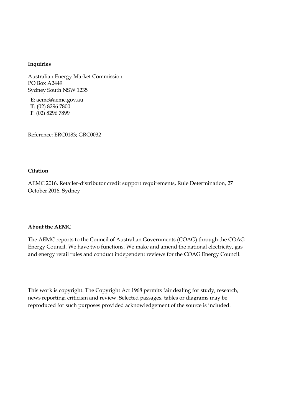#### **Inquiries**

Australian Energy Market Commission PO Box A2449 Sydney South NSW 1235

**E**: aemc@aemc.gov.au **T**: (02) 8296 7800 **F**: (02) 8296 7899

Reference: ERC0183; GRC0032

#### **Citation**

AEMC 2016, Retailer-distributor credit support requirements, Rule Determination, 27 October 2016, Sydney

#### **About the AEMC**

The AEMC reports to the Council of Australian Governments (COAG) through the COAG Energy Council. We have two functions. We make and amend the national electricity, gas and energy retail rules and conduct independent reviews for the COAG Energy Council.

This work is copyright. The Copyright Act 1968 permits fair dealing for study, research, news reporting, criticism and review. Selected passages, tables or diagrams may be reproduced for such purposes provided acknowledgement of the source is included.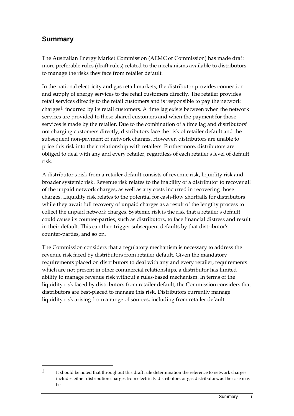# **Summary**

-

The Australian Energy Market Commission (AEMC or Commission) has made draft more preferable rules (draft rules) related to the mechanisms available to distributors to manage the risks they face from retailer default.

In the national electricity and gas retail markets, the distributor provides connection and supply of energy services to the retail customers directly. The retailer provides retail services directly to the retail customers and is responsible to pay the network charges<sup>[1](#page-2-0)</sup> incurred by its retail customers. A time lag exists between when the network services are provided to these shared customers and when the payment for those services is made by the retailer. Due to the combination of a time lag and distributors' not charging customers directly, distributors face the risk of retailer default and the subsequent non-payment of network charges. However, distributors are unable to price this risk into their relationship with retailers. Furthermore, distributors are obliged to deal with any and every retailer, regardless of each retailer's level of default risk.

A distributor's risk from a retailer default consists of revenue risk, liquidity risk and broader systemic risk. Revenue risk relates to the inability of a distributor to recover all of the unpaid network charges, as well as any costs incurred in recovering those charges. Liquidity risk relates to the potential for cash-flow shortfalls for distributors while they await full recovery of unpaid charges as a result of the lengthy process to collect the unpaid network charges. Systemic risk is the risk that a retailer's default could cause its counter-parties, such as distributors, to face financial distress and result in their default. This can then trigger subsequent defaults by that distributor's counter-parties, and so on.

The Commission considers that a regulatory mechanism is necessary to address the revenue risk faced by distributors from retailer default. Given the mandatory requirements placed on distributors to deal with any and every retailer, requirements which are not present in other commercial relationships, a distributor has limited ability to manage revenue risk without a rules-based mechanism. In terms of the liquidity risk faced by distributors from retailer default, the Commission considers that distributors are best-placed to manage this risk. Distributors currently manage liquidity risk arising from a range of sources, including from retailer default.

<span id="page-2-0"></span><sup>&</sup>lt;sup>1</sup> It should be noted that throughout this draft rule determination the reference to network charges includes either distribution charges from electricity distributors or gas distributors, as the case may be.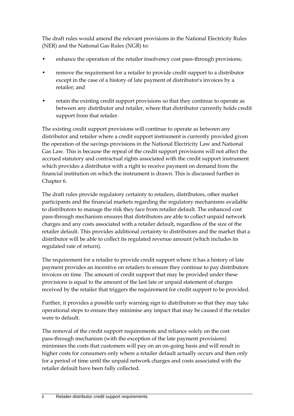The draft rules would amend the relevant provisions in the National Electricity Rules (NER) and the National Gas Rules (NGR) to:

- enhance the operation of the retailer insolvency cost pass-through provisions;
- remove the requirement for a retailer to provide credit support to a distributor except in the case of a history of late payment of distributor's invoices by a retailer; and
- retain the existing credit support provisions so that they continue to operate as between any distributor and retailer, where that distributor currently holds credit support from that retailer.

The existing credit support provisions will continue to operate as between any distributor and retailer where a credit support instrument is currently provided given the operation of the savings provisions in the National Electricity Law and National Gas Law. This is because the repeal of the credit support provisions will not affect the accrued statutory and contractual rights associated with the credit support instrument which provides a distributor with a right to receive payment on demand from the financial institution on which the instrument is drawn. This is discussed further in Chapter 6.

The draft rules provide regulatory certainty to retailers, distributors, other market participants and the financial markets regarding the regulatory mechanisms available to distributors to manage the risk they face from retailer default. The enhanced cost pass-through mechanism ensures that distributors are able to collect unpaid network charges and any costs associated with a retailer default, regardless of the size of the retailer default. This provides additional certainty to distributors and the market that a distributor will be able to collect its regulated revenue amount (which includes its regulated rate of return).

The requirement for a retailer to provide credit support where it has a history of late payment provides an incentive on retailers to ensure they continue to pay distributors invoices on time. The amount of credit support that may be provided under these provisions is equal to the amount of the last late or unpaid statement of charges received by the retailer that triggers the requirement for credit support to be provided.

Further, it provides a possible early warning sign to distributors so that they may take operational steps to ensure they minimise any impact that may be caused if the retailer were to default.

The removal of the credit support requirements and reliance solely on the cost pass-through mechanism (with the exception of the late payment provisions) minimises the costs that customers will pay on an on-going basis and will result in higher costs for consumers only where a retailer default actually occurs and then only for a period of time until the unpaid network charges and costs associated with the retailer default have been fully collected.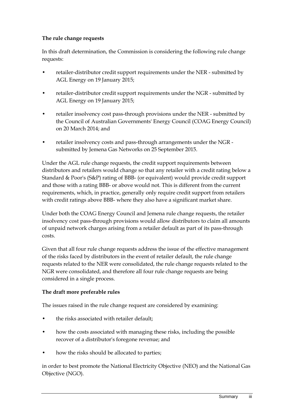#### **The rule change requests**

In this draft determination, the Commission is considering the following rule change requests:

- retailer-distributor credit support requirements under the NER submitted by AGL Energy on 19 January 2015;
- retailer-distributor credit support requirements under the NGR submitted by AGL Energy on 19 January 2015;
- retailer insolvency cost pass-through provisions under the NER submitted by the Council of Australian Governments' Energy Council (COAG Energy Council) on 20 March 2014; and
- retailer insolvency costs and pass-through arrangements under the NGR submitted by Jemena Gas Networks on 25 September 2015.

Under the AGL rule change requests, the credit support requirements between distributors and retailers would change so that any retailer with a credit rating below a Standard & Poor's (S&P) rating of BBB- (or equivalent) would provide credit support and those with a rating BBB- or above would not. This is different from the current requirements, which, in practice, generally only require credit support from retailers with credit ratings above BBB- where they also have a significant market share.

Under both the COAG Energy Council and Jemena rule change requests, the retailer insolvency cost pass-through provisions would allow distributors to claim all amounts of unpaid network charges arising from a retailer default as part of its pass-through costs.

Given that all four rule change requests address the issue of the effective management of the risks faced by distributors in the event of retailer default, the rule change requests related to the NER were consolidated, the rule change requests related to the NGR were consolidated, and therefore all four rule change requests are being considered in a single process.

#### **The draft more preferable rules**

The issues raised in the rule change request are considered by examining:

- the risks associated with retailer default;
- how the costs associated with managing these risks, including the possible recover of a distributor's foregone revenue; and
- how the risks should be allocated to parties;

in order to best promote the National Electricity Objective (NEO) and the National Gas Objective (NGO).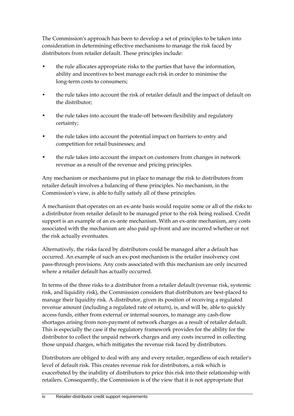The Commission's approach has been to develop a set of principles to be taken into consideration in determining effective mechanisms to manage the risk faced by distributors from retailer default. These principles include:

- the rule allocates appropriate risks to the parties that have the information, ability and incentives to best manage each risk in order to minimise the long-term costs to consumers;
- the rule takes into account the risk of retailer default and the impact of default on the distributor;
- the rule takes into account the trade-off between flexibility and regulatory certainty;
- the rule takes into account the potential impact on barriers to entry and competition for retail businesses; and
- the rule takes into account the impact on customers from changes in network revenue as a result of the revenue and pricing principles.

Any mechanism or mechanisms put in place to manage the risk to distributors from retailer default involves a balancing of these principles. No mechanism, in the Commission's view, is able to fully satisfy all of these principles.

A mechanism that operates on an ex-ante basis would require some or all of the risks to a distributor from retailer default to be managed prior to the risk being realised. Credit support is an example of an ex-ante mechanism. With an ex-ante mechanism, any costs associated with the mechanism are also paid up-front and are incurred whether or not the risk actually eventuates.

Alternatively, the risks faced by distributors could be managed after a default has occurred. An example of such an ex-post mechanism is the retailer insolvency cost pass-through provisions. Any costs associated with this mechanism are only incurred where a retailer default has actually occurred.

In terms of the three risks to a distributor from a retailer default (revenue risk, systemic risk, and liquidity risk), the Commission considers that distributors are best-placed to manage their liquidity risk. A distributor, given its position of receiving a regulated revenue amount (including a regulated rate of return), is, and will be, able to quickly access funds, either from external or internal sources, to manage any cash-flow shortages arising from non-payment of network charges as a result of retailer default. This is especially the case if the regulatory framework provides for the ability for the distributor to collect the unpaid network charges and any costs incurred in collecting those unpaid charges, which mitigates the revenue risk faced by distributors.

Distributors are obliged to deal with any and every retailer, regardless of each retailer's level of default risk. This creates revenue risk for distributors, a risk which is exacerbated by the inability of distributors to price this risk into their relationship with retailers. Consequently, the Commission is of the view that it is not appropriate that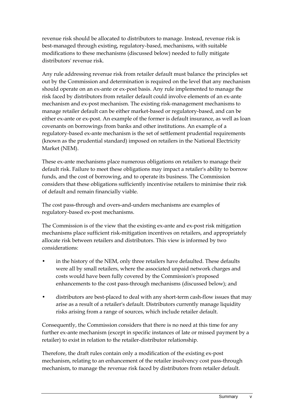revenue risk should be allocated to distributors to manage. Instead, revenue risk is best-managed through existing, regulatory-based, mechanisms, with suitable modifications to these mechanisms (discussed below) needed to fully mitigate distributors' revenue risk.

Any rule addressing revenue risk from retailer default must balance the principles set out by the Commission and determination is required on the level that any mechanism should operate on an ex-ante or ex-post basis. Any rule implemented to manage the risk faced by distributors from retailer default could involve elements of an ex-ante mechanism and ex-post mechanism. The existing risk-management mechanisms to manage retailer default can be either market-based or regulatory-based, and can be either ex-ante or ex-post. An example of the former is default insurance, as well as loan covenants on borrowings from banks and other institutions. An example of a regulatory-based ex-ante mechanism is the set of settlement prudential requirements (known as the prudential standard) imposed on retailers in the National Electricity Market (NEM).

These ex-ante mechanisms place numerous obligations on retailers to manage their default risk. Failure to meet these obligations may impact a retailer's ability to borrow funds, and the cost of borrowing, and to operate its business. The Commission considers that these obligations sufficiently incentivise retailers to minimise their risk of default and remain financially viable.

The cost pass-through and overs-and-unders mechanisms are examples of regulatory-based ex-post mechanisms.

The Commission is of the view that the existing ex-ante and ex-post risk mitigation mechanisms place sufficient risk-mitigation incentives on retailers, and appropriately allocate risk between retailers and distributors. This view is informed by two considerations:

- in the history of the NEM, only three retailers have defaulted. These defaults were all by small retailers, where the associated unpaid network charges and costs would have been fully covered by the Commission's proposed enhancements to the cost pass-through mechanisms (discussed below); and
- distributors are best-placed to deal with any short-term cash-flow issues that may arise as a result of a retailer's default. Distributors currently manage liquidity risks arising from a range of sources, which include retailer default.

Consequently, the Commission considers that there is no need at this time for any further ex-ante mechanism (except in specific instances of late or missed payment by a retailer) to exist in relation to the retailer-distributor relationship.

Therefore, the draft rules contain only a modification of the existing ex-post mechanism, relating to an enhancement of the retailer insolvency cost pass-through mechanism, to manage the revenue risk faced by distributors from retailer default.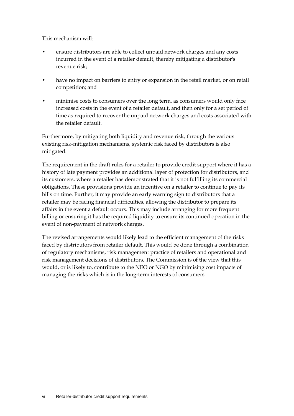This mechanism will:

- ensure distributors are able to collect unpaid network charges and any costs incurred in the event of a retailer default, thereby mitigating a distributor's revenue risk;
- have no impact on barriers to entry or expansion in the retail market, or on retail competition; and
- minimise costs to consumers over the long term, as consumers would only face increased costs in the event of a retailer default, and then only for a set period of time as required to recover the unpaid network charges and costs associated with the retailer default.

Furthermore, by mitigating both liquidity and revenue risk, through the various existing risk-mitigation mechanisms, systemic risk faced by distributors is also mitigated.

The requirement in the draft rules for a retailer to provide credit support where it has a history of late payment provides an additional layer of protection for distributors, and its customers, where a retailer has demonstrated that it is not fulfilling its commercial obligations. These provisions provide an incentive on a retailer to continue to pay its bills on time. Further, it may provide an early warning sign to distributors that a retailer may be facing financial difficulties, allowing the distributor to prepare its affairs in the event a default occurs. This may include arranging for more frequent billing or ensuring it has the required liquidity to ensure its continued operation in the event of non-payment of network charges.

The revised arrangements would likely lead to the efficient management of the risks faced by distributors from retailer default. This would be done through a combination of regulatory mechanisms, risk management practice of retailers and operational and risk management decisions of distributors. The Commission is of the view that this would, or is likely to, contribute to the NEO or NGO by minimising cost impacts of managing the risks which is in the long-term interests of consumers.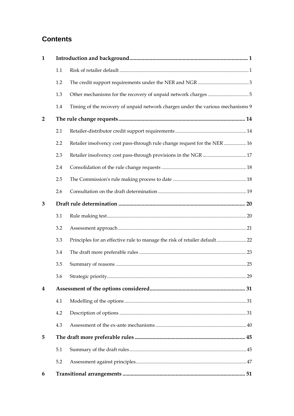# **Contents**

| $\mathbf{1}$   |     |                                                                                 |  |
|----------------|-----|---------------------------------------------------------------------------------|--|
|                | 1.1 |                                                                                 |  |
|                | 1.2 |                                                                                 |  |
|                | 1.3 |                                                                                 |  |
|                | 1.4 | Timing of the recovery of unpaid network charges under the various mechanisms 9 |  |
| $\overline{2}$ |     |                                                                                 |  |
|                | 2.1 |                                                                                 |  |
|                | 2.2 | Retailer insolvency cost pass-through rule change request for the NER  16       |  |
|                | 2.3 |                                                                                 |  |
|                | 2.4 |                                                                                 |  |
|                | 2.5 |                                                                                 |  |
|                | 2.6 |                                                                                 |  |
| 3              |     |                                                                                 |  |
|                | 3.1 |                                                                                 |  |
|                | 3.2 |                                                                                 |  |
|                | 3.3 | Principles for an effective rule to manage the risk of retailer default 22      |  |
|                | 3.4 |                                                                                 |  |
|                | 3.5 |                                                                                 |  |
|                | 3.6 |                                                                                 |  |
| 4              |     |                                                                                 |  |
|                | 4.1 |                                                                                 |  |
|                | 4.2 |                                                                                 |  |
|                | 4.3 |                                                                                 |  |
| 5              |     |                                                                                 |  |
|                | 5.1 |                                                                                 |  |
|                | 5.2 |                                                                                 |  |
| 6              |     |                                                                                 |  |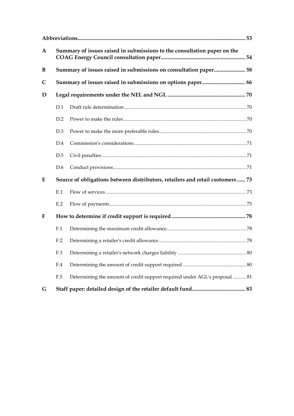| $\mathbf A$  |     | Summary of issues raised in submissions to the consultation paper on the      |  |  |  |  |
|--------------|-----|-------------------------------------------------------------------------------|--|--|--|--|
| B            |     | Summary of issues raised in submissions on consultation paper 58              |  |  |  |  |
| $\mathsf{C}$ |     |                                                                               |  |  |  |  |
| D            |     |                                                                               |  |  |  |  |
|              | D.1 |                                                                               |  |  |  |  |
|              | D.2 |                                                                               |  |  |  |  |
|              | D.3 |                                                                               |  |  |  |  |
|              | D.4 |                                                                               |  |  |  |  |
|              | D.5 |                                                                               |  |  |  |  |
|              | D.6 |                                                                               |  |  |  |  |
| E            |     | Source of obligations between distributors, retailers and retail customers 73 |  |  |  |  |
|              | E.1 |                                                                               |  |  |  |  |
|              | E.2 |                                                                               |  |  |  |  |
| F            |     |                                                                               |  |  |  |  |
|              | F.1 |                                                                               |  |  |  |  |
|              | F.2 |                                                                               |  |  |  |  |
|              | F.3 |                                                                               |  |  |  |  |
|              | F.4 |                                                                               |  |  |  |  |
|              | F.5 | Determining the amount of credit support required under AGL's proposal  81    |  |  |  |  |
| G            |     |                                                                               |  |  |  |  |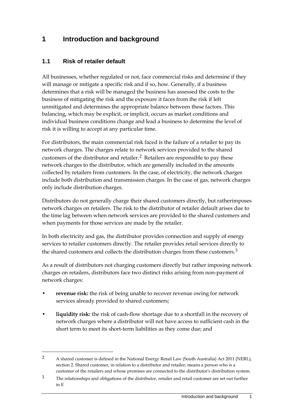# <span id="page-10-0"></span>**1 Introduction and background**

#### <span id="page-10-1"></span>**1.1 Risk of retailer default**

-

All businesses, whether regulated or not, face commercial risks and determine if they will manage or mitigate a specific risk and if so, how. Generally, if a business determines that a risk will be managed the business has assessed the costs to the business of mitigating the risk and the exposure it faces from the risk if left unmitigated and determines the appropriate balance between these factors. This balancing, which may be explicit, or implicit, occurs as market conditions and individual business conditions change and lead a business to determine the level of risk it is willing to accept at any particular time.

For distributors, the main commercial risk faced is the failure of a retailer to pay its network charges. The charges relate to network services provided to the shared customers of the distributor and retailer.[2](#page-10-2) Retailers are responsible to pay these network charges to the distributor, which are generally included in the amounts collected by retailers from customers. In the case, of electricity, the network charges include both distribution and transmission charges. In the case of gas, network charges only include distribution charges.

Distributors do not generally charge their shared customers directly, but ratherimposes network charges on retailers. The risk to the distributor of retailer default arises due to the time lag between when network services are provided to the shared customers and when payments for those services are made by the retailer.

In both electricity and gas, the distributor provides connection and supply of energy services to retailer customers directly. The retailer provides retail services directly to the shared customers and collects the distribution charges from these customers.<sup>[3](#page-10-3)</sup>

As a result of distributors not charging customers directly but rather imposing network charges on retailers, distributors face two distinct risks arising from non-payment of network charges:

- **revenue risk:** the risk of being unable to recover revenue owing for network services already provided to shared customers;
- **liquidity risk:** the risk of cash-flow shortage due to a shortfall in the recovery of network charges where a distributor will not have access to sufficient cash in the short term to meet its short-term liabilities as they come due; and

<span id="page-10-2"></span><sup>2</sup> A shared customer is defined in the National Energy Retail Law (South Australia) Act 2011 (NERL), section 2. Shared customer, in relation to a distributor and retailer, means a person who is a customer of the retailers and whose premises are connected to the distributor's distribution system.

<span id="page-10-3"></span><sup>&</sup>lt;sup>3</sup> The relationships and obligations of the distributor, retailer and retail customer are set out further in E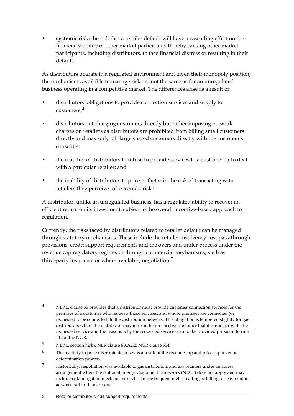• **systemic risk:** the risk that a retailer default will have a cascading effect on the financial viability of other market participants thereby causing other market participants, including distributors, to face financial distress or resulting in their default.

As distributors operate in a regulated environment and given their monopoly position, the mechanisms available to manage risk are not the same as for an unregulated business operating in a competitive market. The differences arise as a result of:

- distributors' obligations to provide connection services and supply to customers;[4](#page-11-0)
- distributors not charging customers directly but rather imposing network charges on retailers as distributors are prohibited from billing small customers directly and may only bill large shared customers directly with the customer's consent;[5](#page-11-1)
- the inability of distributors to refuse to provide services to a customer or to deal with a particular retailer; and
- the inability of distributors to price or factor in the risk of transacting with retailers they perceive to be a credit risk.<sup>[6](#page-11-2)</sup>

A distributor, unlike an unregulated business, has a regulated ability to recover an efficient return on its investment, subject to the overall incentive-based approach to regulation.

Currently, the risks faced by distributors related to retailer default can be managed through statutory mechanisms. These include the retailer insolvency cost pass-through provisions, credit support requirements and the overs and under process under the revenue cap regulatory regime, or through commercial mechanisms, such as third-party insurance or where available, negotiation.<sup>[7](#page-11-3)</sup>

<span id="page-11-0"></span><sup>-</sup>4 NERL, clause 66 provides that a distributor must provide customer connection services for the premises of a customer who requests those services, and whose premises are connected (or requested to be connected) to the distribution network. This obligation is tempered slightly for gas distributors where the distributor may inform the prospective customer that it cannot provide the requested service and the reasons why the requested services cannot be provided pursuant to rule 112 of the NGR.

<span id="page-11-1"></span><sup>5</sup> NERL, section 72(b); NER clause 6B.A2.2; NGR clause 504

<span id="page-11-2"></span><sup>6</sup> The inability to price discriminate arises as a result of the revenue cap and price cap revenue determination process.

<span id="page-11-3"></span><sup>7</sup> Historically, negotiation was available to gas distributors and gas retailers under an access arrangement where the National Energy Customer Framework (NECF) does not apply and may include risk mitigation mechanisms such as more frequent meter reading or billing, or payment in advance rather than arrears.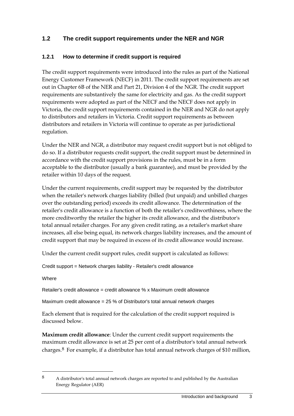#### <span id="page-12-0"></span>**1.2 The credit support requirements under the NER and NGR**

#### **1.2.1 How to determine if credit support is required**

The credit support requirements were introduced into the rules as part of the National Energy Customer Framework (NECF) in 2011. The credit support requirements are set out in Chapter 6B of the NER and Part 21, Division 4 of the NGR. The credit support requirements are substantively the same for electricity and gas. As the credit support requirements were adopted as part of the NECF and the NECF does not apply in Victoria, the credit support requirements contained in the NER and NGR do not apply to distributors and retailers in Victoria. Credit support requirements as between distributors and retailers in Victoria will continue to operate as per jurisdictional regulation.

Under the NER and NGR, a distributor may request credit support but is not obliged to do so. If a distributor requests credit support, the credit support must be determined in accordance with the credit support provisions in the rules, must be in a form acceptable to the distributor (usually a bank guarantee), and must be provided by the retailer within 10 days of the request.

Under the current requirements, credit support may be requested by the distributor when the retailer's network charges liability (billed (but unpaid) and unbilled charges over the outstanding period) exceeds its credit allowance. The determination of the retailer's credit allowance is a function of both the retailer's creditworthiness, where the more creditworthy the retailer the higher its credit allowance, and the distributor's total annual retailer charges. For any given credit rating, as a retailer's market share increases, all else being equal, its network charges liability increases, and the amount of credit support that may be required in excess of its credit allowance would increase.

Under the current credit support rules, credit support is calculated as follows:

Credit support = Network charges liability - Retailer's credit allowance

Where

-

Retailer's credit allowance = credit allowance % x Maximum credit allowance

Maximum credit allowance = 25 % of Distributor's total annual network charges

Each element that is required for the calculation of the credit support required is discussed below.

**Maximum credit allowance**: Under the current credit support requirements the maximum credit allowance is set at 25 per cent of a distributor's total annual network charges.[8](#page-12-1) For example, if a distributor has total annual network charges of \$10 million,

<span id="page-12-1"></span><sup>8</sup> A distributor's total annual network charges are reported to and published by the Australian Energy Regulator (AER)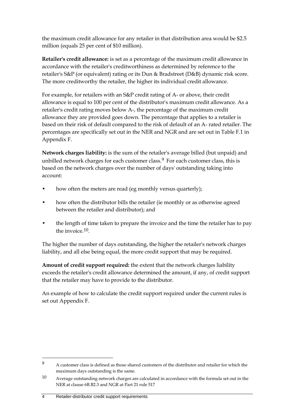the maximum credit allowance for any retailer in that distribution area would be \$2.5 million (equals 25 per cent of \$10 million).

**Retailer's credit allowance:** is set as a percentage of the maximum credit allowance in accordance with the retailer's creditworthiness as determined by reference to the retailer's S&P (or equivalent) rating or its Dun & Bradstreet (D&B) dynamic risk score. The more creditworthy the retailer, the higher its individual credit allowance.

For example, for retailers with an S&P credit rating of A- or above, their credit allowance is equal to 100 per cent of the distributor's maximum credit allowance. As a retailer's credit rating moves below A-, the percentage of the maximum credit allowance they are provided goes down. The percentage that applies to a retailer is based on their risk of default compared to the risk of default of an A- rated retailer. The percentages are specifically set out in the NER and NGR and are set out in Table F.1 in Appendix F.

**Network charges liability:** is the sum of the retailer's average billed (but unpaid) and unbilled network charges for each customer class.<sup>[9](#page-13-0)</sup> For each customer class, this is based on the network charges over the number of days' outstanding taking into account:

- how often the meters are read (eg monthly versus quarterly);
- how often the distributor bills the retailer (ie monthly or as otherwise agreed between the retailer and distributor); and
- the length of time taken to prepare the invoice and the time the retailer has to pay the invoice.[10.](#page-13-1)

The higher the number of days outstanding, the higher the retailer's network charges liability, and all else being equal, the more credit support that may be required.

**Amount of credit support required:** the extent that the network charges liability exceeds the retailer's credit allowance determined the amount, if any, of credit support that the retailer may have to provide to the distributor.

An example of how to calculate the credit support required under the current rules is set out Appendix F.

<span id="page-13-0"></span><sup>9</sup> A customer class is defined as those shared customers of the distributor and retailer for which the maximum days outstanding is the same.

<span id="page-13-1"></span><sup>10</sup> Average outstanding network charges are calculated in accordance with the formula set out in the NER at clause 6B.B2.3 and NGR at Part 21 rule 517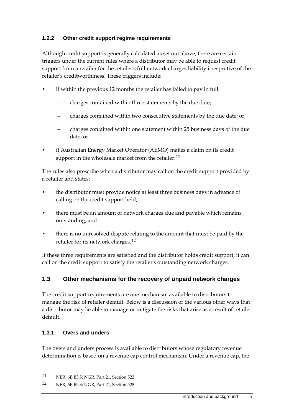#### **1.2.2 Other credit support regime requirements**

Although credit support is generally calculated as set out above, there are certain triggers under the current rules where a distributor may be able to request credit support from a retailer for the retailer's full network charges liability irrespective of the retailer's creditworthiness. These triggers include:

- if within the previous 12 months the retailer has failed to pay in full:
	- charges contained within three statements by the due date;
	- charges contained within two consecutive statements by the due date; or
	- charges contained within one statement within 25 business days of the due date; or.
- if Australian Energy Market Operator (AEMO) makes a claim on its credit support in the wholesale market from the retailer.<sup>[11](#page-14-1)</sup>

The rules also prescribe when a distributor may call on the credit support provided by a retailer and states:

- the distributor must provide notice at least three business days in advance of calling on the credit support held;
- there must be an amount of network charges due and payable which remains outstanding; and
- there is no unresolved dispute relating to the amount that must be paid by the retailer for its network charges.[12](#page-14-2)

If these three requirements are satisfied and the distributor holds credit support, it can call on the credit support to satisfy the retailer's outstanding network charges.

#### <span id="page-14-0"></span>**1.3 Other mechanisms for the recovery of unpaid network charges**

The credit support requirements are one mechanism available to distributors to manage the risk of retailer default. Below is a discussion of the various other ways that a distributor may be able to manage or mitigate the risks that arise as a result of retailer default.

#### **1.3.1 Overs and unders**

-

The overs and unders process is available to distributors whose regulatory revenue determination is based on a revenue cap control mechanism. Under a revenue cap, the

<span id="page-14-1"></span><sup>11</sup> NER, 6B.B3.5; NGR, Part 21, Section 522

<span id="page-14-2"></span><sup>12</sup> NER, 6B.B5.3; NGR, Part 21, Section 528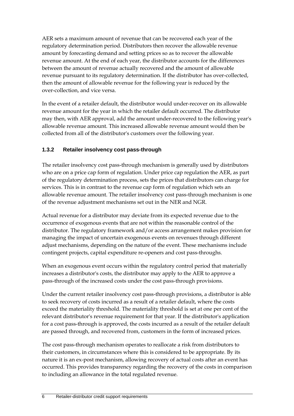AER sets a maximum amount of revenue that can be recovered each year of the regulatory determination period. Distributors then recover the allowable revenue amount by forecasting demand and setting prices so as to recover the allowable revenue amount. At the end of each year, the distributor accounts for the differences between the amount of revenue actually recovered and the amount of allowable revenue pursuant to its regulatory determination. If the distributor has over-collected, then the amount of allowable revenue for the following year is reduced by the over-collection, and vice versa.

In the event of a retailer default, the distributor would under-recover on its allowable revenue amount for the year in which the retailer default occurred. The distributor may then, with AER approval, add the amount under-recovered to the following year's allowable revenue amount. This increased allowable revenue amount would then be collected from all of the distributor's customers over the following year.

#### **1.3.2 Retailer insolvency cost pass-through**

The retailer insolvency cost pass-through mechanism is generally used by distributors who are on a price cap form of regulation. Under price cap regulation the AER, as part of the regulatory determination process, sets the prices that distributors can charge for services. This is in contrast to the revenue cap form of regulation which sets an allowable revenue amount. The retailer insolvency cost pass-through mechanism is one of the revenue adjustment mechanisms set out in the NER and NGR.

Actual revenue for a distributor may deviate from its expected revenue due to the occurrence of exogenous events that are not within the reasonable control of the distributor. The regulatory framework and/or access arrangement makes provision for managing the impact of uncertain exogenous events on revenues through different adjust mechanisms, depending on the nature of the event. These mechanisms include contingent projects, capital expenditure re-openers and cost pass-throughs.

When an exogenous event occurs within the regulatory control period that materially increases a distributor's costs, the distributor may apply to the AER to approve a pass-through of the increased costs under the cost pass-through provisions.

Under the current retailer insolvency cost pass-through provisions, a distributor is able to seek recovery of costs incurred as a result of a retailer default, where the costs exceed the materiality threshold. The materiality threshold is set at one per cent of the relevant distributor's revenue requirement for that year. If the distributor's application for a cost pass-through is approved, the costs incurred as a result of the retailer default are passed through, and recovered from, customers in the form of increased prices.

The cost pass-through mechanism operates to reallocate a risk from distributors to their customers, in circumstances where this is considered to be appropriate. By its nature it is an ex-post mechanism, allowing recovery of actual costs after an event has occurred. This provides transparency regarding the recovery of the costs in comparison to including an allowance in the total regulated revenue.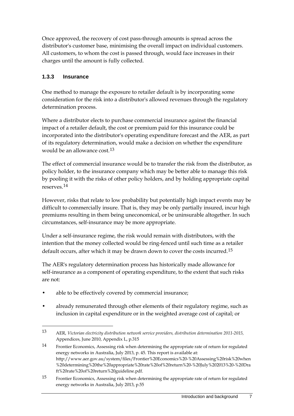Once approved, the recovery of cost pass-through amounts is spread across the distributor's customer base, minimising the overall impact on individual customers. All customers, to whom the cost is passed through, would face increases in their charges until the amount is fully collected.

#### **1.3.3 Insurance**

-

One method to manage the exposure to retailer default is by incorporating some consideration for the risk into a distributor's allowed revenues through the regulatory determination process.

Where a distributor elects to purchase commercial insurance against the financial impact of a retailer default, the cost or premium paid for this insurance could be incorporated into the distributor's operating expenditure forecast and the AER, as part of its regulatory determination, would make a decision on whether the expenditure would be an allowance cost.<sup>[13](#page-16-0)</sup>

The effect of commercial insurance would be to transfer the risk from the distributor, as policy holder, to the insurance company which may be better able to manage this risk by pooling it with the risks of other policy holders, and by holding appropriate capital reserves.[14](#page-16-1)

However, risks that relate to low probability but potentially high impact events may be difficult to commercially insure. That is, they may be only partially insured, incur high premiums resulting in them being uneconomical, or be uninsurable altogether. In such circumstances, self-insurance may be more appropriate.

Under a self-insurance regime, the risk would remain with distributors, with the intention that the money collected would be ring-fenced until such time as a retailer default occurs, after which it may be drawn down to cover the costs incurred.<sup>[15](#page-16-2)</sup>

The AER's regulatory determination process has historically made allowance for self-insurance as a component of operating expenditure, to the extent that such risks are not:

- able to be effectively covered by commercial insurance;
- already remunerated through other elements of their regulatory regime, such as inclusion in capital expenditure or in the weighted average cost of capital; or

<span id="page-16-0"></span><sup>13</sup> AER, *Victorian electricity distribution network service providers, distribution determination 2011-2015,* Appendices, June 2010, Appendix L, p.315

<span id="page-16-1"></span><sup>14</sup> Frontier Economics, Assessing risk when determining the appropriate rate of return for regulated energy networks in Australia, July 2013, p. 45. This report is available at: http://www.aer.gov.au/system/files/Frontier%20Economics%20-%20Assessing%20risk%20when %20determining%20the%20appropriate%20rate%20of%20return%20-%20July%202013%20-%20Dra ft%20rate%20of%20return%20guideline.pdf.

<span id="page-16-2"></span><sup>15</sup> Frontier Economics, Assessing risk when determining the appropriate rate of return for regulated energy networks in Australia, July 2013, p.55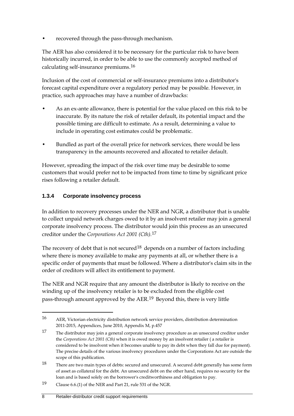• recovered through the pass-through mechanism.

The AER has also considered it to be necessary for the particular risk to have been historically incurred, in order to be able to use the commonly accepted method of calculating self-insurance premiums.[16](#page-17-0)

Inclusion of the cost of commercial or self-insurance premiums into a distributor's forecast capital expenditure over a regulatory period may be possible. However, in practice, such approaches may have a number of drawbacks:

- As an ex-ante allowance, there is potential for the value placed on this risk to be inaccurate. By its nature the risk of retailer default, its potential impact and the possible timing are difficult to estimate. As a result, determining a value to include in operating cost estimates could be problematic.
- Bundled as part of the overall price for network services, there would be less transparency in the amounts recovered and allocated to retailer default.

However, spreading the impact of the risk over time may be desirable to some customers that would prefer not to be impacted from time to time by significant price rises following a retailer default.

#### **1.3.4 Corporate insolvency process**

In addition to recovery processes under the NER and NGR, a distributor that is unable to collect unpaid network charges owed to it by an insolvent retailer may join a general corporate insolvency process. The distributor would join this process as an unsecured creditor under the *Corporations Act 2001 (Cth).*[17](#page-17-1)

The recovery of debt that is not secured<sup>[18](#page-17-2)</sup> depends on a number of factors including where there is money available to make any payments at all, or whether there is a specific order of payments that must be followed. Where a distributor's claim sits in the order of creditors will affect its entitlement to payment.

The NER and NGR require that any amount the distributor is likely to receive on the winding up of the insolvency retailer is to be excluded from the eligible cost pass-through amount approved by the AER.[19](#page-17-3) Beyond this, there is very little

<span id="page-17-3"></span>19 Clause 6.6.(1) of the NER and Part 21, rule 531 of the NGR.

<span id="page-17-0"></span><sup>16</sup> AER, Victorian electricity distribution network service providers, distribution determination 2011-2015, Appendices, June 2010, Appendix M, p.457

<span id="page-17-1"></span><sup>17</sup> The distributor may join a general corporate insolvency procedure as an unsecured creditor under the *Corporations Act 2001 (Cth)* when it is owed money by an insolvent retailer ( a retailer is considered to be insolvent when it becomes unable to pay its debt when they fall due for payment). The precise details of the various insolvency procedures under the Corporations Act are outside the scope of this publication.

<span id="page-17-2"></span><sup>18</sup> There are two main types of debts: secured and unsecured. A secured debt generally has some form of asset as collateral for the debt. An unsecured debt on the other hand, requires no security for the loan and is based solely on the borrower's creditworthiness and obligation to pay.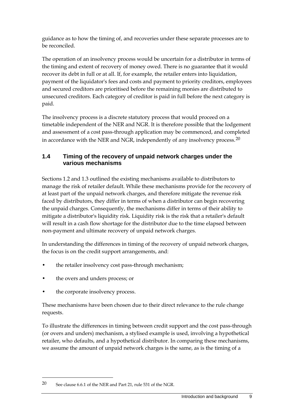guidance as to how the timing of, and recoveries under these separate processes are to be reconciled.

The operation of an insolvency process would be uncertain for a distributor in terms of the timing and extent of recovery of money owed. There is no guarantee that it would recover its debt in full or at all. If, for example, the retailer enters into liquidation, payment of the liquidator's fees and costs and payment to priority creditors, employees and secured creditors are prioritised before the remaining monies are distributed to unsecured creditors. Each category of creditor is paid in full before the next category is paid.

The insolvency process is a discrete statutory process that would proceed on a timetable independent of the NER and NGR. It is therefore possible that the lodgement and assessment of a cost pass-through application may be commenced, and completed in accordance with the NER and NGR, independently of any insolvency process.<sup>[20](#page-18-1)</sup>

#### <span id="page-18-0"></span>**1.4 Timing of the recovery of unpaid network charges under the various mechanisms**

Sections 1.2 and 1.3 outlined the existing mechanisms available to distributors to manage the risk of retailer default. While these mechanisms provide for the recovery of at least part of the unpaid network charges, and therefore mitigate the revenue risk faced by distributors, they differ in terms of when a distributor can begin recovering the unpaid charges. Consequently, the mechanisms differ in terms of their ability to mitigate a distributor's liquidity risk. Liquidity risk is the risk that a retailer's default will result in a cash flow shortage for the distributor due to the time elapsed between non-payment and ultimate recovery of unpaid network charges.

In understanding the differences in timing of the recovery of unpaid network charges, the focus is on the credit support arrangements, and:

- the retailer insolvency cost pass-through mechanism;
- the overs and unders process; or
- the corporate insolvency process.

-

These mechanisms have been chosen due to their direct relevance to the rule change requests.

To illustrate the differences in timing between credit support and the cost pass-through (or overs and unders) mechanism, a stylised example is used, involving a hypothetical retailer, who defaults, and a hypothetical distributor. In comparing these mechanisms, we assume the amount of unpaid network charges is the same, as is the timing of a

<span id="page-18-1"></span><sup>20</sup> See clause 6.6.1 of the NER and Part 21, rule 531 of the NGR.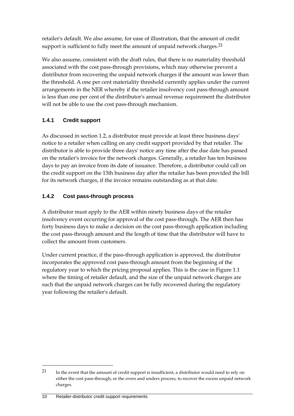retailer's default. We also assume, for ease of illustration, that the amount of credit support is sufficient to fully meet the amount of unpaid network charges.<sup>[21](#page-19-0)</sup>

We also assume, consistent with the draft rules, that there is no materiality threshold associated with the cost pass-through provisions, which may otherwise prevent a distributor from recovering the unpaid network charges if the amount was lower than the threshold. A one per cent materiality threshold currently applies under the current arrangements in the NER whereby if the retailer insolvency cost pass-through amount is less than one per cent of the distributor's annual revenue requirement the distributor will not be able to use the cost pass-through mechanism.

### **1.4.1 Credit support**

As discussed in section 1.2, a distributor must provide at least three business days' notice to a retailer when calling on any credit support provided by that retailer. The distributor is able to provide three days' notice any time after the due date has passed on the retailer's invoice for the network charges. Generally, a retailer has ten business days to pay an invoice from its date of issuance. Therefore, a distributor could call on the credit support on the 13th business day after the retailer has been provided the bill for its network charges, if the invoice remains outstanding as at that date.

#### **1.4.2 Cost pass-through process**

A distributor must apply to the AER within ninety business days of the retailer insolvency event occurring for approval of the cost pass-through. The AER then has forty business days to make a decision on the cost pass-through application including the cost pass-through amount and the length of time that the distributor will have to collect the amount from customers.

Under current practice, if the pass-through application is approved, the distributor incorporates the approved cost pass-through amount from the beginning of the regulatory year to which the pricing proposal applies. This is the case in Figure 1.1 where the timing of retailer default, and the size of the unpaid network charges are such that the unpaid network charges can be fully recovered during the regulatory year following the retailer's default.

<span id="page-19-0"></span><sup>21</sup> In the event that the amount of credit support is insufficient, a distributor would need to rely on either the cost pass-through, or the overs and unders process, to recover the excess unpaid network charges.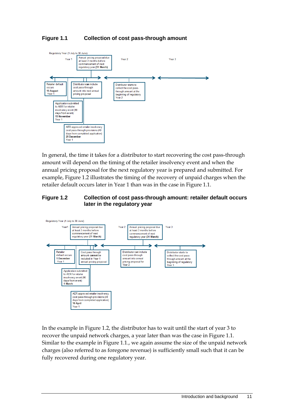#### **Figure 1.1 Collection of cost pass-through amount**



In general, the time it takes for a distributor to start recovering the cost pass-through amount will depend on the timing of the retailer insolvency event and when the annual pricing proposal for the next regulatory year is prepared and submitted. For example, Figure 1.2 illustrates the timing of the recovery of unpaid charges when the retailer default occurs later in Year 1 than was in the case in Figure 1.1.

#### **Figure 1.2 Collection of cost pass-through amount: retailer default occurs later in the regulatory year**



In the example in Figure 1.2, the distributor has to wait until the start of year 3 to recover the unpaid network charges, a year later than was the case in Figure 1.1. Similar to the example in Figure 1.1., we again assume the size of the unpaid network charges (also referred to as foregone revenue) is sufficiently small such that it can be fully recovered during one regulatory year.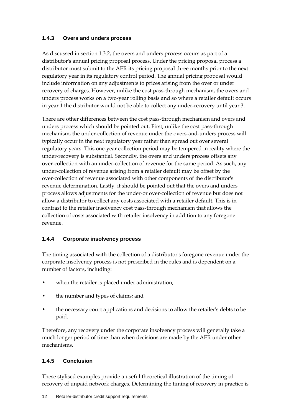#### **1.4.3 Overs and unders process**

As discussed in section 1.3.2, the overs and unders process occurs as part of a distributor's annual pricing proposal process. Under the pricing proposal process a distributor must submit to the AER its pricing proposal three months prior to the next regulatory year in its regulatory control period. The annual pricing proposal would include information on any adjustments to prices arising from the over or under recovery of charges. However, unlike the cost pass-through mechanism, the overs and unders process works on a two-year rolling basis and so where a retailer default occurs in year 1 the distributor would not be able to collect any under-recovery until year 3.

There are other differences between the cost pass-through mechanism and overs and unders process which should be pointed out. First, unlike the cost pass-through mechanism, the under-collection of revenue under the overs-and-unders process will typically occur in the next regulatory year rather than spread out over several regulatory years. This one-year collection period may be tempered in reality where the under-recovery is substantial. Secondly, the overs and unders process offsets any over-collection with an under-collection of revenue for the same period. As such, any under-collection of revenue arising from a retailer default may be offset by the over-collection of revenue associated with other components of the distributor's revenue determination. Lastly, it should be pointed out that the overs and unders process allows adjustments for the under-or over-collection of revenue but does not allow a distributor to collect any costs associated with a retailer default. This is in contrast to the retailer insolvency cost pass-through mechanism that allows the collection of costs associated with retailer insolvency in addition to any foregone revenue.

#### **1.4.4 Corporate insolvency process**

The timing associated with the collection of a distributor's foregone revenue under the corporate insolvency process is not prescribed in the rules and is dependent on a number of factors, including:

- when the retailer is placed under administration;
- the number and types of claims; and
- the necessary court applications and decisions to allow the retailer's debts to be paid.

Therefore, any recovery under the corporate insolvency process will generally take a much longer period of time than when decisions are made by the AER under other mechanisms.

#### **1.4.5 Conclusion**

These stylised examples provide a useful theoretical illustration of the timing of recovery of unpaid network charges. Determining the timing of recovery in practice is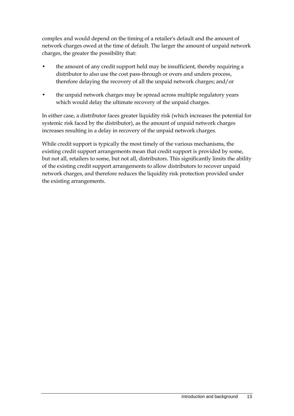complex and would depend on the timing of a retailer's default and the amount of network charges owed at the time of default. The larger the amount of unpaid network charges, the greater the possibility that:

- the amount of any credit support held may be insufficient, thereby requiring a distributor to also use the cost pass-through or overs and unders process, therefore delaying the recovery of all the unpaid network charges; and/or
- the unpaid network charges may be spread across multiple regulatory years which would delay the ultimate recovery of the unpaid charges.

In either case, a distributor faces greater liquidity risk (which increases the potential for systemic risk faced by the distributor), as the amount of unpaid network charges increases resulting in a delay in recovery of the unpaid network charges.

While credit support is typically the most timely of the various mechanisms, the existing credit support arrangements mean that credit support is provided by some, but not all, retailers to some, but not all, distributors. This significantly limits the ability of the existing credit support arrangements to allow distributors to recover unpaid network charges, and therefore reduces the liquidity risk protection provided under the existing arrangements.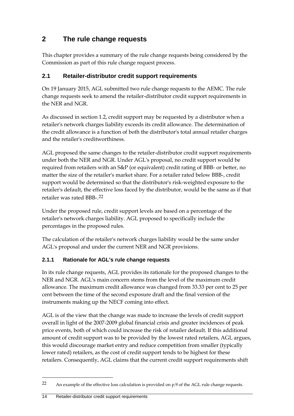# <span id="page-23-0"></span>**2 The rule change requests**

This chapter provides a summary of the rule change requests being considered by the Commission as part of this rule change request process.

#### <span id="page-23-1"></span>**2.1 Retailer-distributor credit support requirements**

On 19 January 2015, AGL submitted two rule change requests to the AEMC. The rule change requests seek to amend the retailer-distributor credit support requirements in the NER and NGR.

As discussed in section 1.2, credit support may be requested by a distributor when a retailer's network charges liability exceeds its credit allowance. The determination of the credit allowance is a function of both the distributor's total annual retailer charges and the retailer's creditworthiness.

AGL proposed the same changes to the retailer-distributor credit support requirements under both the NER and NGR. Under AGL's proposal, no credit support would be required from retailers with an S&P (or equivalent) credit rating of BBB- or better, no matter the size of the retailer's market share. For a retailer rated below BBB-, credit support would be determined so that the distributor's risk-weighted exposure to the retailer's default, the effective loss faced by the distributor, would be the same as if that retailer was rated BBB-.[22](#page-23-2)

Under the proposed rule, credit support levels are based on a percentage of the retailer's network charges liability. AGL proposed to specifically include the percentages in the proposed rules.

The calculation of the retailer's network charges liability would be the same under AGL's proposal and under the current NER and NGR provisions.

#### **2.1.1 Rationale for AGL's rule change requests**

In its rule change requests, AGL provides its rationale for the proposed changes to the NER and NGR. AGL's main concern stems from the level of the maximum credit allowance. The maximum credit allowance was changed from 33.33 per cent to 25 per cent between the time of the second exposure draft and the final version of the instruments making up the NECF coming into effect.

AGL is of the view that the change was made to increase the levels of credit support overall in light of the 2007-2009 global financial crisis and greater incidences of peak price events, both of which could increase the risk of retailer default. If this additional amount of credit support was to be provided by the lowest rated retailers, AGL argues, this would discourage market entry and reduce competition from smaller (typically lower rated) retailers, as the cost of credit support tends to be highest for these retailers. Consequently, AGL claims that the current credit support requirements shift

<span id="page-23-2"></span><sup>22</sup> An example of the effective loss calculation is provided on p.9 of the AGL rule change requests.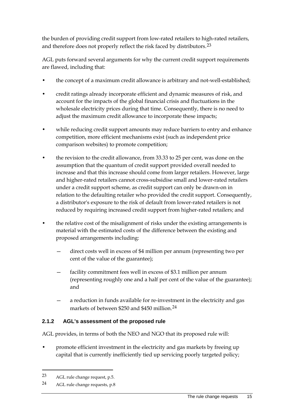the burden of providing credit support from low-rated retailers to high-rated retailers, and therefore does not properly reflect the risk faced by distributors.<sup>[23](#page-24-0)</sup>

AGL puts forward several arguments for why the current credit support requirements are flawed, including that:

- the concept of a maximum credit allowance is arbitrary and not-well-established;
- credit ratings already incorporate efficient and dynamic measures of risk, and account for the impacts of the global financial crisis and fluctuations in the wholesale electricity prices during that time. Consequently, there is no need to adjust the maximum credit allowance to incorporate these impacts;
- while reducing credit support amounts may reduce barriers to entry and enhance competition, more efficient mechanisms exist (such as independent price comparison websites) to promote competition;
- the revision to the credit allowance, from 33.33 to 25 per cent, was done on the assumption that the quantum of credit support provided overall needed to increase and that this increase should come from larger retailers. However, large and higher-rated retailers cannot cross-subsidise small and lower-rated retailers under a credit support scheme, as credit support can only be drawn-on in relation to the defaulting retailer who provided the credit support. Consequently, a distributor's exposure to the risk of default from lower-rated retailers is not reduced by requiring increased credit support from higher-rated retailers; and
- the relative cost of the misalignment of risks under the existing arrangements is material with the estimated costs of the difference between the existing and proposed arrangements including:
	- direct costs well in excess of \$4 million per annum (representing two per cent of the value of the guarantee);
	- facility commitment fees well in excess of \$3.1 million per annum (representing roughly one and a half per cent of the value of the guarantee); and
	- a reduction in funds available for re-investment in the electricity and gas markets of between \$250 and \$450 million.<sup>[24](#page-24-1)</sup>

#### **2.1.2 AGL's assessment of the proposed rule**

AGL provides, in terms of both the NEO and NGO that its proposed rule will:

• promote efficient investment in the electricity and gas markets by freeing up capital that is currently inefficiently tied up servicing poorly targeted policy;

<span id="page-24-0"></span><sup>23</sup> AGL rule change request, p.5.

<span id="page-24-1"></span><sup>24</sup> AGL rule change requests, p.8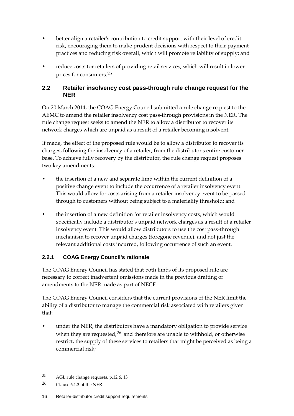- better align a retailer's contribution to credit support with their level of credit risk, encouraging them to make prudent decisions with respect to their payment practices and reducing risk overall, which will promote reliability of supply; and
- reduce costs tor retailers of providing retail services, which will result in lower prices for consumers.[25](#page-25-1)

#### <span id="page-25-0"></span>**2.2 Retailer insolvency cost pass-through rule change request for the NER**

On 20 March 2014, the COAG Energy Council submitted a rule change request to the AEMC to amend the retailer insolvency cost pass-through provisions in the NER. The rule change request seeks to amend the NER to allow a distributor to recover its network charges which are unpaid as a result of a retailer becoming insolvent.

If made, the effect of the proposed rule would be to allow a distributor to recover its charges, following the insolvency of a retailer, from the distributor's entire customer base. To achieve fully recovery by the distributor, the rule change request proposes two key amendments:

- the insertion of a new and separate limb within the current definition of a positive change event to include the occurrence of a retailer insolvency event. This would allow for costs arising from a retailer insolvency event to be passed through to customers without being subject to a materiality threshold; and
- the insertion of a new definition for retailer insolvency costs, which would specifically include a distributor's unpaid network charges as a result of a retailer insolvency event. This would allow distributors to use the cost pass-through mechanism to recover unpaid charges (foregone revenue), and not just the relevant additional costs incurred, following occurrence of such an event.

#### **2.2.1 COAG Energy Council's rationale**

The COAG Energy Council has stated that both limbs of its proposed rule are necessary to correct inadvertent omissions made in the previous drafting of amendments to the NER made as part of NECF.

The COAG Energy Council considers that the current provisions of the NER limit the ability of a distributor to manage the commercial risk associated with retailers given that:

• under the NER, the distributors have a mandatory obligation to provide service when they are requested,  $26$  and therefore are unable to withhold, or otherwise restrict, the supply of these services to retailers that might be perceived as being a commercial risk;

<span id="page-25-1"></span><sup>25</sup> AGL rule change requests, p.12 & 13

<span id="page-25-2"></span><sup>26</sup> Clause 6.1.3 of the NER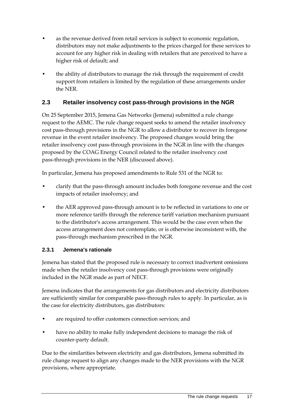- as the revenue derived from retail services is subject to economic regulation, distributors may not make adjustments to the prices charged for these services to account for any higher risk in dealing with retailers that are perceived to have a higher risk of default; and
- the ability of distributors to manage the risk through the requirement of credit support from retailers is limited by the regulation of these arrangements under the NER.

#### <span id="page-26-0"></span>**2.3 Retailer insolvency cost pass-through provisions in the NGR**

On 25 September 2015, Jemena Gas Networks (Jemena) submitted a rule change request to the AEMC. The rule change request seeks to amend the retailer insolvency cost pass-through provisions in the NGR to allow a distributor to recover its foregone revenue in the event retailer insolvency. The proposed changes would bring the retailer insolvency cost pass-through provisions in the NGR in line with the changes proposed by the COAG Energy Council related to the retailer insolvency cost pass-through provisions in the NER (discussed above).

In particular, Jemena has proposed amendments to Rule 531 of the NGR to:

- clarify that the pass-through amount includes both foregone revenue and the cost impacts of retailer insolvency; and
- the AER approved pass-through amount is to be reflected in variations to one or more reference tariffs through the reference tariff variation mechanism pursuant to the distributor's access arrangement. This would be the case even when the access arrangement does not contemplate, or is otherwise inconsistent with, the pass-through mechanism prescribed in the NGR.

#### **2.3.1 Jemena's rationale**

Jemena has stated that the proposed rule is necessary to correct inadvertent omissions made when the retailer insolvency cost pass-through provisions were originally included in the NGR made as part of NECF.

Jemena indicates that the arrangements for gas distributors and electricity distributors are sufficiently similar for comparable pass-through rules to apply. In particular, as is the case for electricity distributors, gas distributors:

- are required to offer customers connection services; and
- have no ability to make fully independent decisions to manage the risk of counter-party default.

Due to the similarities between electricity and gas distributors, Jemena submitted its rule change request to align any changes made to the NER provisions with the NGR provisions, where appropriate.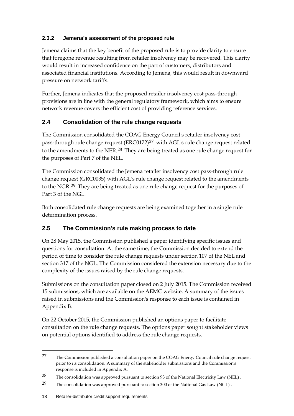#### **2.3.2 Jemena's assessment of the proposed rule**

Jemena claims that the key benefit of the proposed rule is to provide clarity to ensure that foregone revenue resulting from retailer insolvency may be recovered. This clarity would result in increased confidence on the part of customers, distributors and associated financial institutions. According to Jemena, this would result in downward pressure on network tariffs.

Further, Jemena indicates that the proposed retailer insolvency cost pass-through provisions are in line with the general regulatory framework, which aims to ensure network revenue covers the efficient cost of providing reference services.

### <span id="page-27-0"></span>**2.4 Consolidation of the rule change requests**

The Commission consolidated the COAG Energy Council's retailer insolvency cost pass-through rule change request  $(ERC0172)^{27}$  $(ERC0172)^{27}$  $(ERC0172)^{27}$  with AGL's rule change request related to the amendments to the NER.<sup>[28](#page-27-3)</sup> They are being treated as one rule change request for the purposes of Part 7 of the NEL.

The Commission consolidated the Jemena retailer insolvency cost pass-through rule change request (GRC0035) with AGL's rule change request related to the amendments to the NGR.[29](#page-27-4) They are being treated as one rule change request for the purposes of Part 3 of the NGL.

Both consolidated rule change requests are being examined together in a single rule determination process.

### <span id="page-27-1"></span>**2.5 The Commission's rule making process to date**

On 28 May 2015, the Commission published a paper identifying specific issues and questions for consultation. At the same time, the Commission decided to extend the period of time to consider the rule change requests under section 107 of the NEL and section 317 of the NGL. The Commission considered the extension necessary due to the complexity of the issues raised by the rule change requests.

Submissions on the consultation paper closed on 2 July 2015. The Commission received 15 submissions, which are available on the AEMC website. A summary of the issues raised in submissions and the Commission's response to each issue is contained in Appendix B.

On 22 October 2015, the Commission published an options paper to facilitate consultation on the rule change requests. The options paper sought stakeholder views on potential options identified to address the rule change requests.

<span id="page-27-2"></span><sup>&</sup>lt;sup>27</sup> The Commission published a consultation paper on the COAG Energy Council rule change request prior to its consolidation. A summary of the stakeholder submissions and the Commission's response is included in Appendix A.

<span id="page-27-3"></span><sup>28</sup> The consolidation was approved pursuant to section 93 of the National Electricity Law (NEL).

<span id="page-27-4"></span><sup>29</sup> The consolidation was approved pursuant to section 300 of the National Gas Law (NGL).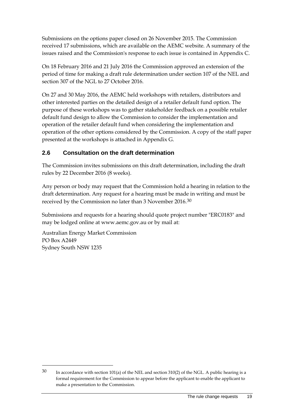Submissions on the options paper closed on 26 November 2015. The Commission received 17 submissions, which are available on the AEMC website. A summary of the issues raised and the Commission's response to each issue is contained in Appendix C.

On 18 February 2016 and 21 July 2016 the Commission approved an extension of the period of time for making a draft rule determination under section 107 of the NEL and section 307 of the NGL to 27 October 2016.

On 27 and 30 May 2016, the AEMC held workshops with retailers, distributors and other interested parties on the detailed design of a retailer default fund option. The purpose of these workshops was to gather stakeholder feedback on a possible retailer default fund design to allow the Commission to consider the implementation and operation of the retailer default fund when considering the implementation and operation of the other options considered by the Commission. A copy of the staff paper presented at the workshops is attached in Appendix G.

### <span id="page-28-0"></span>**2.6 Consultation on the draft determination**

The Commission invites submissions on this draft determination, including the draft rules by 22 December 2016 (8 weeks).

Any person or body may request that the Commission hold a hearing in relation to the draft determination. Any request for a hearing must be made in writing and must be received by the Commission no later than 3 November 2016.[30](#page-28-1)

Submissions and requests for a hearing should quote project number "ERC0183" and may be lodged online at www.aemc.gov.au or by mail at:

Australian Energy Market Commission PO Box A2449 Sydney South NSW 1235

<span id="page-28-1"></span><sup>30</sup> In accordance with section 101(a) of the NEL and section 310(2) of the NGL. A public hearing is a formal requirement for the Commission to appear before the applicant to enable the applicant to make a presentation to the Commission.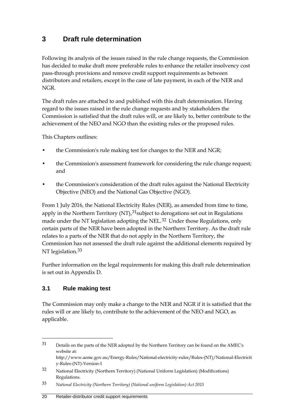# <span id="page-29-0"></span>**3 Draft rule determination**

Following its analysis of the issues raised in the rule change requests, the Commission has decided to make draft more preferable rules to enhance the retailer insolvency cost pass-through provisions and remove credit support requirements as between distributors and retailers, except in the case of late payment, in each of the NER and NGR.

The draft rules are attached to and published with this draft determination. Having regard to the issues raised in the rule change requests and by stakeholders the Commission is satisfied that the draft rules will, or are likely to, better contribute to the achievement of the NEO and NGO than the existing rules or the proposed rules.

This Chapters outlines:

- the Commission's rule making test for changes to the NER and NGR;
- the Commission's assessment framework for considering the rule change request; and
- the Commission's consideration of the draft rules against the National Electricity Objective (NEO) and the National Gas Objective (NGO).

From 1 July 2016, the National Electricity Rules (NER), as amended from time to time, apply in the Northern Territory  $(NT)$ ,  $31$ subject to derogations set out in Regulations made under the NT legislation adopting the NEL.<sup>[32](#page-29-3)</sup> Under those Regulations, only certain parts of the NER have been adopted in the Northern Territory. As the draft rule relates to a parts of the NER that do not apply in the Northern Territory, the Commission has not assessed the draft rule against the additional elements required by NT legislation.<sup>[33](#page-29-4)</sup>

Further information on the legal requirements for making this draft rule determination is set out in Appendix D.

#### <span id="page-29-1"></span>**3.1 Rule making test**

-

The Commission may only make a change to the NER and NGR if it is satisfied that the rules will or are likely to, contribute to the achievement of the NEO and NGO, as applicable.

<span id="page-29-2"></span><sup>31</sup> Details on the parts of the NER adopted by the Northern Territory can be found on the AMEC's website at: http://www.aemc.gov.au/Energy-Rules/National-electricity-rules/Rules-(NT)/National-Electricit y-Rules-(NT)-Version-1

<span id="page-29-3"></span><sup>32</sup> National Electricity (Northern Territory) (National Uniform Legislation) (Modifications) Regulations.

<span id="page-29-4"></span><sup>33</sup> *National Electricity (Northern Territory) (National uniform Legislation) Act 2015*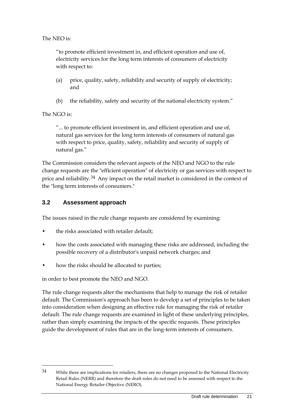The NEO is:

"to promote efficient investment in, and efficient operation and use of, electricity services for the long term interests of consumers of electricity with respect to:

- (a) price, quality, safety, reliability and security of supply of electricity; and
- (b) the reliability, safety and security of the national electricity system."

The NGO is:

-

"... to promote efficient investment in, and efficient operation and use of, natural gas services for the long term interests of consumers of natural gas with respect to price, quality, safety, reliability and security of supply of natural gas."

The Commission considers the relevant aspects of the NEO and NGO to the rule change requests are the "efficient operation" of electricity or gas services with respect to price and reliability.<sup>[34](#page-30-1)</sup> Any impact on the retail market is considered in the context of the "long term interests of consumers."

#### <span id="page-30-0"></span>**3.2 Assessment approach**

The issues raised in the rule change requests are considered by examining:

- the risks associated with retailer default;
- how the costs associated with managing these risks are addressed, including the possible recovery of a distributor's unpaid network charges; and
- how the risks should be allocated to parties;

in order to best promote the NEO and NGO.

The rule change requests alter the mechanisms that help to manage the risk of retailer default. The Commission's approach has been to develop a set of principles to be taken into consideration when designing an effective rule for managing the risk of retailer default. The rule change requests are examined in light of these underlying principles, rather than simply examining the impacts of the specific requests. These principles guide the development of rules that are in the long-term interests of consumers.

<span id="page-30-1"></span><sup>&</sup>lt;sup>34</sup> While there are implications for retailers, there are no changes proposed to the National Electricity Retail Rules (NERR) and therefore the draft rules do not need to be assessed with respect to the National Energy Retailer Objective (NERO).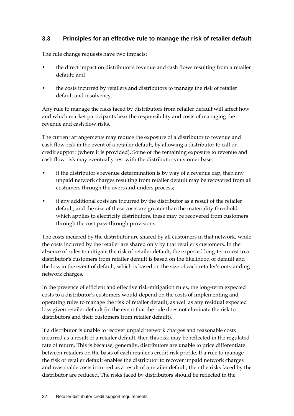#### <span id="page-31-0"></span>**3.3 Principles for an effective rule to manage the risk of retailer default**

The rule change requests have two impacts:

- the direct impact on distributor's revenue and cash flows resulting from a retailer default; and
- the costs incurred by retailers and distributors to manage the risk of retailer default and insolvency.

Any rule to manage the risks faced by distributors from retailer default will affect how and which market participants bear the responsibility and costs of managing the revenue and cash flow risks.

The current arrangements may reduce the exposure of a distributor to revenue and cash flow risk in the event of a retailer default, by allowing a distributor to call on credit support (where it is provided). Some of the remaining exposure to revenue and cash flow risk may eventually rest with the distributor's customer base:

- if the distributor's revenue determination is by way of a revenue cap, then any unpaid network charges resulting from retailer default may be recovered from all customers through the overs and unders process;
- if any additional costs are incurred by the distributor as a result of the retailer default, and the size of these costs are greater than the materiality threshold which applies to electricity distributors, these may be recovered from customers through the cost pass-through provisions.

The costs incurred by the distributor are shared by all customers in that network, while the costs incurred by the retailer are shared only by that retailer's customers. In the absence of rules to mitigate the risk of retailer default, the expected long-term cost to a distributor's customers from retailer default is based on the likelihood of default and the loss in the event of default, which is based on the size of each retailer's outstanding network charges.

In the presence of efficient and effective risk-mitigation rules, the long-term expected costs to a distributor's customers would depend on the costs of implementing and operating rules to manage the risk of retailer default, as well as any residual expected loss given retailer default (in the event that the rule does not eliminate the risk to distributors and their customers from retailer default).

If a distributor is unable to recover unpaid network charges and reasonable costs incurred as a result of a retailer default, then this risk may be reflected in the regulated rate of return. This is because, generally, distributors are unable to price differentiate between retailers on the basis of each retailer's credit risk profile. If a rule to manage the risk of retailer default enables the distributor to recover unpaid network charges and reasonable costs incurred as a result of a retailer default, then the risks faced by the distributor are reduced. The risks faced by distributors should be reflected in the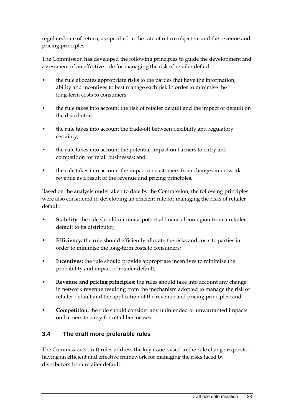regulated rate of return, as specified in the rate of return objective and the revenue and pricing principles.

The Commission has developed the following principles to guide the development and assessment of an effective rule for managing the risk of retailer default:

- the rule allocates appropriate risks to the parties that have the information, ability and incentives to best manage each risk in order to minimise the long-term costs to consumers;
- the rule takes into account the risk of retailer default and the impact of default on the distributor;
- the rule takes into account the trade-off between flexibility and regulatory certainty;
- the rule takes into account the potential impact on barriers to entry and competition for retail businesses; and
- the rule takes into account the impact on customers from changes in network revenue as a result of the revenue and pricing principles.

Based on the analysis undertaken to date by the Commission, the following principles were also considered in developing an efficient rule for managing the risks of retailer default:

- **Stability:** the rule should minimise potential financial contagion from a retailer default to its distributor;
- **Efficiency:** the rule should efficiently allocate the risks and costs to parties in order to minimise the long-term costs to consumers;
- **Incentives:** the rule should provide appropriate incentives to minimise the probability and impact of retailer default;
- **Revenue and pricing principles:** the rules should take into account any change in network revenue resulting from the mechanism adopted to manage the risk of retailer default and the application of the revenue and pricing principles; and
- **Competition:** the rule should consider any unintended or unwarranted impacts on barriers to entry for retail businesses.

### <span id="page-32-0"></span>**3.4 The draft more preferable rules**

The Commission's draft rules address the key issue raised in the rule change requests having an efficient and effective framework for managing the risks faced by distributors from retailer default.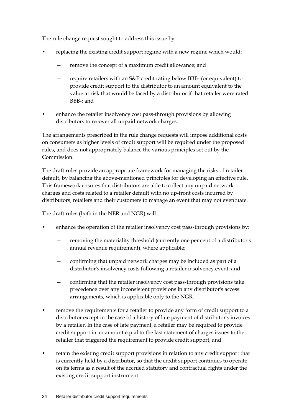The rule change request sought to address this issue by:

- replacing the existing credit support regime with a new regime which would:
	- remove the concept of a maximum credit allowance; and
	- require retailers with an S&P credit rating below BBB- (or equivalent) to provide credit support to the distributor to an amount equivalent to the value at risk that would be faced by a distributor if that retailer were rated BBB-; and
- enhance the retailer insolvency cost pass-through provisions by allowing distributors to recover all unpaid network charges.

The arrangements prescribed in the rule change requests will impose additional costs on consumers as higher levels of credit support will be required under the proposed rules, and does not appropriately balance the various principles set out by the Commission.

The draft rules provide an appropriate framework for managing the risks of retailer default, by balancing the above-mentioned principles for developing an effective rule. This framework ensures that distributors are able to collect any unpaid network charges and costs related to a retailer default with no up-front costs incurred by distributors, retailers and their customers to manage an event that may not eventuate.

The draft rules (both in the NER and NGR) will:

- enhance the operation of the retailer insolvency cost pass-through provisions by:
	- removing the materiality threshold (currently one per cent of a distributor's annual revenue requirement), where applicable;
	- confirming that unpaid network charges may be included as part of a distributor's insolvency costs following a retailer insolvency event; and
	- confirming that the retailer insolvency cost pass-through provisions take precedence over any inconsistent provisions in any distributor's access arrangements, which is applicable only to the NGR.
- remove the requirements for a retailer to provide any form of credit support to a distributor except in the case of a history of late payment of distributor's invoices by a retailer. In the case of late payment, a retailer may be required to provide credit support in an amount equal to the last statement of charges issues to the retailer that triggered the requirement to provide credit support; and
- retain the existing credit support provisions in relation to any credit support that is currently held by a distributor, so that the credit support continues to operate on its terms as a result of the accrued statutory and contractual rights under the existing credit support instrument.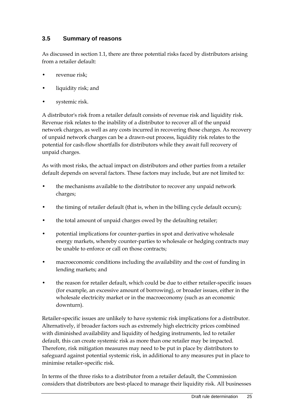#### <span id="page-34-0"></span>**3.5 Summary of reasons**

As discussed in section 1.1, there are three potential risks faced by distributors arising from a retailer default:

- revenue risk;
- liquidity risk; and
- systemic risk.

A distributor's risk from a retailer default consists of revenue risk and liquidity risk. Revenue risk relates to the inability of a distributor to recover all of the unpaid network charges, as well as any costs incurred in recovering those charges. As recovery of unpaid network charges can be a drawn-out process, liquidity risk relates to the potential for cash-flow shortfalls for distributors while they await full recovery of unpaid charges.

As with most risks, the actual impact on distributors and other parties from a retailer default depends on several factors. These factors may include, but are not limited to:

- the mechanisms available to the distributor to recover any unpaid network charges;
- the timing of retailer default (that is, when in the billing cycle default occurs);
- the total amount of unpaid charges owed by the defaulting retailer;
- potential implications for counter-parties in spot and derivative wholesale energy markets, whereby counter-parties to wholesale or hedging contracts may be unable to enforce or call on those contracts;
- macroeconomic conditions including the availability and the cost of funding in lending markets; and
- the reason for retailer default, which could be due to either retailer-specific issues (for example, an excessive amount of borrowing), or broader issues, either in the wholesale electricity market or in the macroeconomy (such as an economic downturn).

Retailer-specific issues are unlikely to have systemic risk implications for a distributor. Alternatively, if broader factors such as extremely high electricity prices combined with diminished availability and liquidity of hedging instruments, led to retailer default, this can create systemic risk as more than one retailer may be impacted. Therefore, risk mitigation measures may need to be put in place by distributors to safeguard against potential systemic risk, in additional to any measures put in place to minimise retailer-specific risk.

In terms of the three risks to a distributor from a retailer default, the Commission considers that distributors are best-placed to manage their liquidity risk. All businesses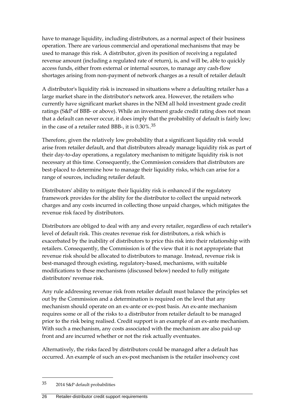have to manage liquidity, including distributors, as a normal aspect of their business operation. There are various commercial and operational mechanisms that may be used to manage this risk. A distributor, given its position of receiving a regulated revenue amount (including a regulated rate of return), is, and will be, able to quickly access funds, either from external or internal sources, to manage any cash-flow shortages arising from non-payment of network charges as a result of retailer default

A distributor's liquidity risk is increased in situations where a defaulting retailer has a large market share in the distributor's network area. However, the retailers who currently have significant market shares in the NEM all hold investment grade credit ratings (S&P of BBB- or above). While an investment grade credit rating does not mean that a default can never occur, it does imply that the probability of default is fairly low; in the case of a retailer rated BBB-, it is 0.30%.[35](#page-35-0)

Therefore, given the relatively low probability that a significant liquidity risk would arise from retailer default, and that distributors already manage liquidity risk as part of their day-to-day operations, a regulatory mechanism to mitigate liquidity risk is not necessary at this time. Consequently, the Commission considers that distributors are best-placed to determine how to manage their liquidity risks, which can arise for a range of sources, including retailer default.

Distributors' ability to mitigate their liquidity risk is enhanced if the regulatory framework provides for the ability for the distributor to collect the unpaid network charges and any costs incurred in collecting those unpaid charges, which mitigates the revenue risk faced by distributors.

Distributors are obliged to deal with any and every retailer, regardless of each retailer's level of default risk. This creates revenue risk for distributors, a risk which is exacerbated by the inability of distributors to price this risk into their relationship with retailers. Consequently, the Commission is of the view that it is not appropriate that revenue risk should be allocated to distributors to manage. Instead, revenue risk is best-managed through existing, regulatory-based, mechanisms, with suitable modifications to these mechanisms (discussed below) needed to fully mitigate distributors' revenue risk.

Any rule addressing revenue risk from retailer default must balance the principles set out by the Commission and a determination is required on the level that any mechanism should operate on an ex-ante or ex-post basis. An ex-ante mechanism requires some or all of the risks to a distributor from retailer default to be managed prior to the risk being realised. Credit support is an example of an ex-ante mechanism. With such a mechanism, any costs associated with the mechanism are also paid-up front and are incurred whether or not the risk actually eventuates.

Alternatively, the risks faced by distributors could be managed after a default has occurred. An example of such an ex-post mechanism is the retailer insolvency cost

<span id="page-35-0"></span><sup>35</sup> 2014 S&P default probabilities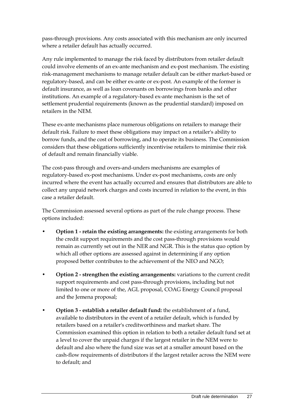pass-through provisions. Any costs associated with this mechanism are only incurred where a retailer default has actually occurred.

Any rule implemented to manage the risk faced by distributors from retailer default could involve elements of an ex-ante mechanism and ex-post mechanism. The existing risk-management mechanisms to manage retailer default can be either market-based or regulatory-based, and can be either ex-ante or ex-post. An example of the former is default insurance, as well as loan covenants on borrowings from banks and other institutions. An example of a regulatory-based ex-ante mechanism is the set of settlement prudential requirements (known as the prudential standard) imposed on retailers in the NEM.

These ex-ante mechanisms place numerous obligations on retailers to manage their default risk. Failure to meet these obligations may impact on a retailer's ability to borrow funds, and the cost of borrowing, and to operate its business. The Commission considers that these obligations sufficiently incentivise retailers to minimise their risk of default and remain financially viable.

The cost-pass through and overs-and-unders mechanisms are examples of regulatory-based ex-post mechanisms. Under ex-post mechanisms, costs are only incurred where the event has actually occurred and ensures that distributors are able to collect any unpaid network charges and costs incurred in relation to the event, in this case a retailer default.

The Commission assessed several options as part of the rule change process. These options included:

- **Option 1 - retain the existing arrangements:** the existing arrangements for both the credit support requirements and the cost pass-through provisions would remain as currently set out in the NER and NGR. This is the status quo option by which all other options are assessed against in determining if any option proposed better contributes to the achievement of the NEO and NGO;
- **Option 2 - strengthen the existing arrangements:** variations to the current credit support requirements and cost pass-through provisions, including but not limited to one or more of the, AGL proposal, COAG Energy Council proposal and the Jemena proposal;
- **Option 3 - establish a retailer default fund:** the establishment of a fund, available to distributors in the event of a retailer default, which is funded by retailers based on a retailer's creditworthiness and market share. The Commission examined this option in relation to both a retailer default fund set at a level to cover the unpaid charges if the largest retailer in the NEM were to default and also where the fund size was set at a smaller amount based on the cash-flow requirements of distributors if the largest retailer across the NEM were to default; and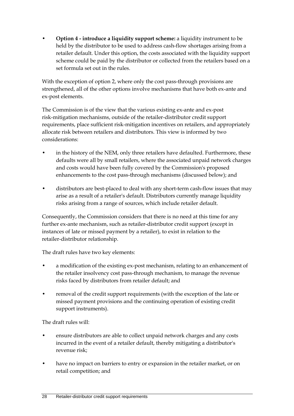• **Option 4 - introduce a liquidity support scheme:** a liquidity instrument to be held by the distributor to be used to address cash-flow shortages arising from a retailer default. Under this option, the costs associated with the liquidity support scheme could be paid by the distributor or collected from the retailers based on a set formula set out in the rules.

With the exception of option 2, where only the cost pass-through provisions are strengthened, all of the other options involve mechanisms that have both ex-ante and ex-post elements.

The Commission is of the view that the various existing ex-ante and ex-post risk-mitigation mechanisms, outside of the retailer-distributor credit support requirements, place sufficient risk-mitigation incentives on retailers, and appropriately allocate risk between retailers and distributors. This view is informed by two considerations:

- in the history of the NEM, only three retailers have defaulted. Furthermore, these defaults were all by small retailers, where the associated unpaid network charges and costs would have been fully covered by the Commission's proposed enhancements to the cost pass-through mechanisms (discussed below); and
- distributors are best-placed to deal with any short-term cash-flow issues that may arise as a result of a retailer's default. Distributors currently manage liquidity risks arising from a range of sources, which include retailer default.

Consequently, the Commission considers that there is no need at this time for any further ex-ante mechanism, such as retailer-distributor credit support (except in instances of late or missed payment by a retailer), to exist in relation to the retailer-distributor relationship.

The draft rules have two key elements:

- a modification of the existing ex-post mechanism, relating to an enhancement of the retailer insolvency cost pass-through mechanism, to manage the revenue risks faced by distributors from retailer default; and
- removal of the credit support requirements (with the exception of the late or missed payment provisions and the continuing operation of existing credit support instruments).

The draft rules will:

- ensure distributors are able to collect unpaid network charges and any costs incurred in the event of a retailer default, thereby mitigating a distributor's revenue risk;
- have no impact on barriers to entry or expansion in the retailer market, or on retail competition; and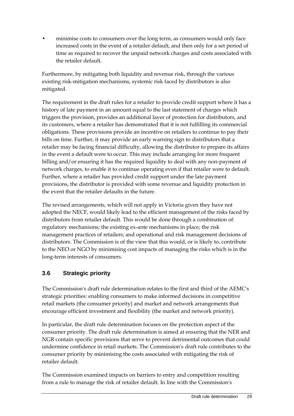• minimise costs to consumers over the long term, as consumers would only face increased costs in the event of a retailer default, and then only for a set period of time as required to recover the unpaid network charges and costs associated with the retailer default.

Furthermore, by mitigating both liquidity and revenue risk, through the various existing risk-mitigation mechanisms, systemic risk faced by distributors is also mitigated.

The requirement in the draft rules for a retailer to provide credit support where it has a history of late payment in an amount equal to the last statement of charges which triggers the provision, provides an additional layer of protection for distributors, and its customers, where a retailer has demonstrated that it is not fulfilling its commercial obligations. These provisions provide an incentive on retailers to continue to pay their bills on time. Further, it may provide an early warning sign to distributors that a retailer may be facing financial difficulty, allowing the distributor to prepare its affairs in the event a default were to occur. This may include arranging for more frequent billing and/or ensuring it has the required liquidity to deal with any non-payment of network charges, to enable it to continue operating even if that retailer were to default. Further, where a retailer has provided credit support under the late payment provisions, the distributor is provided with some revenue and liquidity protection in the event that the retailer defaults in the future.

The revised arrangements, which will not apply in Victoria given they have not adopted the NECF, would likely lead to the efficient management of the risks faced by distributors from retailer default. This would be done through a combination of: regulatory mechanisms; the existing ex-ante mechanisms in place; the risk management practices of retailers; and operational and risk management decisions of distributors. The Commission is of the view that this would, or is likely to, contribute to the NEO or NGO by minimising cost impacts of managing the risks which is in the long-term interests of consumers.

# **3.6 Strategic priority**

The Commission's draft rule determination relates to the first and third of the AEMC's strategic priorities: enabling consumers to make informed decisions in competitive retail markets (the consumer priority) and market and network arrangements that encourage efficient investment and flexibility (the market and network priority).

In particular, the draft rule determination focuses on the protection aspect of the consumer priority. The draft rule determination is aimed at ensuring that the NER and NGR contain specific provisions that serve to prevent detrimental outcomes that could undermine confidence in retail markets. The Commission's draft rule contributes to the consumer priority by minimising the costs associated with mitigating the risk of retailer default.

The Commission examined impacts on barriers to entry and competition resulting from a rule to manage the risk of retailer default. In line with the Commission's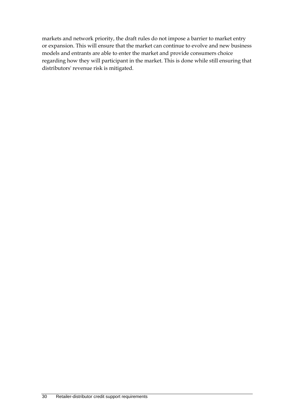markets and network priority, the draft rules do not impose a barrier to market entry or expansion. This will ensure that the market can continue to evolve and new business models and entrants are able to enter the market and provide consumers choice regarding how they will participant in the market. This is done while still ensuring that distributors' revenue risk is mitigated.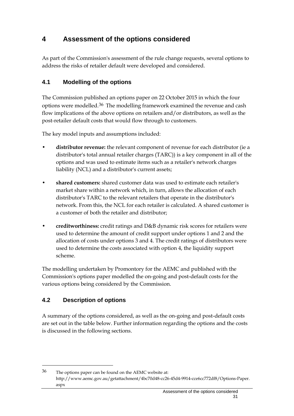# **4 Assessment of the options considered**

As part of the Commission's assessment of the rule change requests, several options to address the risks of retailer default were developed and considered.

# **4.1 Modelling of the options**

The Commission published an options paper on 22 October 2015 in which the four options were modelled.<sup>[36](#page-40-0)</sup> The modelling framework examined the revenue and cash flow implications of the above options on retailers and/or distributors, as well as the post-retailer default costs that would flow through to customers.

The key model inputs and assumptions included:

- **distributor revenue:** the relevant component of revenue for each distributor (ie a distributor's total annual retailer charges (TARC)) is a key component in all of the options and was used to estimate items such as a retailer's network charges liability (NCL) and a distributor's current assets;
- **shared customers:** shared customer data was used to estimate each retailer's market share within a network which, in turn, allows the allocation of each distributor's TARC to the relevant retailers that operate in the distributor's network. From this, the NCL for each retailer is calculated. A shared customer is a customer of both the retailer and distributor;
- **creditworthiness:** credit ratings and D&B dynamic risk scores for retailers were used to determine the amount of credit support under options 1 and 2 and the allocation of costs under options 3 and 4. The credit ratings of distributors were used to determine the costs associated with option 4, the liquidity support scheme.

The modelling undertaken by Promontory for the AEMC and published with the Commission's options paper modelled the on-going and post-default costs for the various options being considered by the Commission.

# **4.2 Description of options**

-

A summary of the options considered, as well as the on-going and post-default costs are set out in the table below. Further information regarding the options and the costs is discussed in the following sections.

<span id="page-40-0"></span><sup>36</sup> The options paper can be found on the AEMC website at: http://www.aemc.gov.au/getattachment/4bc70d48-cc26-45d4-9914-cce6cc772df8/Options-Paper. aspx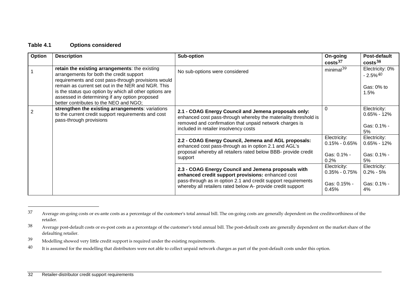### <span id="page-41-3"></span><span id="page-41-2"></span><span id="page-41-1"></span><span id="page-41-0"></span>**Table 4.1 Options considered**

| Option | <b>Description</b>                                                                                                                                                                                                                                                                                                                                             | Sub-option                                                                                                                                                                                                                               | On-going<br>costs <sup>37</sup>                              | Post-default<br>costs <sup>38</sup>                             |
|--------|----------------------------------------------------------------------------------------------------------------------------------------------------------------------------------------------------------------------------------------------------------------------------------------------------------------------------------------------------------------|------------------------------------------------------------------------------------------------------------------------------------------------------------------------------------------------------------------------------------------|--------------------------------------------------------------|-----------------------------------------------------------------|
|        | retain the existing arrangements: the existing<br>arrangements for both the credit support<br>requirements and cost pass-through provisions would<br>remain as current set out in the NER and NGR. This<br>is the status quo option by which all other options are<br>assessed in determining if any option proposed<br>better contributes to the NEO and NGO; | No sub-options were considered                                                                                                                                                                                                           | minimal <sup>39</sup>                                        | Electricity: 0%<br>$-2.5\%$ <sup>40</sup><br>Gas: 0% to<br>1.5% |
| 2      | strengthen the existing arrangements: variations<br>to the current credit support requirements and cost<br>pass-through provisions                                                                                                                                                                                                                             | 2.1 - COAG Energy Council and Jemena proposals only:<br>enhanced cost pass-through whereby the materiality threshold is<br>removed and confirmation that unpaid network charges is<br>included in retailer insolvency costs              | 0                                                            | Electricity:<br>$0.65\%$ - 12%<br>Gas: 0.1% -<br>5%             |
|        |                                                                                                                                                                                                                                                                                                                                                                | 2.2 - COAG Energy Council, Jemena and AGL proposals:<br>enhanced cost pass-through as in option 2.1 and AGL's<br>proposal whereby all retailers rated below BBB- provide credit<br>support                                               | Electricity:<br>$0.15\%$ - $0.65\%$<br>Gas: 0.1% -<br>0.2%   | Electricity:<br>$0.65\% - 12\%$<br>Gas: 0.1% -<br>5%            |
|        |                                                                                                                                                                                                                                                                                                                                                                | 2.3 - COAG Energy Council and Jemena proposals with<br>enhanced credit support provisions: enhanced cost<br>pass-through as in option 2.1 and credit support requirements<br>whereby all retailers rated below A- provide credit support | Electricity:<br>$0.35\%$ - $0.75\%$<br>Gas: 0.15% -<br>0.45% | Electricity:<br>$0.2\%$ - 5%<br>Gas: 0.1% -<br>4%               |

<sup>&</sup>lt;sup>37</sup> Average on-going costs or ex-ante costs as a percentage of the customer's total annual bill. The on-going costs are generally dependent on the creditworthiness of the retailer.

<sup>&</sup>lt;sup>38</sup> Average post-default costs or ex-post costs as a percentage of the customer's total annual bill. The post-default costs are generally dependent on the market share of the defaulting retailer.

<sup>39</sup> Modelling showed very little credit support is required under the existing requirements.

<sup>&</sup>lt;sup>40</sup> It is assumed for the modelling that distributors were not able to collect unpaid network charges as part of the post-default costs under this option.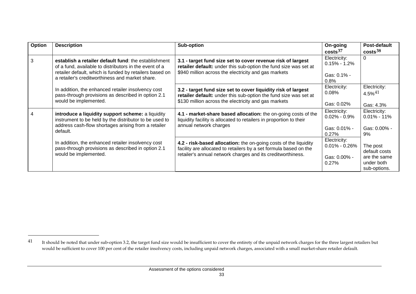<span id="page-42-0"></span>

| Option | <b>Description</b>                                                                                             | Sub-option                                                                                                                            | On-going<br>costs <sup>37</sup>   | <b>Post-default</b><br>costs <sup>38</sup> |
|--------|----------------------------------------------------------------------------------------------------------------|---------------------------------------------------------------------------------------------------------------------------------------|-----------------------------------|--------------------------------------------|
| 3      | establish a retailer default fund: the establishment<br>of a fund, available to distributors in the event of a | 3.1 - target fund size set to cover revenue risk of largest<br>retailer default: under this sub-option the fund size was set at       | Electricity:<br>$0.15\% - 1.2\%$  | $\Omega$                                   |
|        | retailer default, which is funded by retailers based on<br>a retailer's creditworthiness and market share.     | \$940 million across the electricity and gas markets                                                                                  | Gas: 0.1% -<br>0.8%               |                                            |
|        | In addition, the enhanced retailer insolvency cost<br>pass-through provisions as described in option 2.1       | 3.2 - target fund size set to cover liquidity risk of largest<br>retailer default: under this sub-option the fund size was set at     | Electricity:<br>0.08%             | Electricity:<br>$4.5\%$ <sup>41</sup>      |
|        | would be implemented.                                                                                          | \$130 million across the electricity and gas markets                                                                                  | Gas: 0.02%                        | Gas: 4.3%                                  |
|        | introduce a liquidity support scheme: a liquidity<br>instrument to be held by the distributor to be used to    | 4.1 - market-share based allocation: the on-going costs of the<br>liquidity facility is allocated to retailers in proportion to their | Electricity:<br>$0.02\% - 0.9\%$  | Electricity:<br>$0.01\% - 11\%$            |
|        | address cash-flow shortages arising from a retailer<br>default.                                                | annual network charges                                                                                                                | Gas: $0.01\%$ -<br>0.27%          | Gas: 0.00% -<br>9%                         |
|        | In addition, the enhanced retailer insolvency cost<br>pass-through provisions as described in option 2.1       | 4.2 - risk-based allocation: the on-going costs of the liquidity<br>facility are allocated to retailers by a set formula based on the | Electricity:<br>$0.01\% - 0.26\%$ | The post<br>default costs                  |
|        | would be implemented.                                                                                          | retailer's annual network charges and its creditworthiness.                                                                           | Gas: 0.00% -<br>0.27%             | are the same<br>under both<br>sub-options. |

<sup>&</sup>lt;sup>41</sup> It should be noted that under sub-option 3.2, the target fund size would be insufficient to cover the entirety of the unpaid network charges for the three largest retailers but would be sufficient to cover 100 per cent of the retailer insolvency costs, including unpaid network charges, associated with a small market-share retailer default.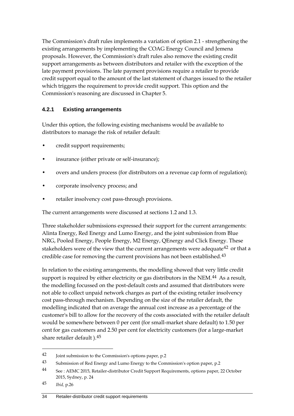The Commission's draft rules implements a variation of option 2.1 - strengthening the existing arrangements by implementing the COAG Energy Council and Jemena proposals. However, the Commission's draft rules also remove the existing credit support arrangements as between distributors and retailer with the exception of the late payment provisions. The late payment provisions require a retailer to provide credit support equal to the amount of the last statement of charges issued to the retailer which triggers the requirement to provide credit support. This option and the Commission's reasoning are discussed in Chapter 5.

### **4.2.1 Existing arrangements**

Under this option, the following existing mechanisms would be available to distributors to manage the risk of retailer default:

- credit support requirements;
- insurance (either private or self-insurance);
- overs and unders process (for distributors on a revenue cap form of regulation);
- corporate insolvency process; and
- retailer insolvency cost pass-through provisions.

The current arrangements were discussed at sections 1.2 and 1.3.

Three stakeholder submissions expressed their support for the current arrangements: Alinta Energy, Red Energy and Lumo Energy, and the joint submission from Blue NRG, Pooled Energy, People Energy, M2 Energy, QEnergy and Click Energy. These stakeholders were of the view that the current arrangements were adequate<sup>[42](#page-43-0)</sup> or that a credible case for removing the current provisions has not been established.<sup>[43](#page-43-1)</sup>

In relation to the existing arrangements, the modelling showed that very little credit support is required by either electricity or gas distributors in the NEM.<sup>[44](#page-43-2)</sup> As a result, the modelling focussed on the post-default costs and assumed that distributors were not able to collect unpaid network charges as part of the existing retailer insolvency cost pass-through mechanism. Depending on the size of the retailer default, the modelling indicated that on average the annual cost increase as a percentage of the customer's bill to allow for the recovery of the costs associated with the retailer default would be somewhere between 0 per cent (for small-market share default) to 1.50 per cent for gas customers and 2.50 per cent for electricity customers (for a large-market share retailer default ).[45](#page-43-3)

<span id="page-43-0"></span><sup>42</sup> Joint submission to the Commission's options paper, p.2

<span id="page-43-1"></span><sup>43</sup> Submission of Red Energy and Lumo Energy to the Commission's option paper, p.2

<span id="page-43-2"></span><sup>44</sup> See : AEMC 2015, Retailer-distributor Credit Support Requirements, options paper, 22 October 2015, Sydney, p. 24

<span id="page-43-3"></span><sup>45</sup> *Ibid,* p.26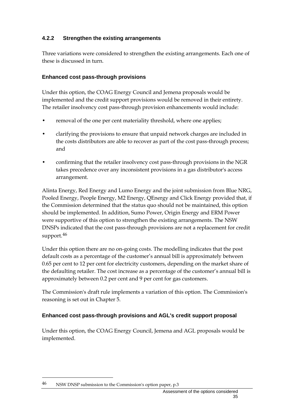### **4.2.2 Strengthen the existing arrangements**

Three variations were considered to strengthen the existing arrangements. Each one of these is discussed in turn.

### **Enhanced cost pass-through provisions**

Under this option, the COAG Energy Council and Jemena proposals would be implemented and the credit support provisions would be removed in their entirety. The retailer insolvency cost pass-through provision enhancements would include:

- removal of the one per cent materiality threshold, where one applies;
- clarifying the provisions to ensure that unpaid network charges are included in the costs distributors are able to recover as part of the cost pass-through process; and
- confirming that the retailer insolvency cost pass-through provisions in the NGR takes precedence over any inconsistent provisions in a gas distributor's access arrangement.

Alinta Energy, Red Energy and Lumo Energy and the joint submission from Blue NRG, Pooled Energy, People Energy, M2 Energy, QEnergy and Click Energy provided that, if the Commission determined that the status quo should not be maintained, this option should be implemented. In addition, Sumo Power, Origin Energy and ERM Power were supportive of this option to strengthen the existing arrangements. The NSW DNSPs indicated that the cost pass-through provisions are not a replacement for credit support.<sup>[46](#page-44-0)</sup>

Under this option there are no on-going costs. The modelling indicates that the post default costs as a percentage of the customer's annual bill is approximately between 0.65 per cent to 12 per cent for electricity customers, depending on the market share of the defaulting retailer. The cost increase as a percentage of the customer's annual bill is approximately between 0.2 per cent and 9 per cent for gas customers.

The Commission's draft rule implements a variation of this option. The Commission's reasoning is set out in Chapter 5.

### **Enhanced cost pass-through provisions and AGL's credit support proposal**

Under this option, the COAG Energy Council, Jemena and AGL proposals would be implemented.

<span id="page-44-0"></span><sup>46</sup> NSW DNSP submission to the Commission's option paper, p.3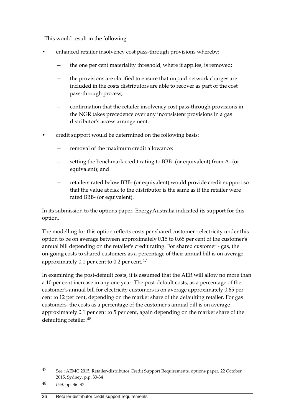This would result in the following:

- enhanced retailer insolvency cost pass-through provisions whereby:
	- the one per cent materiality threshold, where it applies, is removed;
	- the provisions are clarified to ensure that unpaid network charges are included in the costs distributors are able to recover as part of the cost pass-through process;
	- confirmation that the retailer insolvency cost pass-through provisions in the NGR takes precedence over any inconsistent provisions in a gas distributor's access arrangement.
- credit support would be determined on the following basis:
	- removal of the maximum credit allowance;
	- setting the benchmark credit rating to BBB- (or equivalent) from A- (or equivalent); and
	- retailers rated below BBB- (or equivalent) would provide credit support so that the value at risk to the distributor is the same as if the retailer were rated BBB- (or equivalent).

In its submission to the options paper, EnergyAustralia indicated its support for this option.

The modelling for this option reflects costs per shared customer - electricity under this option to be on average between approximately 0.15 to 0.65 per cent of the customer's annual bill depending on the retailer's credit rating. For shared customer - gas, the on-going costs to shared customers as a percentage of their annual bill is on average approximately 0.1 per cent to 0.2 per cent. $47$ 

In examining the post-default costs, it is assumed that the AER will allow no more than a 10 per cent increase in any one year. The post-default costs, as a percentage of the customer's annual bill for electricity customers is on average approximately 0.65 per cent to 12 per cent, depending on the market share of the defaulting retailer. For gas customers, the costs as a percentage of the customer's annual bill is on average approximately 0.1 per cent to 5 per cent, again depending on the market share of the defaulting retailer.[48](#page-45-1)

<span id="page-45-0"></span><sup>47</sup> See : AEMC 2015, Retailer-distributor Credit Support Requirements, options paper, 22 October 2015, Sydney, p.p. 33-34

<span id="page-45-1"></span><sup>48</sup> *Ibid,* pp. 36 -37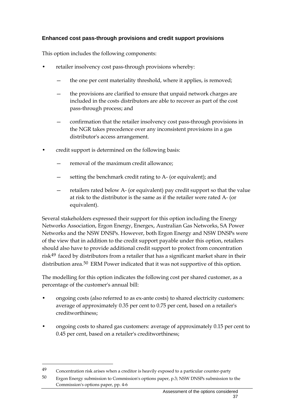### **Enhanced cost pass-through provisions and credit support provisions**

This option includes the following components:

- retailer insolvency cost pass-through provisions whereby:
	- the one per cent materiality threshold, where it applies, is removed;
	- the provisions are clarified to ensure that unpaid network charges are included in the costs distributors are able to recover as part of the cost pass-through process; and
	- confirmation that the retailer insolvency cost pass-through provisions in the NGR takes precedence over any inconsistent provisions in a gas distributor's access arrangement.
- credit support is determined on the following basis:
	- removal of the maximum credit allowance;
	- setting the benchmark credit rating to A- (or equivalent); and
	- retailers rated below A- (or equivalent) pay credit support so that the value at risk to the distributor is the same as if the retailer were rated A- (or equivalent).

Several stakeholders expressed their support for this option including the Energy Networks Association, Ergon Energy, Energex, Australian Gas Networks, SA Power Networks and the NSW DNSPs. However, both Ergon Energy and NSW DNSPs were of the view that in addition to the credit support payable under this option, retailers should also have to provide additional credit support to protect from concentration risk[49](#page-46-0) faced by distributors from a retailer that has a significant market share in their distribution area.<sup>[50](#page-46-1)</sup> ERM Power indicated that it was not supportive of this option.

The modelling for this option indicates the following cost per shared customer, as a percentage of the customer's annual bill:

- ongoing costs (also referred to as ex-ante costs) to shared electricity customers: average of approximately 0.35 per cent to 0.75 per cent, based on a retailer's creditworthiness;
- ongoing costs to shared gas customers: average of approximately 0.15 per cent to 0.45 per cent, based on a retailer's creditworthiness;

<span id="page-46-0"></span> $49$  Concentration risk arises when a creditor is heavily exposed to a particular counter-party

<span id="page-46-1"></span><sup>50</sup> Ergon Energy submission to Commission's options paper, p.3; NSW DNSPs submission to the Commission's options paper, pp. 4-6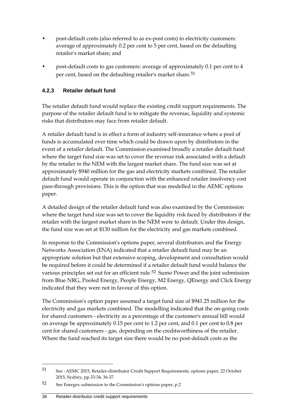- post-default costs (also referred to as ex-post costs) to electricity customers: average of approximately 0.2 per cent to 5 per cent, based on the defaulting retailer's market share; and
- post-default costs to gas customers: average of approximately 0.1 per cent to 4 per cent, based on the defaulting retailer's market share.<sup>[51](#page-47-0)</sup>

### **4.2.3 Retailer default fund**

The retailer default fund would replace the existing credit support requirements. The purpose of the retailer default fund is to mitigate the revenue, liquidity and systemic risks that distributors may face from retailer default.

A retailer default fund is in effect a form of industry self-insurance where a pool of funds is accumulated over time which could be drawn upon by distributors in the event of a retailer default. The Commission examined broadly a retailer default fund where the target fund size was set to cover the revenue risk associated with a default by the retailer in the NEM with the largest market share. The fund size was set at approximately \$940 million for the gas and electricity markets combined. The retailer default fund would operate in conjunction with the enhanced retailer insolvency cost pass-through provisions. This is the option that was modelled in the AEMC options paper.

A detailed design of the retailer default fund was also examined by the Commission where the target fund size was set to cover the liquidity risk faced by distributors if the retailer with the largest market share in the NEM were to default. Under this design, the fund size was set at \$130 million for the electricity and gas markets combined.

In response to the Commission's options paper, several distributors and the Energy Networks Association (ENA) indicated that a retailer default fund may be an appropriate solution but that extensive scoping, development and consultation would be required before it could be determined if a retailer default fund would balance the various principles set out for an efficient rule.<sup>[52](#page-47-1)</sup> Sumo Power and the joint submission from Blue NRG, Pooled Energy, People Energy, M2 Energy, QEnergy and Click Energy indicated that they were not in favour of this option.

The Commission's option paper assumed a target fund size of \$941.25 million for the electricity and gas markets combined. The modelling indicated that the on-going costs for shared customers - electricity as a percentage of the customer's annual bill would on average be approximately 0.15 per cent to 1.2 per cent, and 0.1 per cent to 0.8 per cent for shared customers - gas, depending on the creditworthiness of the retailer. Where the fund reached its target size there would be no post-default costs as the

<span id="page-47-0"></span><sup>51</sup> See : AEMC 2015, Retailer-distributor Credit Support Requirements, options paper, 22 October 2015, Sydney, pp.33-34, 36-37.

<span id="page-47-1"></span><sup>52</sup> See Energex submission to the Commission's options paper, p.2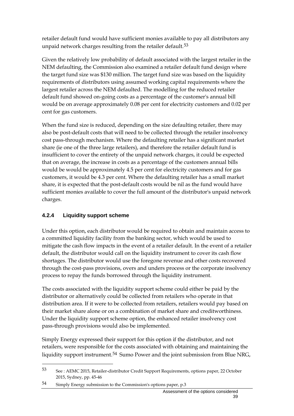retailer default fund would have sufficient monies available to pay all distributors any unpaid network charges resulting from the retailer default.<sup>[53](#page-48-0)</sup>

Given the relatively low probability of default associated with the largest retailer in the NEM defaulting, the Commission also examined a retailer default fund design where the target fund size was \$130 million. The target fund size was based on the liquidity requirements of distributors using assumed working capital requirements where the largest retailer across the NEM defaulted. The modelling for the reduced retailer default fund showed on-going costs as a percentage of the customer's annual bill would be on average approximately 0.08 per cent for electricity customers and 0.02 per cent for gas customers.

When the fund size is reduced, depending on the size defaulting retailer, there may also be post-default costs that will need to be collected through the retailer insolvency cost pass-through mechanism. Where the defaulting retailer has a significant market share (ie one of the three large retailers), and therefore the retailer default fund is insufficient to cover the entirety of the unpaid network charges, it could be expected that on average, the increase in costs as a percentage of the customers annual bills would be would be approximately 4.5 per cent for electricity customers and for gas customers, it would be 4.3 per cent. Where the defaulting retailer has a small market share, it is expected that the post-default costs would be nil as the fund would have sufficient monies available to cover the full amount of the distributor's unpaid network charges.

# **4.2.4 Liquidity support scheme**

-

Under this option, each distributor would be required to obtain and maintain access to a committed liquidity facility from the banking sector, which would be used to mitigate the cash flow impacts in the event of a retailer default. In the event of a retailer default, the distributor would call on the liquidity instrument to cover its cash flow shortages. The distributor would use the foregone revenue and other costs recovered through the cost-pass provisions, overs and unders process or the corporate insolvency process to repay the funds borrowed through the liquidity instrument.

The costs associated with the liquidity support scheme could either be paid by the distributor or alternatively could be collected from retailers who operate in that distribution area. If it were to be collected from retailers, retailers would pay based on their market share alone or on a combination of market share and creditworthiness. Under the liquidity support scheme option, the enhanced retailer insolvency cost pass-through provisions would also be implemented.

Simply Energy expressed their support for this option if the distributor, and not retailers, were responsible for the costs associated with obtaining and maintaining the liquidity support instrument.[54](#page-48-1) Sumo Power and the joint submission from Blue NRG,

<span id="page-48-0"></span><sup>53</sup> See : AEMC 2015, Retailer-distributor Credit Support Requirements, options paper, 22 October 2015, Sydney, pp. 45-46

<span id="page-48-1"></span><sup>54</sup> Simply Energy submission to the Commission's options paper, p.3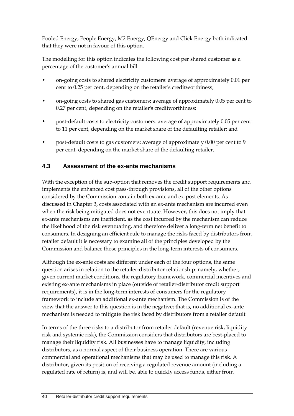Pooled Energy, People Energy, M2 Energy, QEnergy and Click Energy both indicated that they were not in favour of this option.

The modelling for this option indicates the following cost per shared customer as a percentage of the customer's annual bill:

- on-going costs to shared electricity customers: average of approximately 0.01 per cent to 0.25 per cent, depending on the retailer's creditworthiness;
- on-going costs to shared gas customers: average of approximately 0.05 per cent to 0.27 per cent, depending on the retailer's creditworthiness;
- post-default costs to electricity customers: average of approximately 0.05 per cent to 11 per cent, depending on the market share of the defaulting retailer; and
- post-default costs to gas customers: average of approximately 0.00 per cent to 9 per cent, depending on the market share of the defaulting retailer.

## **4.3 Assessment of the ex-ante mechanisms**

With the exception of the sub-option that removes the credit support requirements and implements the enhanced cost pass-through provisions, all of the other options considered by the Commission contain both ex-ante and ex-post elements. As discussed in Chapter 3, costs associated with an ex-ante mechanism are incurred even when the risk being mitigated does not eventuate. However, this does not imply that ex-ante mechanisms are inefficient, as the cost incurred by the mechanism can reduce the likelihood of the risk eventuating, and therefore deliver a long-term net benefit to consumers. In designing an efficient rule to manage the risks faced by distributors from retailer default it is necessary to examine all of the principles developed by the Commission and balance those principles in the long-term interests of consumers.

Although the ex-ante costs are different under each of the four options, the same question arises in relation to the retailer-distributor relationship: namely, whether, given current market conditions, the regulatory framework, commercial incentives and existing ex-ante mechanisms in place (outside of retailer-distributor credit support requirements), it is in the long-term interests of consumers for the regulatory framework to include an additional ex-ante mechanism. The Commission is of the view that the answer to this question is in the negative; that is, no additional ex-ante mechanism is needed to mitigate the risk faced by distributors from a retailer default.

In terms of the three risks to a distributor from retailer default (revenue risk, liquidity risk and systemic risk), the Commission considers that distributors are best-placed to manage their liquidity risk. All businesses have to manage liquidity, including distributors, as a normal aspect of their business operation. There are various commercial and operational mechanisms that may be used to manage this risk. A distributor, given its position of receiving a regulated revenue amount (including a regulated rate of return) is, and will be, able to quickly access funds, either from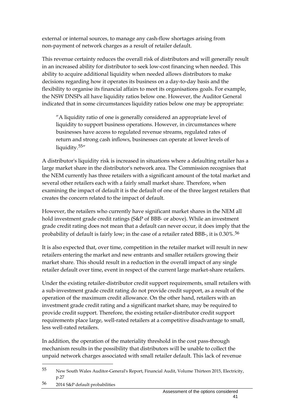external or internal sources, to manage any cash-flow shortages arising from non-payment of network charges as a result of retailer default.

This revenue certainty reduces the overall risk of distributors and will generally result in an increased ability for distributor to seek low-cost financing when needed. This ability to acquire additional liquidity when needed allows distributors to make decisions regarding how it operates its business on a day-to-day basis and the flexibility to organise its financial affairs to meet its organisations goals. For example, the NSW DNSPs all have liquidity ratios below one. However, the Auditor General indicated that in some circumstances liquidity ratios below one may be appropriate:

"A liquidity ratio of one is generally considered an appropriate level of liquidity to support business operations. However, in circumstances where businesses have access to regulated revenue streams, regulated rates of return and strong cash inflows, businesses can operate at lower levels of liquidity.<sup>[55"](#page-50-0)</sup>

A distributor's liquidity risk is increased in situations where a defaulting retailer has a large market share in the distributor's network area. The Commission recognises that the NEM currently has three retailers with a significant amount of the total market and several other retailers each with a fairly small market share. Therefore, when examining the impact of default it is the default of one of the three largest retailers that creates the concern related to the impact of default.

However, the retailers who currently have significant market shares in the NEM all hold investment grade credit ratings (S&P of BBB- or above). While an investment grade credit rating does not mean that a default can never occur, it does imply that the probability of default is fairly low; in the case of a retailer rated BBB-, it is 0.30%.[56](#page-50-1)

It is also expected that, over time, competition in the retailer market will result in new retailers entering the market and new entrants and smaller retailers growing their market share. This should result in a reduction in the overall impact of any single retailer default over time, event in respect of the current large market-share retailers.

Under the existing retailer-distributor credit support requirements, small retailers with a sub-investment grade credit rating do not provide credit support, as a result of the operation of the maximum credit allowance. On the other hand, retailers with an investment grade credit rating and a significant market share, may be required to provide credit support. Therefore, the existing retailer-distributor credit support requirements place large, well-rated retailers at a competitive disadvantage to small, less well-rated retailers.

In addition, the operation of the materiality threshold in the cost pass-through mechanism results in the possibility that distributors will be unable to collect the unpaid network charges associated with small retailer default. This lack of revenue

<span id="page-50-0"></span><sup>55</sup> New South Wales Auditor-General's Report, Financial Audit, Volume Thirteen 2015, Electricity, p.27

<span id="page-50-1"></span><sup>56</sup> 2014 S&P default probabilities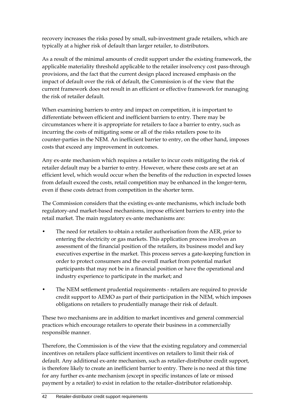recovery increases the risks posed by small, sub-investment grade retailers, which are typically at a higher risk of default than larger retailer, to distributors.

As a result of the minimal amounts of credit support under the existing framework, the applicable materiality threshold applicable to the retailer insolvency cost pass-through provisions, and the fact that the current design placed increased emphasis on the impact of default over the risk of default, the Commission is of the view that the current framework does not result in an efficient or effective framework for managing the risk of retailer default.

When examining barriers to entry and impact on competition, it is important to differentiate between efficient and inefficient barriers to entry. There may be circumstances where it is appropriate for retailers to face a barrier to entry, such as incurring the costs of mitigating some or all of the risks retailers pose to its counter-parties in the NEM. An inefficient barrier to entry, on the other hand, imposes costs that exceed any improvement in outcomes.

Any ex-ante mechanism which requires a retailer to incur costs mitigating the risk of retailer default may be a barrier to entry. However, where these costs are set at an efficient level, which would occur when the benefits of the reduction in expected losses from default exceed the costs, retail competition may be enhanced in the longer-term, even if these costs detract from competition in the shorter term.

The Commission considers that the existing ex-ante mechanisms, which include both regulatory-and market-based mechanisms, impose efficient barriers to entry into the retail market. The main regulatory ex-ante mechanisms are:

- The need for retailers to obtain a retailer authorisation from the AER, prior to entering the electricity or gas markets. This application process involves an assessment of the financial position of the retailers, its business model and key executives expertise in the market. This process serves a gate-keeping function in order to protect consumers and the overall market from potential market participants that may not be in a financial position or have the operational and industry experience to participate in the market; and
- The NEM settlement prudential requirements retailers are required to provide credit support to AEMO as part of their participation in the NEM, which imposes obligations on retailers to prudentially manage their risk of default.

These two mechanisms are in addition to market incentives and general commercial practices which encourage retailers to operate their business in a commercially responsible manner.

Therefore, the Commission is of the view that the existing regulatory and commercial incentives on retailers place sufficient incentives on retailers to limit their risk of default. Any additional ex-ante mechanism, such as retailer-distributor credit support, is therefore likely to create an inefficient barrier to entry. There is no need at this time for any further ex-ante mechanism (except in specific instances of late or missed payment by a retailer) to exist in relation to the retailer-distributor relationship.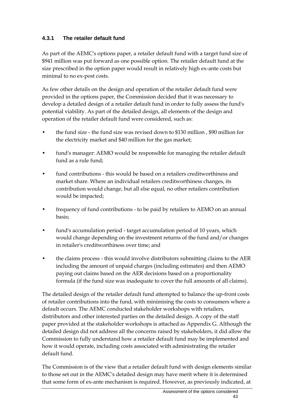## **4.3.1 The retailer default fund**

As part of the AEMC's options paper, a retailer default fund with a target fund size of \$941 million was put forward as one possible option. The retailer default fund at the size prescribed in the option paper would result in relatively high ex-ante costs but minimal to no ex-post costs.

As few other details on the design and operation of the retailer default fund were provided in the options paper, the Commission decided that it was necessary to develop a detailed design of a retailer default fund in order to fully assess the fund's potential viability. As part of the detailed design, all elements of the design and operation of the retailer default fund were considered, such as:

- the fund size the fund size was revised down to \$130 million , \$90 million for the electricity market and \$40 million for the gas market;
- fund's manager: AEMO would be responsible for managing the retailer default fund as a rule fund;
- fund contributions this would be based on a retailers creditworthiness and market share. Where an individual retailers creditworthiness changes, its contribution would change, but all else equal, no other retailers contribution would be impacted;
- frequency of fund contributions to be paid by retailers to AEMO on an annual basis;
- fund's accumulation period target accumulation period of 10 years, which would change depending on the investment returns of the fund and/or changes in retailer's creditworthiness over time; and
- the claims process this would involve distributors submitting claims to the AER including the amount of unpaid charges (including estimates) and then AEMO paying out claims based on the AER decisions based on a proportionality formula (if the fund size was inadequate to cover the full amounts of all claims).

The detailed design of the retailer default fund attempted to balance the up-front costs of retailer contributions into the fund, with minimising the costs to consumers where a default occurs. The AEMC conducted stakeholder workshops with retailers, distributors and other interested parties on the detailed design. A copy of the staff paper provided at the stakeholder workshops is attached as Appendix G. Although the detailed design did not address all the concerns raised by stakeholders, it did allow the Commission to fully understand how a retailer default fund may be implemented and how it would operate, including costs associated with administrating the retailer default fund.

The Commission is of the view that a retailer default fund with design elements similar to those set out in the AEMC's detailed design may have merit where it is determined that some form of ex-ante mechanism is required. However, as previously indicated, at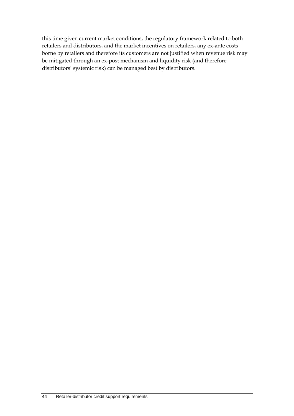this time given current market conditions, the regulatory framework related to both retailers and distributors, and the market incentives on retailers, any ex-ante costs borne by retailers and therefore its customers are not justified when revenue risk may be mitigated through an ex-post mechanism and liquidity risk (and therefore distributors' systemic risk) can be managed best by distributors.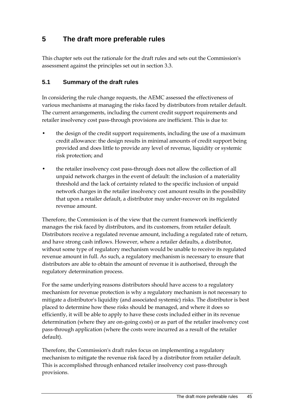# **5 The draft more preferable rules**

This chapter sets out the rationale for the draft rules and sets out the Commission's assessment against the principles set out in section 3.3.

## **5.1 Summary of the draft rules**

In considering the rule change requests, the AEMC assessed the effectiveness of various mechanisms at managing the risks faced by distributors from retailer default. The current arrangements, including the current credit support requirements and retailer insolvency cost pass-through provisions are inefficient. This is due to:

- the design of the credit support requirements, including the use of a maximum credit allowance: the design results in minimal amounts of credit support being provided and does little to provide any level of revenue, liquidity or systemic risk protection; and
- the retailer insolvency cost pass-through does not allow the collection of all unpaid network charges in the event of default: the inclusion of a materiality threshold and the lack of certainty related to the specific inclusion of unpaid network charges in the retailer insolvency cost amount results in the possibility that upon a retailer default, a distributor may under-recover on its regulated revenue amount.

Therefore, the Commission is of the view that the current framework inefficiently manages the risk faced by distributors, and its customers, from retailer default. Distributors receive a regulated revenue amount, including a regulated rate of return, and have strong cash inflows. However, where a retailer defaults, a distributor, without some type of regulatory mechanism would be unable to receive its regulated revenue amount in full. As such, a regulatory mechanism is necessary to ensure that distributors are able to obtain the amount of revenue it is authorised, through the regulatory determination process.

For the same underlying reasons distributors should have access to a regulatory mechanism for revenue protection is why a regulatory mechanism is not necessary to mitigate a distributor's liquidity (and associated systemic) risks. The distributor is best placed to determine how these risks should be managed, and where it does so efficiently, it will be able to apply to have these costs included either in its revenue determination (where they are on-going costs) or as part of the retailer insolvency cost pass-through application (where the costs were incurred as a result of the retailer default).

Therefore, the Commission's draft rules focus on implementing a regulatory mechanism to mitigate the revenue risk faced by a distributor from retailer default. This is accomplished through enhanced retailer insolvency cost pass-through provisions.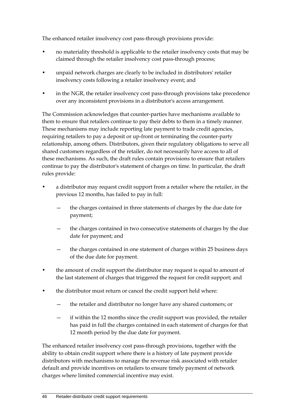The enhanced retailer insolvency cost pass-through provisions provide:

- no materiality threshold is applicable to the retailer insolvency costs that may be claimed through the retailer insolvency cost pass-through process;
- unpaid network charges are clearly to be included in distributors' retailer insolvency costs following a retailer insolvency event; and
- in the NGR, the retailer insolvency cost pass-through provisions take precedence over any inconsistent provisions in a distributor's access arrangement.

The Commission acknowledges that counter-parties have mechanisms available to them to ensure that retailers continue to pay their debts to them in a timely manner. These mechanisms may include reporting late payment to trade credit agencies, requiring retailers to pay a deposit or up-front or terminating the counter-party relationship, among others. Distributors, given their regulatory obligations to serve all shared customers regardless of the retailer, do not necessarily have access to all of these mechanisms. As such, the draft rules contain provisions to ensure that retailers continue to pay the distributor's statement of charges on time. In particular, the draft rules provide:

- a distributor may request credit support from a retailer where the retailer, in the previous 12 months, has failed to pay in full:
	- the charges contained in three statements of charges by the due date for payment;
	- the charges contained in two consecutive statements of charges by the due date for payment; and
	- the charges contained in one statement of charges within 25 business days of the due date for payment.
- the amount of credit support the distributor may request is equal to amount of the last statement of charges that triggered the request for credit support; and
- the distributor must return or cancel the credit support held where:
	- the retailer and distributor no longer have any shared customers; or
	- if within the 12 months since the credit support was provided, the retailer has paid in full the charges contained in each statement of charges for that 12 month period by the due date for payment.

The enhanced retailer insolvency cost pass-through provisions, together with the ability to obtain credit support where there is a history of late payment provide distributors with mechanisms to manage the revenue risk associated with retailer default and provide incentives on retailers to ensure timely payment of network charges where limited commercial incentive may exist.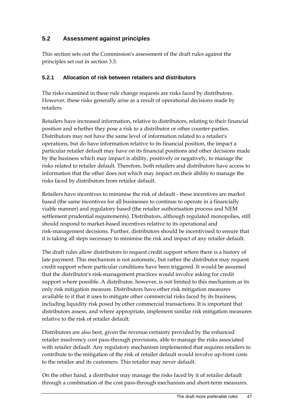## **5.2 Assessment against principles**

This section sets out the Commission's assessment of the draft rules against the principles set out in section 3.3.

### **5.2.1 Allocation of risk between retailers and distributors**

The risks examined in these rule change requests are risks faced by distributors. However, these risks generally arise as a result of operational decisions made by retailers.

Retailers have increased information, relative to distributors, relating to their financial position and whether they pose a risk to a distributor or other counter-parties. Distributors may not have the same level of information related to a retailer's operations, but do have information relative to its financial position, the impact a particular retailer default may have on its financial positions and other decisions made by the business which may impact is ability, positively or negatively, to manage the risks related to retailer default. Therefore, both retailers and distributors have access to information that the other does not which may impact on their ability to manage the risks faced by distributors from retailer default.

Retailers have incentives to minimise the risk of default - these incentives are market based (the same incentives for all businesses to continue to operate in a financially viable manner) and regulatory based (the retailer authorisation process and NEM settlement prudential requirements). Distributors, although regulated monopolies, still should respond to market-based incentives relative to its operational and risk-management decisions. Further, distributors should be incentivised to ensure that it is taking all steps necessary to minimise the risk and impact of any retailer default.

The draft rules allow distributors to request credit support where there is a history of late payment. This mechanism is not automatic, but rather the distributor may request credit support where particular conditions have been triggered. It would be assumed that the distributor's risk-management practices would involve asking for credit support where possible. A distributor, however, is not limited to this mechanism as its only risk mitigation measure. Distributors have other risk mitigation measures available to it that it uses to mitigate other commercial risks faced by its business, including liquidity risk posed by other commercial transactions. It is important that distributors assess, and where appropriate, implement similar risk mitigation measures relative to the risk of retailer default.

Distributors are also best, given the revenue certainty provided by the enhanced retailer insolvency cost pass-through provisions, able to manage the risks associated with retailer default. Any regulatory mechanism implemented that requires retailers to contribute to the mitigation of the risk of retailer default would involve up-front costs to the retailer and its customers. This retailer may never default.

On the other hand, a distributor may manage the risks faced by it of retailer default through a combination of the cost pass-through mechanism and short-term measures.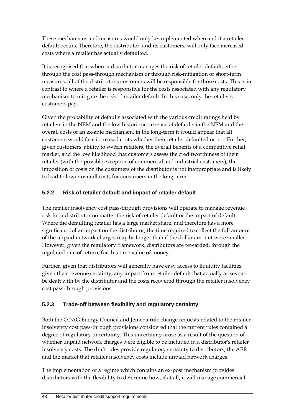These mechanisms and measures would only be implemented when and if a retailer default occurs. Therefore, the distributor, and its customers, will only face increased costs where a retailer has actually defaulted.

It is recognised that where a distributor manages the risk of retailer default, either through the cost pass-through mechanism or through risk-mitigation or short-term measures, all of the distributor's customers will be responsible for those costs. This is in contrast to where a retailer is responsible for the costs associated with any regulatory mechanism to mitigate the risk of retailer default. In this case, only the retailer's customers pay.

Given the probability of defaults associated with the various credit ratings held by retailers in the NEM and the low historic occurrence of defaults in the NEM and the overall costs of an ex-ante mechanism, in the long-term it would appear that all customers would face increased costs whether their retailer defaulted or not. Further, given customers' ability to switch retailers, the overall benefits of a competitive retail market, and the low likelihood that customers assess the creditworthiness of their retailer (with the possible exception of commercial and industrial customers), the imposition of costs on the customers of the distributor is not inappropriate and is likely to lead to lower overall costs for consumers in the long-term.

# **5.2.2 Risk of retailer default and impact of retailer default**

The retailer insolvency cost pass-through provisions will operate to manage revenue risk for a distributor no matter the risk of retailer default or the impact of default. Where the defaulting retailer has a large market share, and therefore has a more significant dollar impact on the distributor, the time required to collect the full amount of the unpaid network charges may be longer than if the dollar amount were smaller. However, given the regulatory framework, distributors are rewarded, through the regulated rate of return, for this time value of money.

Further, given that distributors will generally have easy access to liquidity facilities given their revenue certainty, any impact from retailer default that actually arises can be dealt with by the distributor and the costs recovered through the retailer insolvency cost pass-through provisions.

# **5.2.3 Trade-off between flexibility and regulatory certainty**

Both the COAG Energy Council and Jemena rule change requests related to the retailer insolvency cost pass-through provisions considered that the current rules contained a degree of regulatory uncertainty. This uncertainty arose as a result of the question of whether unpaid network charges were eligible to be included in a distributor's retailer insolvency costs. The draft rules provide regulatory certainty to distributors, the AER and the market that retailer insolvency costs include unpaid network charges.

The implementation of a regime which contains an ex-post mechanism provides distributors with the flexibility to determine how, if at all, it will manage commercial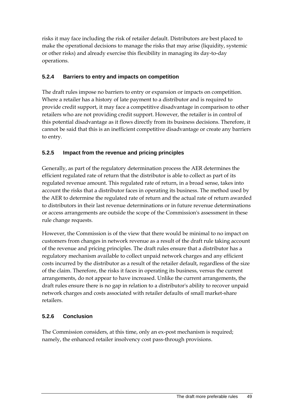risks it may face including the risk of retailer default. Distributors are best placed to make the operational decisions to manage the risks that may arise (liquidity, systemic or other risks) and already exercise this flexibility in managing its day-to-day operations.

### **5.2.4 Barriers to entry and impacts on competition**

The draft rules impose no barriers to entry or expansion or impacts on competition. Where a retailer has a history of late payment to a distributor and is required to provide credit support, it may face a competitive disadvantage in comparison to other retailers who are not providing credit support. However, the retailer is in control of this potential disadvantage as it flows directly from its business decisions. Therefore, it cannot be said that this is an inefficient competitive disadvantage or create any barriers to entry.

### **5.2.5 Impact from the revenue and pricing principles**

Generally, as part of the regulatory determination process the AER determines the efficient regulated rate of return that the distributor is able to collect as part of its regulated revenue amount. This regulated rate of return, in a broad sense, takes into account the risks that a distributor faces in operating its business. The method used by the AER to determine the regulated rate of return and the actual rate of return awarded to distributors in their last revenue determinations or in future revenue determinations or access arrangements are outside the scope of the Commission's assessment in these rule change requests.

However, the Commission is of the view that there would be minimal to no impact on customers from changes in network revenue as a result of the draft rule taking account of the revenue and pricing principles. The draft rules ensure that a distributor has a regulatory mechanism available to collect unpaid network charges and any efficient costs incurred by the distributor as a result of the retailer default, regardless of the size of the claim. Therefore, the risks it faces in operating its business, versus the current arrangements, do not appear to have increased. Unlike the current arrangements, the draft rules ensure there is no gap in relation to a distributor's ability to recover unpaid network charges and costs associated with retailer defaults of small market-share retailers.

### **5.2.6 Conclusion**

The Commission considers, at this time, only an ex-post mechanism is required; namely, the enhanced retailer insolvency cost pass-through provisions.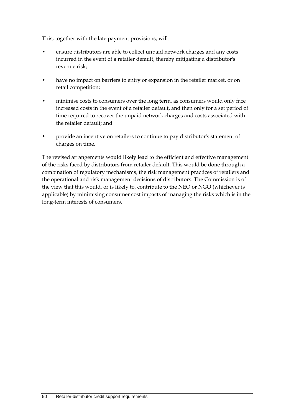This, together with the late payment provisions, will:

- ensure distributors are able to collect unpaid network charges and any costs incurred in the event of a retailer default, thereby mitigating a distributor's revenue risk;
- have no impact on barriers to entry or expansion in the retailer market, or on retail competition;
- minimise costs to consumers over the long term, as consumers would only face increased costs in the event of a retailer default, and then only for a set period of time required to recover the unpaid network charges and costs associated with the retailer default; and
- provide an incentive on retailers to continue to pay distributor's statement of charges on time.

The revised arrangements would likely lead to the efficient and effective management of the risks faced by distributors from retailer default. This would be done through a combination of regulatory mechanisms, the risk management practices of retailers and the operational and risk management decisions of distributors. The Commission is of the view that this would, or is likely to, contribute to the NEO or NGO (whichever is applicable) by minimising consumer cost impacts of managing the risks which is in the long-term interests of consumers.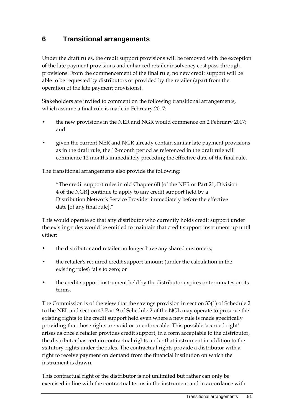# **6 Transitional arrangements**

Under the draft rules, the credit support provisions will be removed with the exception of the late payment provisions and enhanced retailer insolvency cost pass-through provisions. From the commencement of the final rule, no new credit support will be able to be requested by distributors or provided by the retailer (apart from the operation of the late payment provisions).

Stakeholders are invited to comment on the following transitional arrangements, which assume a final rule is made in February 2017:

- the new provisions in the NER and NGR would commence on 2 February 2017; and
- given the current NER and NGR already contain similar late payment provisions as in the draft rule, the 12-month period as referenced in the draft rule will commence 12 months immediately preceding the effective date of the final rule.

The transitional arrangements also provide the following:

"The credit support rules in old Chapter 6B [of the NER or Part 21, Division 4 of the NGR] continue to apply to any credit support held by a Distribution Network Service Provider immediately before the effective date [of any final rule]."

This would operate so that any distributor who currently holds credit support under the existing rules would be entitled to maintain that credit support instrument up until either:

- the distributor and retailer no longer have any shared customers;
- the retailer's required credit support amount (under the calculation in the existing rules) falls to zero; or
- the credit support instrument held by the distributor expires or terminates on its terms.

The Commission is of the view that the savings provision in section 33(1) of Schedule 2 to the NEL and section 43 Part 9 of Schedule 2 of the NGL may operate to preserve the existing rights to the credit support held even where a new rule is made specifically providing that those rights are void or unenforceable. This possible 'accrued right' arises as once a retailer provides credit support, in a form acceptable to the distributor, the distributor has certain contractual rights under that instrument in addition to the statutory rights under the rules. The contractual rights provide a distributor with a right to receive payment on demand from the financial institution on which the instrument is drawn.

This contractual right of the distributor is not unlimited but rather can only be exercised in line with the contractual terms in the instrument and in accordance with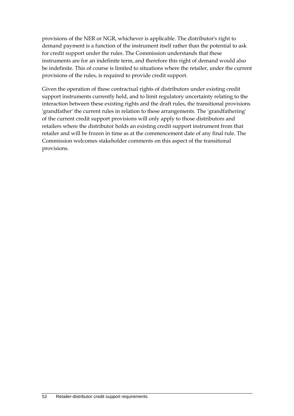provisions of the NER or NGR, whichever is applicable. The distributor's right to demand payment is a function of the instrument itself rather than the potential to ask for credit support under the rules. The Commission understands that these instruments are for an indefinite term, and therefore this right of demand would also be indefinite. This of course is limited to situations where the retailer, under the current provisions of the rules, is required to provide credit support.

Given the operation of these contractual rights of distributors under existing credit support instruments currently held, and to limit regulatory uncertainty relating to the interaction between these existing rights and the draft rules, the transitional provisions 'grandfather' the current rules in relation to these arrangements. The 'grandfathering' of the current credit support provisions will only apply to those distributors and retailers where the distributor holds an existing credit support instrument from that retailer and will be frozen in time as at the commencement date of any final rule. The Commission welcomes stakeholder comments on this aspect of the transitional provisions.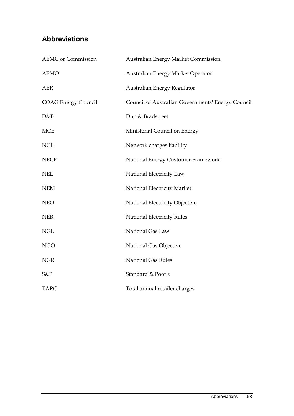# **Abbreviations**

| <b>AEMC</b> or Commission  | <b>Australian Energy Market Commission</b>        |
|----------------------------|---------------------------------------------------|
| <b>AEMO</b>                | Australian Energy Market Operator                 |
| <b>AER</b>                 | Australian Energy Regulator                       |
| <b>COAG Energy Council</b> | Council of Australian Governments' Energy Council |
| D&B                        | Dun & Bradstreet                                  |
| <b>MCE</b>                 | Ministerial Council on Energy                     |
| <b>NCL</b>                 | Network charges liability                         |
| <b>NECF</b>                | National Energy Customer Framework                |
| <b>NEL</b>                 | National Electricity Law                          |
| <b>NEM</b>                 | National Electricity Market                       |
| <b>NEO</b>                 | National Electricity Objective                    |
| <b>NER</b>                 | National Electricity Rules                        |
| <b>NGL</b>                 | National Gas Law                                  |
| <b>NGO</b>                 | National Gas Objective                            |
| <b>NGR</b>                 | <b>National Gas Rules</b>                         |
| S&P                        | Standard & Poor's                                 |
| <b>TARC</b>                | Total annual retailer charges                     |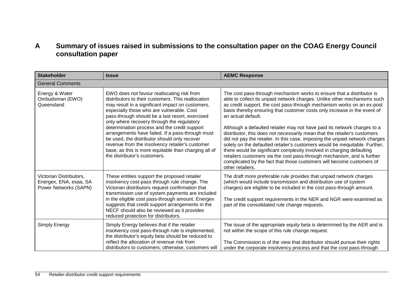# **A Summary of issues raised in submissions to the consultation paper on the COAG Energy Council consultation paper**

| <b>Stakeholder</b>                                                         | <b>Issue</b>                                                                                                                                                                                                                                                                                                                                                                                                                                                                                                                                                                                      | <b>AEMC Response</b>                                                                                                                                                                                                                                                                                                                                                                                                                                                                                                                                                                                                                                                                                                                                                                                                                                                                                  |  |  |  |
|----------------------------------------------------------------------------|---------------------------------------------------------------------------------------------------------------------------------------------------------------------------------------------------------------------------------------------------------------------------------------------------------------------------------------------------------------------------------------------------------------------------------------------------------------------------------------------------------------------------------------------------------------------------------------------------|-------------------------------------------------------------------------------------------------------------------------------------------------------------------------------------------------------------------------------------------------------------------------------------------------------------------------------------------------------------------------------------------------------------------------------------------------------------------------------------------------------------------------------------------------------------------------------------------------------------------------------------------------------------------------------------------------------------------------------------------------------------------------------------------------------------------------------------------------------------------------------------------------------|--|--|--|
| <b>General Comments</b>                                                    |                                                                                                                                                                                                                                                                                                                                                                                                                                                                                                                                                                                                   |                                                                                                                                                                                                                                                                                                                                                                                                                                                                                                                                                                                                                                                                                                                                                                                                                                                                                                       |  |  |  |
| Energy & Water<br>Ombudsman (EWO)<br>Queensland                            | EWO does not favour reallocating risk from<br>distributors to their customers. This reallocation<br>may result in a significant impact on customers,<br>especially those who are vulnerable. Cost<br>pass-through should be a last resort, exercised<br>only where recovery through the regulatory<br>determination process and the credit support<br>arrangements have failed. If a pass-through must<br>be used, the distributor should only recover<br>revenue from the insolvency retailer's customer<br>base, as this is more equitable than charging all of<br>the distributor's customers. | The cost pass-through mechanism works to ensure that a distributor is<br>able to collect its unpaid network charges. Unlike other mechanisms such<br>as credit support, the cost pass-through mechanism works on an ex-post<br>basis thereby ensuring that customer costs only increase in the event of<br>an actual default.<br>Although a defaulted retailer may not have paid its network charges to a<br>distributor, this does not necessarily mean that the retailer's customers<br>did not pay the retailer. In this case, imposing the unpaid network charges<br>solely on the defaulted retailer's customers would be inequitable. Further,<br>there would be significant complexity involved in charging defaulting<br>retailers customers via the cost pass-through mechanism, and is further<br>complicated by the fact that those customers will become customers of<br>other retailers. |  |  |  |
| Victorian Distributors,<br>Energex, ENA, esaa, SA<br>Power Networks (SAPN) | These entities support the proposed retailer<br>insolvency cost-pass through rule change. The<br>Victorian distributors request confirmation that<br>transmission use of system payments are included<br>in the eligible cost pass-through amount. Energex<br>suggests that credit support arrangements in the<br>NECF should also be reviewed as it provides<br>reduced protection for distributors.                                                                                                                                                                                             | The draft more preferable rule provides that unpaid network charges<br>(which would include transmission and distribution use of system<br>charges) are eligible to be included in the cost pass-through amount.<br>The credit support requirements in the NER and NGR were examined as<br>part of the consolidated rule change requests.                                                                                                                                                                                                                                                                                                                                                                                                                                                                                                                                                             |  |  |  |
| Simply Energy                                                              | Simply Energy believes that if the retailer<br>insolvency cost pass-through rule is implemented,<br>the distributor's equity beta should be reduced to<br>reflect the allocation of revenue risk from<br>distributors to customers; otherwise, customers will                                                                                                                                                                                                                                                                                                                                     | The issue of the appropriate equity beta is determined by the AER and is<br>not within the scope of this rule change request.<br>The Commission is of the view that distributor should pursue their rights<br>under the corporate insolvency process and that the cost pass-through                                                                                                                                                                                                                                                                                                                                                                                                                                                                                                                                                                                                                   |  |  |  |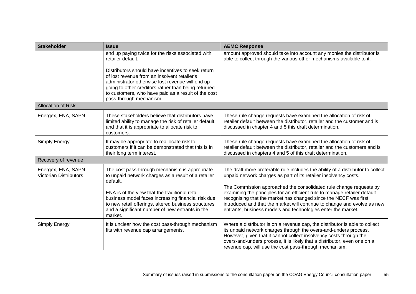| <b>Stakeholder</b>                                   | <b>Issue</b>                                                                                                                                                                                                                                                                                    | <b>AEMC Response</b>                                                                                                                                                                                                                                                                                                                                        |
|------------------------------------------------------|-------------------------------------------------------------------------------------------------------------------------------------------------------------------------------------------------------------------------------------------------------------------------------------------------|-------------------------------------------------------------------------------------------------------------------------------------------------------------------------------------------------------------------------------------------------------------------------------------------------------------------------------------------------------------|
|                                                      | end up paying twice for the risks associated with<br>retailer default.                                                                                                                                                                                                                          | amount approved should take into account any monies the distributor is<br>able to collect through the various other mechanisms available to it.                                                                                                                                                                                                             |
|                                                      | Distributors should have incentives to seek return<br>of lost revenue from an insolvent retailer's<br>administrator otherwise lost revenue will end up<br>going to other creditors rather than being returned<br>to customers, who have paid as a result of the cost<br>pass-through mechanism. |                                                                                                                                                                                                                                                                                                                                                             |
| <b>Allocation of Risk</b>                            |                                                                                                                                                                                                                                                                                                 |                                                                                                                                                                                                                                                                                                                                                             |
| Energex, ENA, SAPN                                   | These stakeholders believe that distributors have<br>limited ability to manage the risk of retailer default,<br>and that it is appropriate to allocate risk to<br>customers.                                                                                                                    | These rule change requests have examined the allocation of risk of<br>retailer default between the distributor, retailer and the customer and is<br>discussed in chapter 4 and 5 this draft determination.                                                                                                                                                  |
| Simply Energy                                        | It may be appropriate to reallocate risk to<br>customers if it can be demonstrated that this is in<br>their long term interest.                                                                                                                                                                 | These rule change requests have examined the allocation of risk of<br>retailer default between the distributor, retailer and the customers and is<br>discussed in chapters 4 and 5 of this draft determination.                                                                                                                                             |
| Recovery of revenue                                  |                                                                                                                                                                                                                                                                                                 |                                                                                                                                                                                                                                                                                                                                                             |
| Energex, ENA, SAPN,<br><b>Victorian Distributors</b> | The cost pass-through mechanism is appropriate<br>to unpaid network charges as a result of a retailer<br>default.<br>ENA is of the view that the traditional retail                                                                                                                             | The draft more preferable rule includes the ability of a distributor to collect<br>unpaid network charges as part of its retailer insolvency costs.<br>The Commission approached the consolidated rule change requests by<br>examining the principles for an efficient rule to manage retailer default                                                      |
|                                                      | business model faces increasing financial risk due<br>to new retail offerings, altered business structures<br>and a significant number of new entrants in the<br>market.                                                                                                                        | recognising that the market has changed since the NECF was first<br>introduced and that the market will continue to change and evolve as new<br>entrants, business models and technologies enter the market.                                                                                                                                                |
| Simply Energy                                        | It is unclear how the cost pass-through mechanism<br>fits with revenue cap arrangements.                                                                                                                                                                                                        | Where a distributor is on a revenue cap, the distributor is able to collect<br>its unpaid network charges through the overs-and-unders process.<br>However, given that it cannot collect insolvency costs through the<br>overs-and-unders process, it is likely that a distributor, even one on a<br>revenue cap, will use the cost pass-through mechanism. |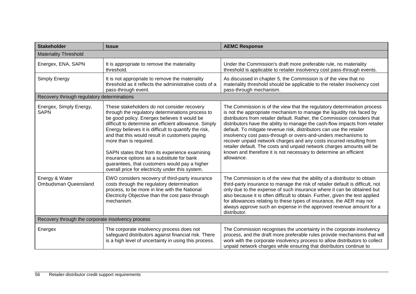| <b>Stakeholder</b>                                | <b>Issue</b>                                                                                                                                                                                                                                                                                                                                                                                                                                                                                                                                       | <b>AEMC Response</b>                                                                                                                                                                                                                                                                                                                                                                                                                                                                                                                                                                                                                                                                         |  |
|---------------------------------------------------|----------------------------------------------------------------------------------------------------------------------------------------------------------------------------------------------------------------------------------------------------------------------------------------------------------------------------------------------------------------------------------------------------------------------------------------------------------------------------------------------------------------------------------------------------|----------------------------------------------------------------------------------------------------------------------------------------------------------------------------------------------------------------------------------------------------------------------------------------------------------------------------------------------------------------------------------------------------------------------------------------------------------------------------------------------------------------------------------------------------------------------------------------------------------------------------------------------------------------------------------------------|--|
| <b>Materiality Threshold</b>                      |                                                                                                                                                                                                                                                                                                                                                                                                                                                                                                                                                    |                                                                                                                                                                                                                                                                                                                                                                                                                                                                                                                                                                                                                                                                                              |  |
| Energex, ENA, SAPN                                | It is appropriate to remove the materiality<br>threshold.                                                                                                                                                                                                                                                                                                                                                                                                                                                                                          | Under the Commission's draft more preferable rule, no materiality<br>threshold is applicable to retailer insolvency cost pass-through events.                                                                                                                                                                                                                                                                                                                                                                                                                                                                                                                                                |  |
| Simply Energy                                     | It is not appropriate to remove the materiality<br>threshold as it reflects the administrative costs of a<br>pass-through event.                                                                                                                                                                                                                                                                                                                                                                                                                   | As discussed in chapter 5, the Commission is of the view that no<br>materiality threshold should be applicable to the retailer insolvency cost<br>pass-through mechanism.                                                                                                                                                                                                                                                                                                                                                                                                                                                                                                                    |  |
| Recovery through regulatory determinations        |                                                                                                                                                                                                                                                                                                                                                                                                                                                                                                                                                    |                                                                                                                                                                                                                                                                                                                                                                                                                                                                                                                                                                                                                                                                                              |  |
| Energex, Simply Energy,<br><b>SAPN</b>            | These stakeholders do not consider recovery<br>through the regulatory determinations process to<br>be good policy. Energex believes it would be<br>difficult to determine an efficient allowance. Simply<br>Energy believes it is difficult to quantify the risk,<br>and that this would result in customers paying<br>more than is required.<br>SAPN states that from its experience examining<br>insurance options as a substitute for bank<br>guarantees, that customers would pay a higher<br>overall price for electricity under this system. | The Commission is of the view that the regulatory determination process<br>is not the appropriate mechanism to manage the liquidity risk faced by<br>distributors from retailer default. Rather, the Commission considers that<br>distributors have the ability to manage the cash-flow impacts from retailer<br>default. To mitigate revenue risk, distributors can use the retailer<br>insolvency cost pass-through or overs-and-unders mechanisms to<br>recover unpaid network charges and any costs incurred resulting from<br>retailer default. The costs and unpaid network charges amounts will be<br>known and therefore it is not necessary to determine an efficient<br>allowance. |  |
| Energy & Water<br>Ombudsman Queensland            | EWO considers recovery of third-party insurance<br>costs through the regulatory determination<br>process, to be more in line with the National<br>Electricity Objective than the cost pass-through<br>mechanism.                                                                                                                                                                                                                                                                                                                                   | The Commission is of the view that the ability of a distributor to obtain<br>third-party insurance to manage the risk of retailer default is difficult, not<br>only due to the expense of such insurance where it can be obtained but<br>also because it is often difficult to obtain. Further, given the test applied<br>for allowances relating to these types of insurance, the AER may not<br>always approve such an expense in the approved revenue amount for a<br>distributor.                                                                                                                                                                                                        |  |
| Recovery through the corporate insolvency process |                                                                                                                                                                                                                                                                                                                                                                                                                                                                                                                                                    |                                                                                                                                                                                                                                                                                                                                                                                                                                                                                                                                                                                                                                                                                              |  |
| Energex                                           | The corporate insolvency process does not<br>safeguard distributors against financial risk. There<br>is a high level of uncertainty in using this process.                                                                                                                                                                                                                                                                                                                                                                                         | The Commission recognises the uncertainty in the corporate insolvency<br>process, and the draft more preferable rules provide mechanisms that will<br>work with the corporate insolvency process to allow distributors to collect<br>unpaid network charges while ensuring that distributors continue to                                                                                                                                                                                                                                                                                                                                                                                     |  |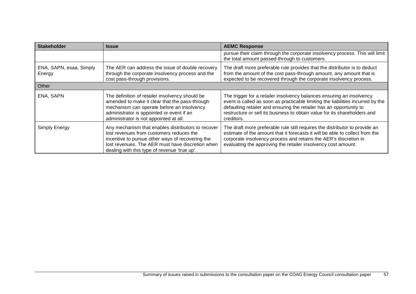| <b>Stakeholder</b>                | <b>Issue</b>                                                                                                                                                                                                                                           | <b>AEMC Response</b>                                                                                                                                                                                                                                                                                                       |
|-----------------------------------|--------------------------------------------------------------------------------------------------------------------------------------------------------------------------------------------------------------------------------------------------------|----------------------------------------------------------------------------------------------------------------------------------------------------------------------------------------------------------------------------------------------------------------------------------------------------------------------------|
|                                   |                                                                                                                                                                                                                                                        | pursue their claim through the corporate insolvency process. This will limit<br>the total amount passed-through to customers.                                                                                                                                                                                              |
| ENA, SAPN, esaa, Simply<br>Energy | The AER can address the issue of double recovery<br>through the corporate insolvency process and the<br>cost pass-through provisions.                                                                                                                  | The draft more preferable rule provides that the distributor is to deduct<br>from the amount of the cost pass-through amount, any amount that is<br>expected to be recovered through the corporate insolvency process.                                                                                                     |
| Other                             |                                                                                                                                                                                                                                                        |                                                                                                                                                                                                                                                                                                                            |
| ENA, SAPN                         | The definition of retailer insolvency should be<br>amended to make it clear that the pass-through<br>mechanism can operate before an insolvency<br>administrator is appointed or event if an<br>administrator is not appointed at all.                 | The trigger for a retailer insolvency balances ensuring an insolvency<br>event is called as soon as practicable limiting the liabilities incurred by the<br>defaulting retailer and ensuring the retailer has an opportunity to<br>restructure or sell its business to obtain value for its shareholders and<br>creditors. |
| Simply Energy                     | Any mechanism that enables distributors to recover<br>lost revenues from customers reduces the<br>incentive to pursue other ways of recovering the<br>lost revenues. The AER must have discretion when<br>dealing with this type of revenue 'true up'. | The draft more preferable rule still requires the distributor to provide an<br>estimate of the amount that it forecasts it will be able to collect from the<br>corporate insolvency process and retains the AER's discretion in<br>evaluating the approving the retailer insolvency cost amount.                           |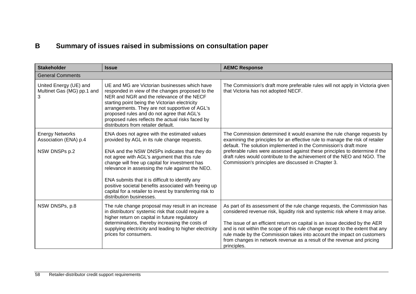# **B Summary of issues raised in submissions on consultation paper**

| <b>Stakeholder</b>                                               | <b>Issue</b>                                                                                                                                                                                                                                                                                                                                                                                                                                                                                            | <b>AEMC Response</b>                                                                                                                                                                                                                                                                                                                                                                                                                                                                         |  |  |  |
|------------------------------------------------------------------|---------------------------------------------------------------------------------------------------------------------------------------------------------------------------------------------------------------------------------------------------------------------------------------------------------------------------------------------------------------------------------------------------------------------------------------------------------------------------------------------------------|----------------------------------------------------------------------------------------------------------------------------------------------------------------------------------------------------------------------------------------------------------------------------------------------------------------------------------------------------------------------------------------------------------------------------------------------------------------------------------------------|--|--|--|
| <b>General Comments</b>                                          |                                                                                                                                                                                                                                                                                                                                                                                                                                                                                                         |                                                                                                                                                                                                                                                                                                                                                                                                                                                                                              |  |  |  |
| United Energy (UE) and<br>Multinet Gas (MG) pp.1 and<br>3        | UE and MG are Victorian businesses which have<br>responded in view of the changes proposed to the<br>NER and NGR and the relevance of the NECF<br>starting point being the Victorian electricity<br>arrangements. They are not supportive of AGL's<br>proposed rules and do not agree that AGL's<br>proposed rules reflects the actual risks faced by<br>distributors from retailer default.                                                                                                            | The Commission's draft more preferable rules will not apply in Victoria given<br>that Victoria has not adopted NECF.                                                                                                                                                                                                                                                                                                                                                                         |  |  |  |
| <b>Energy Networks</b><br>Association (ENA) p.4<br>NSW DNSPs p.2 | ENA does not agree with the estimated values<br>provided by AGL in its rule change requests.<br>ENA and the NSW DNSPs indicates that they do<br>not agree with AGL's argument that this rule<br>change will free up capital for investment has<br>relevance in assessing the rule against the NEO.<br>ENA submits that it is difficult to identify any<br>positive societal benefits associated with freeing up<br>capital for a retailer to invest by transferring risk to<br>distribution businesses. | The Commission determined it would examine the rule change requests by<br>examining the principles for an effective rule to manage the risk of retailer<br>default. The solution implemented in the Commission's draft more<br>preferable rules were assessed against these principles to determine if the<br>draft rules would contribute to the achievement of the NEO and NGO. The<br>Commission's principles are discussed in Chapter 3.                                                 |  |  |  |
| NSW DNSPs, p.8                                                   | The rule change proposal may result in an increase<br>in distributors' systemic risk that could require a<br>higher return on capital in future regulatory<br>determinations, thereby increasing the costs of<br>supplying electricity and leading to higher electricity<br>prices for consumers.                                                                                                                                                                                                       | As part of its assessment of the rule change requests, the Commission has<br>considered revenue risk, liquidity risk and systemic risk where it may arise.<br>The issue of an efficient return on capital is an issue decided by the AER<br>and is not within the scope of this rule change except to the extent that any<br>rule made by the Commission takes into account the impact on customers<br>from changes in network revenue as a result of the revenue and pricing<br>principles. |  |  |  |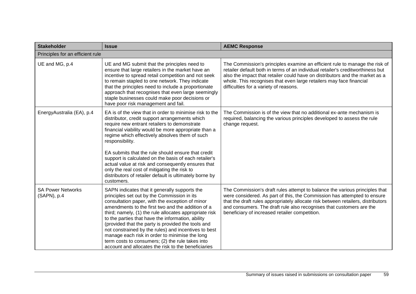| <b>Stakeholder</b>                      | <b>Issue</b>                                                                                                                                                                                                                                                                                                                                                                                                                                                                                                                                                                                   | <b>AEMC Response</b>                                                                                                                                                                                                                                                                                                                                                  |  |  |  |
|-----------------------------------------|------------------------------------------------------------------------------------------------------------------------------------------------------------------------------------------------------------------------------------------------------------------------------------------------------------------------------------------------------------------------------------------------------------------------------------------------------------------------------------------------------------------------------------------------------------------------------------------------|-----------------------------------------------------------------------------------------------------------------------------------------------------------------------------------------------------------------------------------------------------------------------------------------------------------------------------------------------------------------------|--|--|--|
| Principles for an efficient rule        |                                                                                                                                                                                                                                                                                                                                                                                                                                                                                                                                                                                                |                                                                                                                                                                                                                                                                                                                                                                       |  |  |  |
| UE and MG, p.4                          | UE and MG submit that the principles need to<br>ensure that large retailers in the market have an<br>incentive to spread retail competition and not seek<br>to remain stapled to one network. They indicate<br>that the principles need to include a proportionate<br>approach that recognises that even large seemingly<br>staple businesses could make poor decisions or<br>have poor risk management and fail.                                                                                                                                                                              | The Commission's principles examine an efficient rule to manage the risk of<br>retailer default both in terms of an individual retailer's creditworthiness but<br>also the impact that retailer could have on distributors and the market as a<br>whole. This recognises that even large retailers may face financial<br>difficulties for a variety of reasons.       |  |  |  |
| EnergyAustralia (EA), p.4               | EA is of the view that in order to minimise risk to the<br>distributor, credit support arrangements which<br>require new entrant retailers to demonstrate<br>financial viability would be more appropriate than a<br>regime which effectively absolves them of such<br>responsibility.<br>EA submits that the rule should ensure that credit<br>support is calculated on the basis of each retailer's<br>actual value at risk and consequently ensures that<br>only the real cost of mitigating the risk to<br>distributors of retailer default is ultimately borne by<br>customers.           | The Commission is of the view that no additional ex-ante mechanism is<br>required, balancing the various principles developed to assess the rule<br>change request.                                                                                                                                                                                                   |  |  |  |
| <b>SA Power Networks</b><br>(SAPN), p.4 | SAPN indicates that it generally supports the<br>principles set out by the Commission in its<br>consultation paper, with the exception of minor<br>amendments to the first two and the addition of a<br>third; namely, (1) the rule allocates appropriate risk<br>to the parties that have the information, ability<br>(provided that the party is provided the tools and<br>not constrained by the rules) and incentives to best<br>manage each risk in order to minimise the long<br>term costs to consumers; (2) the rule takes into<br>account and allocates the risk to the beneficiaries | The Commission's draft rules attempt to balance the various principles that<br>were considered. As part of this, the Commission has attempted to ensure<br>that the draft rules appropriately allocate risk between retailers, distributors<br>and consumers. The draft rule also recognises that customers are the<br>beneficiary of increased retailer competition. |  |  |  |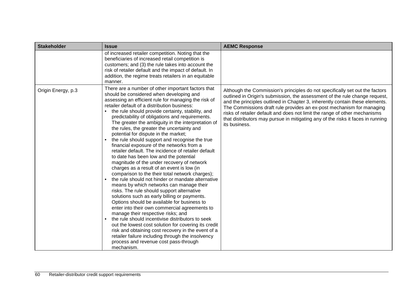| <b>Stakeholder</b> | <b>Issue</b>                                                                                                                                                                                                                                                                                                                                                                                                                                                                                                                                                                                                                                                                                                                                                                                                                                                                                                                                                                                                                                                                                                                                                                                                                                                                                                                                                                                                                 | <b>AEMC Response</b>                                                                                                                                                                                                                                                                                                                                                                                                                                                                                   |
|--------------------|------------------------------------------------------------------------------------------------------------------------------------------------------------------------------------------------------------------------------------------------------------------------------------------------------------------------------------------------------------------------------------------------------------------------------------------------------------------------------------------------------------------------------------------------------------------------------------------------------------------------------------------------------------------------------------------------------------------------------------------------------------------------------------------------------------------------------------------------------------------------------------------------------------------------------------------------------------------------------------------------------------------------------------------------------------------------------------------------------------------------------------------------------------------------------------------------------------------------------------------------------------------------------------------------------------------------------------------------------------------------------------------------------------------------------|--------------------------------------------------------------------------------------------------------------------------------------------------------------------------------------------------------------------------------------------------------------------------------------------------------------------------------------------------------------------------------------------------------------------------------------------------------------------------------------------------------|
|                    | of increased retailer competition. Noting that the<br>beneficiaries of increased retail competition is<br>customers; and (3) the rule takes into account the<br>risk of retailer default and the impact of default. In<br>addition, the regime treats retailers in an equitable<br>manner.                                                                                                                                                                                                                                                                                                                                                                                                                                                                                                                                                                                                                                                                                                                                                                                                                                                                                                                                                                                                                                                                                                                                   |                                                                                                                                                                                                                                                                                                                                                                                                                                                                                                        |
| Origin Energy, p.3 | There are a number of other important factors that<br>should be considered when developing and<br>assessing an efficient rule for managing the risk of<br>retailer default of a distribution business:<br>the rule should provide certainty, stability, and<br>predictability of obligations and requirements.<br>The greater the ambiguity in the interpretation of<br>the rules, the greater the uncertainty and<br>potential for dispute in the market;<br>the rule should support and recognise the true<br>financial exposure of the networks from a<br>retailer default. The incidence of retailer default<br>to date has been low and the potential<br>magnitude of the under recovery of network<br>charges as a result of an event is low (in<br>comparison to the their total network charges);<br>the rule should not hinder or mandate alternative<br>means by which networks can manage their<br>risks. The rule should support alternative<br>solutions such as early billing or payments.<br>Options should be available for business to<br>enter into their own commercial agreements to<br>manage their respective risks; and<br>the rule should incentivise distributors to seek<br>out the lowest cost solution for covering its credit<br>risk and obtaining cost recovery in the event of a<br>retailer failure including through the insolvency<br>process and revenue cost pass-through<br>mechanism. | Although the Commission's principles do not specifically set out the factors<br>outlined in Origin's submission, the assessment of the rule change request,<br>and the principles outlined in Chapter 3, inherently contain these elements.<br>The Commissions draft rule provides an ex-post mechanism for managing<br>risks of retailer default and does not limit the range of other mechanisms<br>that distributors may pursue in mitigating any of the risks it faces in running<br>its business. |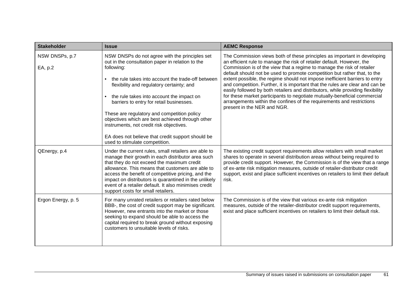| <b>Stakeholder</b>        | <b>Issue</b>                                                                                                                                                                                                                                                                                                                                                                                                                                                                                                                                                   | <b>AEMC Response</b>                                                                                                                                                                                                                                                                                                                                                                                                                                                                                                                                                                                                                                                                                                                              |
|---------------------------|----------------------------------------------------------------------------------------------------------------------------------------------------------------------------------------------------------------------------------------------------------------------------------------------------------------------------------------------------------------------------------------------------------------------------------------------------------------------------------------------------------------------------------------------------------------|---------------------------------------------------------------------------------------------------------------------------------------------------------------------------------------------------------------------------------------------------------------------------------------------------------------------------------------------------------------------------------------------------------------------------------------------------------------------------------------------------------------------------------------------------------------------------------------------------------------------------------------------------------------------------------------------------------------------------------------------------|
| NSW DNSPs, p.7<br>EA, p.2 | NSW DNSPs do not agree with the principles set<br>out in the consultation paper in relation to the<br>following:<br>the rule takes into account the trade-off between<br>flexibility and regulatory certainty; and<br>the rule takes into account the impact on<br>$\bullet$<br>barriers to entry for retail businesses.<br>These are regulatory and competition policy<br>objectives which are best achieved through other<br>instruments, not credit risk objectives.<br>EA does not believe that credit support should be<br>used to stimulate competition. | The Commission views both of these principles as important in developing<br>an efficient rule to manage the risk of retailer default. However, the<br>Commission is of the view that a regime to manage the risk of retailer<br>default should not be used to promote competition but rather that, to the<br>extent possible, the regime should not impose inefficient barriers to entry<br>and competition. Further, it is important that the rules are clear and can be<br>easily followed by both retailers and distributors, while providing flexibility<br>for these market participants to negotiate mutually-beneficial commercial<br>arrangements within the confines of the requirements and restrictions<br>present in the NER and NGR. |
| QEnergy, p.4              | Under the current rules, small retailers are able to<br>manage their growth in each distributor area such<br>that they do not exceed the maximum credit<br>allowance. This means that customers are able to<br>access the benefit of competitive pricing, and the<br>impact on distributors is quarantined in the unlikely<br>event of a retailer default. It also minimises credit<br>support costs for small retailers.                                                                                                                                      | The existing credit support requirements allow retailers with small market<br>shares to operate in several distribution areas without being required to<br>provide credit support. However, the Commission is of the view that a range<br>of ex-ante risk mitigation measures, outside of retailer-distributor credit<br>support, exist and place sufficient incentives on retailers to limit their default<br>risk.                                                                                                                                                                                                                                                                                                                              |
| Ergon Energy, p. 5        | For many unrated retailers or retailers rated below<br>BBB-, the cost of credit support may be significant.<br>However, new entrants into the market or those<br>seeking to expand should be able to access the<br>capital required to break ground without exposing<br>customers to unsuitable levels of risks.                                                                                                                                                                                                                                               | The Commission is of the view that various ex-ante risk mitigation<br>measures, outside of the retailer-distributor credit support requirements,<br>exist and place sufficient incentives on retailers to limit their default risk.                                                                                                                                                                                                                                                                                                                                                                                                                                                                                                               |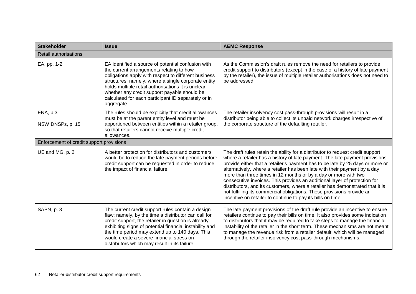| <b>Stakeholder</b>                       | <b>Issue</b>                                                                                                                                                                                                                                                                                                                                                                             | <b>AEMC Response</b>                                                                                                                                                                                                                                                                                                                                                                                                                                                                                                                                                                                                                                                                                  |  |  |  |
|------------------------------------------|------------------------------------------------------------------------------------------------------------------------------------------------------------------------------------------------------------------------------------------------------------------------------------------------------------------------------------------------------------------------------------------|-------------------------------------------------------------------------------------------------------------------------------------------------------------------------------------------------------------------------------------------------------------------------------------------------------------------------------------------------------------------------------------------------------------------------------------------------------------------------------------------------------------------------------------------------------------------------------------------------------------------------------------------------------------------------------------------------------|--|--|--|
| Retail authorisations                    |                                                                                                                                                                                                                                                                                                                                                                                          |                                                                                                                                                                                                                                                                                                                                                                                                                                                                                                                                                                                                                                                                                                       |  |  |  |
| EA, pp. 1-2                              | EA identified a source of potential confusion with<br>the current arrangements relating to how<br>obligations apply with respect to different business<br>structures; namely, where a single corporate entity<br>holds multiple retail authorisations it is unclear<br>whether any credit support payable should be<br>calculated for each participant ID separately or in<br>aggregate. | As the Commission's draft rules remove the need for retailers to provide<br>credit support to distributors (except in the case of a history of late payment<br>by the retailer), the issue of multiple retailer authorisations does not need to<br>be addressed.                                                                                                                                                                                                                                                                                                                                                                                                                                      |  |  |  |
| ENA, p.3<br>NSW DNSPs, p. 15             | The rules should be explicitly that credit allowances<br>must be at the parent entity level and must be<br>apportioned between entities within a retailer group,<br>so that retailers cannot receive multiple credit<br>allowances.                                                                                                                                                      | The retailer insolvency cost pass-through provisions will result in a<br>distributor being able to collect its unpaid network charges irrespective of<br>the corporate structure of the defaulting retailer.                                                                                                                                                                                                                                                                                                                                                                                                                                                                                          |  |  |  |
| Enforcement of credit support provisions |                                                                                                                                                                                                                                                                                                                                                                                          |                                                                                                                                                                                                                                                                                                                                                                                                                                                                                                                                                                                                                                                                                                       |  |  |  |
| UE and MG, p. 2                          | A better protection for distributors and customers<br>would be to reduce the late payment periods before<br>credit support can be requested in order to reduce<br>the impact of financial failure.                                                                                                                                                                                       | The draft rules retain the ability for a distributor to request credit support<br>where a retailer has a history of late payment. The late payment provisions<br>provide either that a retailer's payment has to be late by 25 days or more or<br>alternatively, where a retailer has been late with their payment by a day<br>more than three times in 12 months or by a day or more with two<br>consecutive invoices. This provides an additional layer of protection for<br>distributors, and its customers, where a retailer has demonstrated that it is<br>not fulfilling its commercial obligations. These provisions provide an<br>incentive on retailer to continue to pay its bills on time. |  |  |  |
| SAPN, p. 3                               | The current credit support rules contain a design<br>flaw; namely, by the time a distributor can call for<br>credit support, the retailer in question is already<br>exhibiting signs of potential financial instability and<br>the time period may extend up to 140 days. This<br>would create a severe financial stress on<br>distributors which may result in its failure.             | The late payment provisions of the draft rule provide an incentive to ensure<br>retailers continue to pay their bills on time. It also provides some indication<br>to distributors that it may be required to take steps to manage the financial<br>instability of the retailer in the short term. These mechanisms are not meant<br>to manage the revenue risk from a retailer default, which will be managed<br>through the retailer insolvency cost pass-through mechanisms.                                                                                                                                                                                                                       |  |  |  |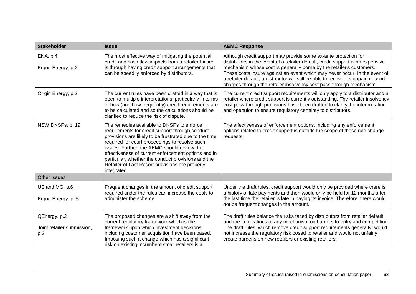| <b>Stakeholder</b>                                | <b>Issue</b>                                                                                                                                                                                                                                                                                                                                                                                                                            | <b>AEMC Response</b>                                                                                                                                                                                                                                                                                                                                                                                                                                                   |
|---------------------------------------------------|-----------------------------------------------------------------------------------------------------------------------------------------------------------------------------------------------------------------------------------------------------------------------------------------------------------------------------------------------------------------------------------------------------------------------------------------|------------------------------------------------------------------------------------------------------------------------------------------------------------------------------------------------------------------------------------------------------------------------------------------------------------------------------------------------------------------------------------------------------------------------------------------------------------------------|
| ENA, p.4<br>Ergon Energy, p.2                     | The most effective way of mitigating the potential<br>credit and cash flow impacts from a retailer failure<br>is through having credit support arrangements that<br>can be speedily enforced by distributors.                                                                                                                                                                                                                           | Although credit support may provide some ex-ante protection for<br>distributors in the event of a retailer default, credit support is an expensive<br>mechanism whose cost is generally borne by the retailer's customers.<br>These costs insure against an event which may never occur. In the event of<br>a retailer default, a distributor will still be able to recover its unpaid network<br>charges through the retailer insolvency cost pass-through mechanism. |
| Origin Energy, p.2                                | The current rules have been drafted in a way that is<br>open to multiple interpretations, particularly in terms<br>of how (and how frequently) credit requirements are<br>to be calculated and so the calculations should be<br>clarified to reduce the risk of dispute.                                                                                                                                                                | The current credit support requirements will only apply to a distributor and a<br>retailer where credit support is currently outstanding. The retailer insolvency<br>cost pass-through provisions have been drafted to clarify the interpretation<br>and operation to ensure regulatory certainty to distributors.                                                                                                                                                     |
| NSW DNSPs, p. 19                                  | The remedies available to DNSPs to enforce<br>requirements for credit support through conduct<br>provisions are likely to be frustrated due to the time<br>required for court proceedings to resolve such<br>issues. Further, the AEMC should review the<br>effectiveness of current enforcement options and in<br>particular, whether the conduct provisions and the<br>Retailer of Last Resort provisions are properly<br>integrated. | The effectiveness of enforcement options, including any enforcement<br>options related to credit support is outside the scope of these rule change<br>requests.                                                                                                                                                                                                                                                                                                        |
| <b>Other Issues</b>                               |                                                                                                                                                                                                                                                                                                                                                                                                                                         |                                                                                                                                                                                                                                                                                                                                                                                                                                                                        |
| UE and MG, p.6<br>Ergon Energy, p. 5              | Frequent changes in the amount of credit support<br>required under the rules can increase the costs to<br>administer the scheme.                                                                                                                                                                                                                                                                                                        | Under the draft rules, credit support would only be provided where there is<br>a history of late payments and then would only be held for 12 months after<br>the last time the retailer is late in paying its invoice. Therefore, there would<br>not be frequent changes in the amount.                                                                                                                                                                                |
| QEnergy, p.2<br>Joint retailer submission,<br>p.3 | The proposed changes are a shift away from the<br>current regulatory framework which is the<br>framework upon which investment decisions<br>including customer acquisition have been based.<br>Imposing such a change which has a significant<br>risk on existing incumbent small retailers is a                                                                                                                                        | The draft rules balance the risks faced by distributors from retailer default<br>and the implications of any mechanism on barriers to entry and competition.<br>The draft rules, which remove credit support requirements generally, would<br>not increase the regulatory risk posed to retailer and would not unfairly<br>create burdens on new retailers or existing retailers.                                                                                      |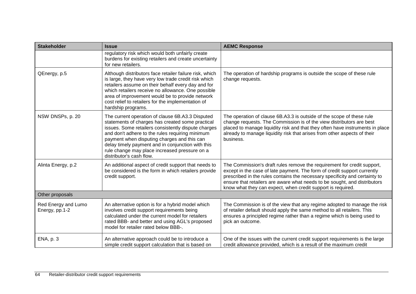| <b>Stakeholder</b>                    | <b>Issue</b>                                                                                                                                                                                                                                                                                                                                                                                    | <b>AEMC Response</b>                                                                                                                                                                                                                                                                                                                                                           |
|---------------------------------------|-------------------------------------------------------------------------------------------------------------------------------------------------------------------------------------------------------------------------------------------------------------------------------------------------------------------------------------------------------------------------------------------------|--------------------------------------------------------------------------------------------------------------------------------------------------------------------------------------------------------------------------------------------------------------------------------------------------------------------------------------------------------------------------------|
|                                       | regulatory risk which would both unfairly create<br>burdens for existing retailers and create uncertainty<br>for new retailers.                                                                                                                                                                                                                                                                 |                                                                                                                                                                                                                                                                                                                                                                                |
| QEnergy, p.5                          | Although distributors face retailer failure risk, which<br>is large, they have very low trade credit risk which<br>retailers assume on their behalf every day and for<br>which retailers receive no allowance. One possible<br>area of improvement would be to provide network<br>cost relief to retailers for the implementation of<br>hardship programs.                                      | The operation of hardship programs is outside the scope of these rule<br>change requests.                                                                                                                                                                                                                                                                                      |
| NSW DNSPs, p. 20                      | The current operation of clause 6B.A3.3 Disputed<br>statements of charges has created some practical<br>issues. Some retailers consistently dispute charges<br>and don't adhere to the rules requiring minimum<br>payment when disputing charges and this can<br>delay timely payment and in conjunction with this<br>rule change may place increased pressure on a<br>distributor's cash flow. | The operation of clause 6B.A3.3 is outside of the scope of these rule<br>change requests. The Commission is of the view distributors are best<br>placed to manage liquidity risk and that they often have instruments in place<br>already to manage liquidity risk that arises from other aspects of their<br>business.                                                        |
| Alinta Energy, p.2                    | An additional aspect of credit support that needs to<br>be considered is the form in which retailers provide<br>credit support.                                                                                                                                                                                                                                                                 | The Commission's draft rules remove the requirement for credit support,<br>except in the case of late payment. The form of credit support currently<br>prescribed in the rules contains the necessary specificity and certainty to<br>ensure that retailers are aware what needs to be sought, and distributors<br>know what they can expect, when credit support is required. |
| Other proposals                       |                                                                                                                                                                                                                                                                                                                                                                                                 |                                                                                                                                                                                                                                                                                                                                                                                |
| Red Energy and Lumo<br>Energy, pp.1-2 | An alternative option is for a hybrid model which<br>involves credit support requirements being<br>calculated under the current model for retailers<br>rated BBB- and better and using AGL's proposed<br>model for retailer rated below BBB-.                                                                                                                                                   | The Commission is of the view that any regime adopted to manage the risk<br>of retailer default should apply the same method to all retailers. This<br>ensures a principled regime rather than a regime which is being used to<br>pick an outcome.                                                                                                                             |
| ENA, p. 3                             | An alternative approach could be to introduce a<br>simple credit support calculation that is based on                                                                                                                                                                                                                                                                                           | One of the issues with the current credit support requirements is the large<br>credit allowance provided, which is a result of the maximum credit                                                                                                                                                                                                                              |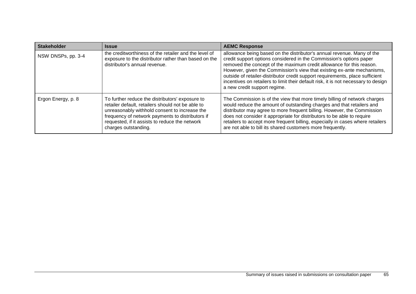| <b>Stakeholder</b> | <b>Issue</b>                                                                                                                                                                                                                                                                        | <b>AEMC Response</b>                                                                                                                                                                                                                                                                                                                                                                                                                                                                                   |
|--------------------|-------------------------------------------------------------------------------------------------------------------------------------------------------------------------------------------------------------------------------------------------------------------------------------|--------------------------------------------------------------------------------------------------------------------------------------------------------------------------------------------------------------------------------------------------------------------------------------------------------------------------------------------------------------------------------------------------------------------------------------------------------------------------------------------------------|
| NSW DNSPs, pp. 3-4 | the creditworthiness of the retailer and the level of<br>exposure to the distributor rather than based on the<br>distributor's annual revenue.                                                                                                                                      | allowance being based on the distributor's annual revenue. Many of the<br>credit support options considered in the Commission's options paper<br>removed the concept of the maximum credit allowance for this reason.<br>However, given the Commission's view that existing ex-ante mechanisms,<br>outside of retailer-distributor credit support requirements, place sufficient<br>incentives on retailers to limit their default risk, it is not necessary to design<br>a new credit support regime. |
| Ergon Energy, p. 8 | To further reduce the distributors' exposure to<br>retailer default, retailers should not be able to<br>unreasonably withhold consent to increase the<br>frequency of network payments to distributors if<br>requested, if it assists to reduce the network<br>charges outstanding. | The Commission is of the view that more timely billing of network charges<br>would reduce the amount of outstanding charges and that retailers and<br>distributor may agree to more frequent billing. However, the Commission<br>does not consider it appropriate for distributors to be able to require<br>retailers to accept more frequent billing, especially in cases where retailers<br>are not able to bill its shared customers more frequently.                                               |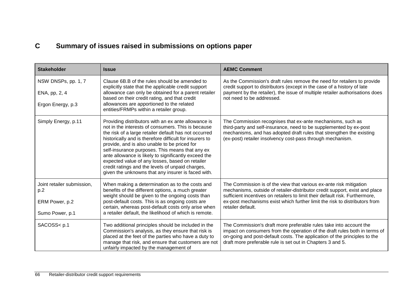# **C Summary of issues raised in submissions on options paper**

| <b>Stakeholder</b>                                                                                                                                                                                                                                                                                                                                                                                                                                                                                                                                                                                               | <b>Issue</b>                                                                                                                                                                                                                                                                                                                                                                                                                                                                                                                                          | <b>AEMC Comment</b>                                                                                                                                                                                                                                                                                                                  |
|------------------------------------------------------------------------------------------------------------------------------------------------------------------------------------------------------------------------------------------------------------------------------------------------------------------------------------------------------------------------------------------------------------------------------------------------------------------------------------------------------------------------------------------------------------------------------------------------------------------|-------------------------------------------------------------------------------------------------------------------------------------------------------------------------------------------------------------------------------------------------------------------------------------------------------------------------------------------------------------------------------------------------------------------------------------------------------------------------------------------------------------------------------------------------------|--------------------------------------------------------------------------------------------------------------------------------------------------------------------------------------------------------------------------------------------------------------------------------------------------------------------------------------|
| NSW DNSPs, pp. 1, 7<br>ENA, pp, 2, 4<br>Ergon Energy, p.3                                                                                                                                                                                                                                                                                                                                                                                                                                                                                                                                                        | Clause 6B.B of the rules should be amended to<br>explicitly state that the applicable credit support<br>allowance can only be obtained for a parent retailer<br>based on their credit rating, and that credit<br>allowances are apportioned to the related<br>entities/FRMPs within a retailer group.                                                                                                                                                                                                                                                 | As the Commission's draft rules remove the need for retailers to provide<br>credit support to distributors (except in the case of a history of late<br>payment by the retailer), the issue of multiple retailer authorisations does<br>not need to be addressed.                                                                     |
| Simply Energy, p.11                                                                                                                                                                                                                                                                                                                                                                                                                                                                                                                                                                                              | Providing distributors with an ex ante allowance is<br>not in the interests of consumers. This is because<br>the risk of a large retailer default has not occurred<br>historically and is therefore difficult for insurers to<br>provide, and is also unable to be priced for<br>self-insurance purposes. This means that any ex<br>ante allowance is likely to significantly exceed the<br>expected value of any losses, based on retailer<br>credit ratings and the levels of unpaid charges,<br>given the unknowns that any insurer is faced with. | The Commission recognises that ex-ante mechanisms, such as<br>third-party and self-insurance, need to be supplemented by ex-post<br>mechanisms, and has adopted draft rules that strengthen the existing<br>(ex-post) retailer insolvency cost-pass through mechanism.                                                               |
| Joint retailer submission,<br>p.2<br>ERM Power, p.2<br>Sumo Power, p.1                                                                                                                                                                                                                                                                                                                                                                                                                                                                                                                                           | When making a determination as to the costs and<br>benefits of the different options, a much greater<br>weight should be given to the ongoing costs than<br>post-default costs. This is as ongoing costs are<br>certain, whereas post-default costs only arise when<br>a retailer default, the likelihood of which is remote.                                                                                                                                                                                                                         | The Commission is of the view that various ex-ante risk mitigation<br>mechanisms, outside of retailer-distributor credit support, exist and place<br>sufficient incentives on retailers to limit their default risk. Furthermore,<br>ex-post mechanisms exist which further limit the risk to distributors from<br>retailer default. |
| SACOSS <p.1< td=""><td>Two additional principles should be included in the<br/>Commission's analysis, as they ensure that risk is<br/>placed at the feet of the parties who have a duty to<br/>manage that risk, and ensure that customers are not<br/>unfairly impacted by the management of</td><td>The Commission's draft more preferable rules take into account the<br/>impact on consumers from the operation of the draft rules both in terms of<br/>on-going and post-default costs. The application of the principles to the<br/>draft more preferable rule is set out in Chapters 3 and 5.</td></p.1<> | Two additional principles should be included in the<br>Commission's analysis, as they ensure that risk is<br>placed at the feet of the parties who have a duty to<br>manage that risk, and ensure that customers are not<br>unfairly impacted by the management of                                                                                                                                                                                                                                                                                    | The Commission's draft more preferable rules take into account the<br>impact on consumers from the operation of the draft rules both in terms of<br>on-going and post-default costs. The application of the principles to the<br>draft more preferable rule is set out in Chapters 3 and 5.                                          |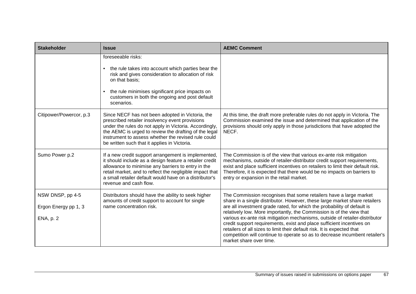| <b>Stakeholder</b>                                           | <b>Issue</b>                                                                                                                                                                                                                                                                                                                  | <b>AEMC Comment</b>                                                                                                                                                                                                                                                                                                                                                                                                                                                                                                                                                                                                                             |
|--------------------------------------------------------------|-------------------------------------------------------------------------------------------------------------------------------------------------------------------------------------------------------------------------------------------------------------------------------------------------------------------------------|-------------------------------------------------------------------------------------------------------------------------------------------------------------------------------------------------------------------------------------------------------------------------------------------------------------------------------------------------------------------------------------------------------------------------------------------------------------------------------------------------------------------------------------------------------------------------------------------------------------------------------------------------|
|                                                              | foreseeable risks:<br>the rule takes into account which parties bear the<br>risk and gives consideration to allocation of risk<br>on that basis:<br>the rule minimises significant price impacts on<br>$\bullet$<br>customers in both the ongoing and post default<br>scenarios.                                              |                                                                                                                                                                                                                                                                                                                                                                                                                                                                                                                                                                                                                                                 |
| Citipower/Powercor, p.3                                      | Since NECF has not been adopted in Victoria, the<br>prescribed retailer insolvency event provisions<br>under the rules do not apply in Victoria. Accordingly,<br>the AEMC is urged to review the drafting of the legal<br>instrument to assess whether the revised rule could<br>be written such that it applies in Victoria. | At this time, the draft more preferable rules do not apply in Victoria. The<br>Commission examined the issue and determined that application of the<br>provisions should only apply in those jurisdictions that have adopted the<br>NECF.                                                                                                                                                                                                                                                                                                                                                                                                       |
| Sumo Power p.2                                               | If a new credit support arrangement is implemented,<br>it should include as a design feature a retailer credit<br>allowance to minimise any barriers to entry in the<br>retail market, and to reflect the negligible impact that<br>a small retailer default would have on a distributor's<br>revenue and cash flow.          | The Commission is of the view that various ex-ante risk mitigation<br>mechanisms, outside of retailer-distributor credit support requirements,<br>exist and place sufficient incentives on retailers to limit their default risk.<br>Therefore, it is expected that there would be no impacts on barriers to<br>entry or expansion in the retail market.                                                                                                                                                                                                                                                                                        |
| NSW DNSP, pp 4-5<br>Ergon Energy pp 1, 3<br><b>ENA, p. 2</b> | Distributors should have the ability to seek higher<br>amounts of credit support to account for single<br>name concentration risk.                                                                                                                                                                                            | The Commission recognises that some retailers have a large market<br>share in a single distributor. However, these large market share retailers<br>are all investment grade rated, for which the probability of default is<br>relatively low. More importantly, the Commission is of the view that<br>various ex-ante risk mitigation mechanisms, outside of retailer-distributor<br>credit support requirements, exist and place sufficient incentives on<br>retailers of all sizes to limit their default risk. It is expected that<br>competition will continue to operate so as to decrease incumbent retailer's<br>market share over time. |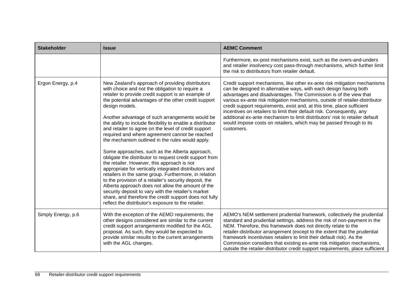| <b>Stakeholder</b> | <b>Issue</b>                                                                                                                                                                                                                                                                                                                                                                                                                                                                                                                                                                                                                                                                                                                                                                                                                                                                                                                                                                                                                                                                              | <b>AEMC Comment</b>                                                                                                                                                                                                                                                                                                                                                                                                                                                                                                                                                                                                       |
|--------------------|-------------------------------------------------------------------------------------------------------------------------------------------------------------------------------------------------------------------------------------------------------------------------------------------------------------------------------------------------------------------------------------------------------------------------------------------------------------------------------------------------------------------------------------------------------------------------------------------------------------------------------------------------------------------------------------------------------------------------------------------------------------------------------------------------------------------------------------------------------------------------------------------------------------------------------------------------------------------------------------------------------------------------------------------------------------------------------------------|---------------------------------------------------------------------------------------------------------------------------------------------------------------------------------------------------------------------------------------------------------------------------------------------------------------------------------------------------------------------------------------------------------------------------------------------------------------------------------------------------------------------------------------------------------------------------------------------------------------------------|
|                    |                                                                                                                                                                                                                                                                                                                                                                                                                                                                                                                                                                                                                                                                                                                                                                                                                                                                                                                                                                                                                                                                                           | Furthermore, ex-post mechanisms exist, such as the overs-and-unders<br>and retailer insolvency cost pass-through mechanisms, which further limit<br>the risk to distributors from retailer default.                                                                                                                                                                                                                                                                                                                                                                                                                       |
| Ergon Energy, p.4  | New Zealand's approach of providing distributors<br>with choice and not the obligation to require a<br>retailer to provide credit support is an example of<br>the potential advantages of the other credit support<br>design models.<br>Another advantage of such arrangements would be<br>the ability to include flexibility to enable a distributor<br>and retailer to agree on the level of credit support<br>required and where agreement cannot be reached<br>the mechanism outlined in the rules would apply.<br>Some approaches, such as the Alberta approach,<br>obligate the distributor to request credit support from<br>the retailer. However, this approach is not<br>appropriate for vertically integrated distributors and<br>retailers in the same group. Furthermore, in relation<br>to the provision of a retailer's security deposit, the<br>Alberta approach does not allow the amount of the<br>security deposit to vary with the retailer's market<br>share, and therefore the credit support does not fully<br>reflect the distributor's exposure to the retailer. | Credit support mechanisms, like other ex-ante risk mitigation mechanisms<br>can be designed in alternative ways, with each design having both<br>advantages and disadvantages. The Commission is of the view that<br>various ex-ante risk mitigation mechanisms, outside of retailer-distributor<br>credit support requirements, exist and, at this time, place sufficient<br>incentives on retailers to limit their default risk. Consequently, any<br>additional ex-ante mechanism to limit distributors' risk to retailer default<br>would impose costs on retailers, which may be passed through to its<br>customers. |
| Simply Energy, p.6 | With the exception of the AEMO requirements, the<br>other designs considered are similar to the current<br>credit support arrangements modified for the AGL<br>proposal. As such, they would be expected to<br>provide similar results to the current arrangements<br>with the AGL changes.                                                                                                                                                                                                                                                                                                                                                                                                                                                                                                                                                                                                                                                                                                                                                                                               | AEMO's NEM settlement prudential framework, collectively the prudential<br>standard and prudential settings, address the risk of non-payment in the<br>NEM. Therefore, this framework does not directly relate to the<br>retailer-distributor arrangement (except to the extent that the prudential<br>framework incentivises retailers to limit their default risk). As the<br>Commission considers that existing ex-ante risk mitigation mechanisms,<br>outside the retailer-distributor credit support requirements, place sufficient                                                                                  |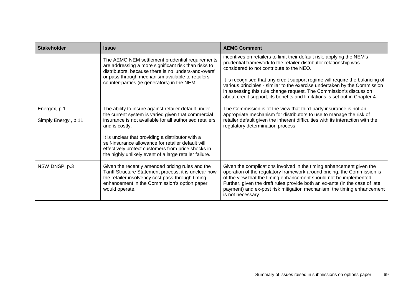| <b>Stakeholder</b>                  | <b>Issue</b>                                                                                                                                                                                                                                                                                                                                                                                                       | <b>AEMC Comment</b>                                                                                                                                                                                                                                                                                                                                                                                                                                                                                         |
|-------------------------------------|--------------------------------------------------------------------------------------------------------------------------------------------------------------------------------------------------------------------------------------------------------------------------------------------------------------------------------------------------------------------------------------------------------------------|-------------------------------------------------------------------------------------------------------------------------------------------------------------------------------------------------------------------------------------------------------------------------------------------------------------------------------------------------------------------------------------------------------------------------------------------------------------------------------------------------------------|
|                                     | The AEMO NEM settlement prudential requirements<br>are addressing a more significant risk than risks to<br>distributors, because there is no 'unders-and-overs'<br>or pass through mechanism available to retailers'<br>counter-parties (ie generators) in the NEM.                                                                                                                                                | incentives on retailers to limit their default risk, applying the NEM's<br>prudential framework to the retailer-distributor relationship was<br>considered to not contribute to the NEO.<br>It is recognised that any credit support regime will require the balancing of<br>various principles - similar to the exercise undertaken by the Commission<br>in assessing this rule change request. The Commission's discussion<br>about credit support, its benefits and limitations is set out in Chapter 4. |
| Energex, p.1<br>Simply Energy, p.11 | The ability to insure against retailer default under<br>the current system is varied given that commercial<br>insurance is not available for all authorised retailers<br>and is costly.<br>It is unclear that providing a distributor with a<br>self-insurance allowance for retailer default will<br>effectively protect customers from price shocks in<br>the highly unlikely event of a large retailer failure. | The Commission is of the view that third-party insurance is not an<br>appropriate mechanism for distributors to use to manage the risk of<br>retailer default given the inherent difficulties with its interaction with the<br>regulatory determination process.                                                                                                                                                                                                                                            |
| NSW DNSP, p.3                       | Given the recently amended pricing rules and the<br>Tariff Structure Statement process, it is unclear how<br>the retailer insolvency cost pass-through timing<br>enhancement in the Commission's option paper<br>would operate.                                                                                                                                                                                    | Given the complications involved in the timing enhancement given the<br>operation of the regulatory framework around pricing, the Commission is<br>of the view that the timing enhancement should not be implemented.<br>Further, given the draft rules provide both an ex-ante (in the case of late<br>payment) and ex-post risk mitigation mechanism, the timing enhancement<br>is not necessary.                                                                                                         |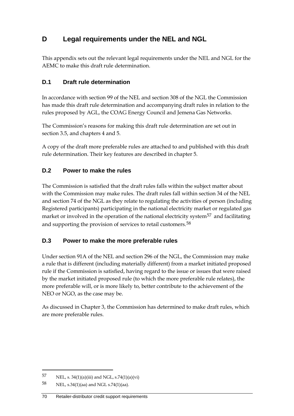# **D Legal requirements under the NEL and NGL**

This appendix sets out the relevant legal requirements under the NEL and NGL for the AEMC to make this draft rule determination.

## **D.1 Draft rule determination**

In accordance with section 99 of the NEL and section 308 of the NGL the Commission has made this draft rule determination and accompanying draft rules in relation to the rules proposed by AGL, the COAG Energy Council and Jemena Gas Networks.

The Commission's reasons for making this draft rule determination are set out in section 3.5, and chapters 4 and 5.

A copy of the draft more preferable rules are attached to and published with this draft rule determination. Their key features are described in chapter 5.

# **D.2 Power to make the rules**

The Commission is satisfied that the draft rules falls within the subject matter about with the Commission may make rules. The draft rules fall within section 34 of the NEL and section 74 of the NGL as they relate to regulating the activities of person (including Registered participants) participating in the national electricity market or regulated gas market or involved in the operation of the national electricity system<sup>[57](#page-79-0)</sup> and facilitating and supporting the provision of services to retail customers.<sup>[58](#page-79-1)</sup>

## **D.3 Power to make the more preferable rules**

Under section 91A of the NEL and section 296 of the NGL, the Commission may make a rule that is different (including materially different) from a market initiated proposed rule if the Commission is satisfied, having regard to the issue or issues that were raised by the market initiated proposed rule (to which the more preferable rule relates), the more preferable will, or is more likely to, better contribute to the achievement of the NEO or NGO, as the case may be.

As discussed in Chapter 3, the Commission has determined to make draft rules, which are more preferable rules.

<span id="page-79-0"></span><sup>57</sup> NEL, s.  $34(1)(a)(iii)$  and NGL, s.  $74(1)(a)(vi)$ 

<span id="page-79-1"></span><sup>58</sup> NEL, s.34(1)(aa) and NGL s.74(1)(aa).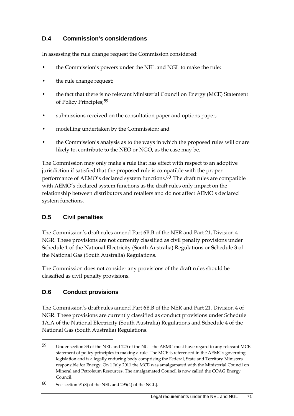### **D.4 Commission's considerations**

In assessing the rule change request the Commission considered:

- the Commission's powers under the NEL and NGL to make the rule;
- the rule change request;
- the fact that there is no relevant Ministerial Council on Energy (MCE) Statement of Policy Principles;[59](#page-80-0)
- submissions received on the consultation paper and options paper;
- modelling undertaken by the Commission; and
- the Commission's analysis as to the ways in which the proposed rules will or are likely to, contribute to the NEO or NGO, as the case may be.

The Commission may only make a rule that has effect with respect to an adoptive jurisdiction if satisfied that the proposed rule is compatible with the proper performance of AEMO's declared system functions.[60](#page-80-1) The draft rules are compatible with AEMO's declared system functions as the draft rules only impact on the relationship between distributors and retailers and do not affect AEMO's declared system functions.

### **D.5 Civil penalties**

The Commission's draft rules amend Part 6B.B of the NER and Part 21, Division 4 NGR. These provisions are not currently classified as civil penalty provisions under Schedule 1 of the National Electricity (South Australia) Regulations or Schedule 3 of the National Gas (South Australia) Regulations.

The Commission does not consider any provisions of the draft rules should be classified as civil penalty provisions.

#### **D.6 Conduct provisions**

-

The Commission's draft rules amend Part 6B.B of the NER and Part 21, Division 4 of NGR. These provisions are currently classified as conduct provisions under Schedule 1A.A of the National Electricity (South Australia) Regulations and Schedule 4 of the National Gas (South Australia) Regulations.

<span id="page-80-0"></span><sup>59</sup> Under section 33 of the NEL and 225 of the NGL the AEMC must have regard to any relevant MCE statement of policy principles in making a rule. The MCE is referenced in the AEMC's governing legislation and is a legally enduring body comprising the Federal, State and Territory Ministers responsible for Energy. On 1 July 2011 the MCE was amalgamated with the Ministerial Council on Mineral and Petroleum Resources. The amalgamated Council is now called the COAG Energy Council.

<span id="page-80-1"></span><sup>60</sup> See section 91(8) of the NEL and 295(4) of the NGL].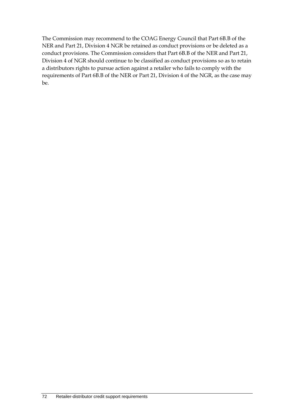The Commission may recommend to the COAG Energy Council that Part 6B.B of the NER and Part 21, Division 4 NGR be retained as conduct provisions or be deleted as a conduct provisions. The Commission considers that Part 6B.B of the NER and Part 21, Division 4 of NGR should continue to be classified as conduct provisions so as to retain a distributors rights to pursue action against a retailer who fails to comply with the requirements of Part 6B.B of the NER or Part 21, Division 4 of the NGR, as the case may be.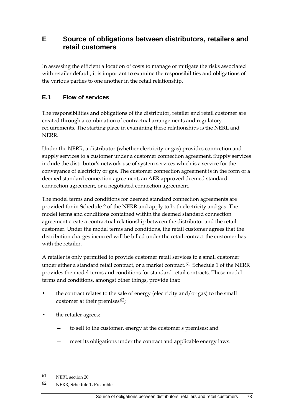# **E Source of obligations between distributors, retailers and retail customers**

In assessing the efficient allocation of costs to manage or mitigate the risks associated with retailer default, it is important to examine the responsibilities and obligations of the various parties to one another in the retail relationship.

### **E.1 Flow of services**

The responsibilities and obligations of the distributor, retailer and retail customer are created through a combination of contractual arrangements and regulatory requirements. The starting place in examining these relationships is the NERL and **NERR** 

Under the NERR, a distributor (whether electricity or gas) provides connection and supply services to a customer under a customer connection agreement. Supply services include the distributor's network use of system services which is a service for the conveyance of electricity or gas. The customer connection agreement is in the form of a deemed standard connection agreement, an AER approved deemed standard connection agreement, or a negotiated connection agreement.

The model terms and conditions for deemed standard connection agreements are provided for in Schedule 2 of the NERR and apply to both electricity and gas. The model terms and conditions contained within the deemed standard connection agreement create a contractual relationship between the distributor and the retail customer. Under the model terms and conditions, the retail customer agrees that the distribution charges incurred will be billed under the retail contract the customer has with the retailer.

A retailer is only permitted to provide customer retail services to a small customer under either a standard retail contract, or a market contract.<sup>[61](#page-82-0)</sup> Schedule 1 of the NERR provides the model terms and conditions for standard retail contracts. These model terms and conditions, amongst other things, provide that:

- the contract relates to the sale of energy (electricity and/or gas) to the small customer at their premises $62$ ;
- the retailer agrees:
	- to sell to the customer, energy at the customer's premises; and
	- meet its obligations under the contract and applicable energy laws.

<span id="page-82-0"></span><sup>61</sup> NERL section 20.

<span id="page-82-1"></span><sup>62</sup> NERR, Schedule 1, Preamble.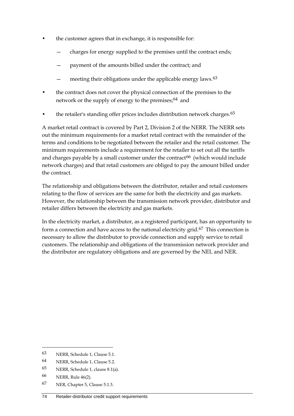- the customer agrees that in exchange, it is responsible for:
	- charges for energy supplied to the premises until the contract ends;
	- payment of the amounts billed under the contract; and
	- meeting their obligations under the applicable energy laws.<sup>[63](#page-83-0)</sup>
- the contract does not cover the physical connection of the premises to the network or the supply of energy to the premises;<sup>[64](#page-83-1)</sup> and
- the retailer's standing offer prices includes distribution network charges.<sup>[65](#page-83-2)</sup>

A market retail contract is covered by Part 2, Division 2 of the NERR. The NERR sets out the minimum requirements for a market retail contract with the remainder of the terms and conditions to be negotiated between the retailer and the retail customer. The minimum requirements include a requirement for the retailer to set out all the tariffs and charges payable by a small customer under the contract<sup>[66](#page-83-3)</sup> (which would include network charges) and that retail customers are obliged to pay the amount billed under the contract.

The relationship and obligations between the distributor, retailer and retail customers relating to the flow of services are the same for both the electricity and gas markets. However, the relationship between the transmission network provider, distributor and retailer differs between the electricity and gas markets.

In the electricity market, a distributor, as a registered participant, has an opportunity to form a connection and have access to the national electricity grid.<sup>[67](#page-83-4)</sup> This connection is necessary to allow the distributor to provide connection and supply service to retail customers. The relationship and obligations of the transmission network provider and the distributor are regulatory obligations and are governed by the NEL and NER.

<span id="page-83-0"></span><sup>63</sup> NERR, Schedule 1, Clause 5.1.

<span id="page-83-1"></span><sup>64</sup> NERR, Schedule 1, Clause 5.2.

<span id="page-83-2"></span><sup>65</sup> NERR, Schedule 1, clause 8.1(a).

<span id="page-83-3"></span><sup>66</sup> NERR, Rule 46(2).

<span id="page-83-4"></span><sup>67</sup> NER, Chapter 5, Clause 5.1.3.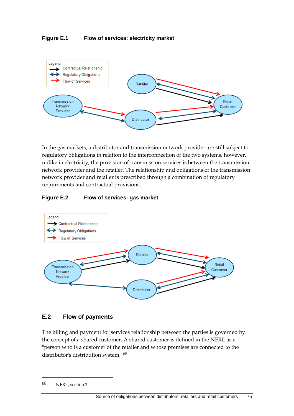#### **Figure E.1 Flow of services: electricity market**



In the gas markets, a distributor and transmission network provider are still subject to regulatory obligations in relation to the interconnection of the two systems, however, unlike in electricity, the provision of transmission services is between the transmission network provider and the retailer. The relationship and obligations of the transmission network provider and retailer is prescribed through a combination of regulatory requirements and contractual provisions.

#### **Figure E.2 Flow of services: gas market**



#### **E.2 Flow of payments**

The billing and payment for services relationship between the parties is governed by the concept of a shared customer. A shared customer is defined in the NERL as a "person who is a customer of the retailer and whose premises are connected to the distributor's distribution system."[68](#page-84-0)

<span id="page-84-0"></span><sup>68</sup> NERL, section 2.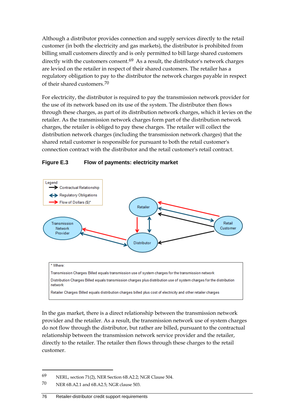Although a distributor provides connection and supply services directly to the retail customer (in both the electricity and gas markets), the distributor is prohibited from billing small customers directly and is only permitted to bill large shared customers directly with the customers consent. $69$  As a result, the distributor's network charges are levied on the retailer in respect of their shared customers. The retailer has a regulatory obligation to pay to the distributor the network charges payable in respect of their shared customers.[70](#page-85-1)

For electricity, the distributor is required to pay the transmission network provider for the use of its network based on its use of the system. The distributor then flows through these charges, as part of its distribution network charges, which it levies on the retailer. As the transmission network charges form part of the distribution network charges, the retailer is obliged to pay these charges. The retailer will collect the distribution network charges (including the transmission network charges) that the shared retail customer is responsible for pursuant to both the retail customer's connection contract with the distributor and the retail customer's retail contract.

#### **Figure E.3 Flow of payments: electricity market**



In the gas market, there is a direct relationship between the transmission network provider and the retailer. As a result, the transmission network use of system charges do not flow through the distributor, but rather are billed, pursuant to the contractual relationship between the transmission network service provider and the retailer, directly to the retailer. The retailer then flows through these charges to the retail customer.

<span id="page-85-0"></span><sup>69</sup> NERL, section 71(2), NER Section 6B.A2.2; NGR Clause 504.

<span id="page-85-1"></span><sup>70</sup> NER 6B.A2.1 and 6B.A2.5; NGR clause 503.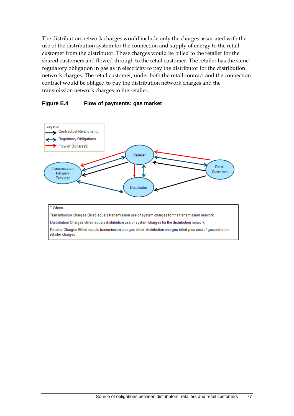The distribution network charges would include only the charges associated with the use of the distribution system for the connection and supply of energy to the retail customer from the distributor. These charges would be billed to the retailer for the shared customers and flowed through to the retail customer. The retailer has the same regulatory obligation in gas as in electricity to pay the distributor for the distribution network charges. The retail customer, under both the retail contract and the connection contract would be obliged to pay the distribution network charges and the transmission network charges to the retailer.

#### **Figure E.4 Flow of payments: gas market**

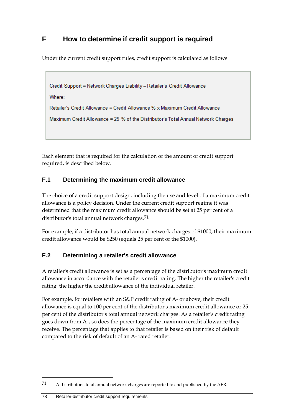# **F How to determine if credit support is required**

Under the current credit support rules, credit support is calculated as follows:

```
Credit Support = Network Charges Liability - Retailer's Credit Allowance
```
Where:

```
Retailer's Credit Allowance = Credit Allowance % x Maximum Credit Allowance
```

```
Maximum Credit Allowance = 25 % of the Distributor's Total Annual Network Charges
```
Each element that is required for the calculation of the amount of credit support required, is described below.

# **F.1 Determining the maximum credit allowance**

The choice of a credit support design, including the use and level of a maximum credit allowance is a policy decision. Under the current credit support regime it was determined that the maximum credit allowance should be set at 25 per cent of a distributor's total annual network charges.<sup>[71](#page-87-0)</sup>

For example, if a distributor has total annual network charges of \$1000, their maximum credit allowance would be \$250 (equals 25 per cent of the \$1000).

# **F.2 Determining a retailer's credit allowance**

A retailer's credit allowance is set as a percentage of the distributor's maximum credit allowance in accordance with the retailer's credit rating. The higher the retailer's credit rating, the higher the credit allowance of the individual retailer.

For example, for retailers with an S&P credit rating of A- or above, their credit allowance is equal to 100 per cent of the distributor's maximum credit allowance or 25 per cent of the distributor's total annual network charges. As a retailer's credit rating goes down from A-, so does the percentage of the maximum credit allowance they receive. The percentage that applies to that retailer is based on their risk of default compared to the risk of default of an A- rated retailer.

<span id="page-87-0"></span><sup>71</sup> A distributor's total annual network charges are reported to and published by the AER.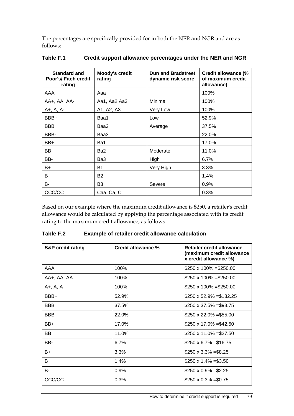The percentages are specifically provided for in both the NER and NGR and are as follows:

| <b>Standard and</b><br>Poor's/ Fitch credit<br>rating | <b>Moody's credit</b><br>rating | <b>Dun and Bradstreet</b><br>dynamic risk score | <b>Credit allowance (%</b><br>of maximum credit<br>allowance) |
|-------------------------------------------------------|---------------------------------|-------------------------------------------------|---------------------------------------------------------------|
| AAA                                                   | Aaa                             |                                                 | 100%                                                          |
| AA+, AA, AA-                                          | Aa1, Aa2, Aa3                   | Minimal                                         | 100%                                                          |
| A+, A, A-                                             | A1, A2, A3                      | Very Low                                        | 100%                                                          |
| BBB+                                                  | Baa1                            | Low                                             | 52.9%                                                         |
| <b>BBB</b>                                            | Baa2                            | Average                                         | 37.5%                                                         |
| BBB-                                                  | Baa3                            |                                                 | 22.0%                                                         |
| BB+                                                   | Ba1                             |                                                 | 17.0%                                                         |
| BB                                                    | Ba2                             | Moderate                                        | 11.0%                                                         |
| BB-                                                   | Ba3                             | High                                            | 6.7%                                                          |
| B+                                                    | <b>B1</b>                       | Very High                                       | 3.3%                                                          |
| B                                                     | B2                              |                                                 | 1.4%                                                          |
| B-                                                    | B <sub>3</sub>                  | Severe                                          | 0.9%                                                          |
| CCC/CC                                                | Caa, Ca, C                      |                                                 | 0.3%                                                          |

#### **Table F.1 Credit support allowance percentages under the NER and NGR**

Based on our example where the maximum credit allowance is \$250, a retailer's credit allowance would be calculated by applying the percentage associated with its credit rating to the maximum credit allowance, as follows:

| <b>S&amp;P credit rating</b> | <b>Credit allowance %</b> | Retailer credit allowance<br>(maximum credit allowance<br>x credit allowance %) |
|------------------------------|---------------------------|---------------------------------------------------------------------------------|
| AAA                          | 100%                      | $$250 \times 100\% = $250.00$                                                   |
| AA+, AA, AA                  | 100%                      | $$250 \times 100\% = $250.00$                                                   |
| A+, A, A                     | 100%                      | $$250 \times 100\% = $250.00$                                                   |
| BBB+                         | 52.9%                     | $$250 \times 52.9\% = $132.25$                                                  |
| <b>BBB</b>                   | 37.5%                     | $$250 \times 37.5\% = $93.75$                                                   |
| BBB-                         | 22.0%                     | $$250 \times 22.0\% = $55.00$                                                   |
| BB+                          | 17.0%                     | $$250 \times 17.0\% = $42.50$                                                   |
| BB                           | 11.0%                     | $$250 \times 11.0\% = $27.50$                                                   |
| BB-                          | 6.7%                      | $$250 \times 6.7\% = $16.75$                                                    |
| B+                           | 3.3%                      | $$250 \times 3.3\% = $8.25$                                                     |
| B                            | 1.4%                      | $$250 \times 1.4\% = $3.50$                                                     |
| <b>B-</b>                    | 0.9%                      | $$250 \times 0.9\% = $2.25$                                                     |
| CCC/CC                       | 0.3%                      | $$250 \times 0.3\% = $0.75$                                                     |

| Table F.2 | <b>Example of retailer credit allowance calculation</b> |
|-----------|---------------------------------------------------------|
|-----------|---------------------------------------------------------|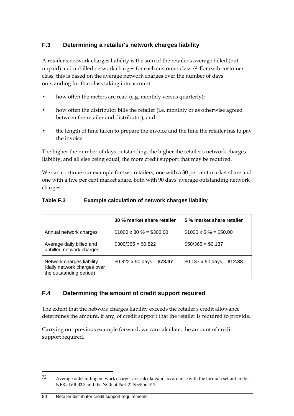## **F.3 Determining a retailer's network charges liability**

A retailer's network charges liability is the sum of the retailer's average billed (but unpaid) and unbilled network charges for each customer class.<sup>[72](#page-89-0)</sup> For each customer class, this is based on the average network charges over the number of days outstanding for that class taking into account:

- how often the meters are read (e.g. monthly versus quarterly);
- how often the distributor bills the retailer (i.e. monthly or as otherwise agreed between the retailer and distributor); and
- the length of time taken to prepare the invoice and the time the retailer has to pay the invoice.

The higher the number of days outstanding, the higher the retailer's network charges liability, and all else being equal, the more credit support that may be required.

We can continue our example for two retailers, one with a 30 per cent market share and one with a five per cent market share, both with 90 days' average outstanding network charges:

|                                                                                     | 30 % market share retailer               | 5 % market share retailer                |
|-------------------------------------------------------------------------------------|------------------------------------------|------------------------------------------|
| Annual network charges                                                              | $$1000 \times 30 \% = $300.00$           | $$1000 \times 5\% = $50.00$              |
| Average daily billed and<br>unbilled network charges                                | $$300/365 = $0.822$                      | $$50/365 = $0.137$                       |
| Network charges liability<br>(daily network charges over<br>the outstanding period) | $$0.822 \times 90 \text{ days} = $73.97$ | $$0.137 \times 90 \text{ days} = $12.33$ |

#### **Table F.3 Example calculation of network charges liability**

### **F.4 Determining the amount of credit support required**

The extent that the network charges liability exceeds the retailer's credit allowance determines the amount, if any, of credit support that the retailer is required to provide.

Carrying our previous example forward, we can calculate, the amount of credit support required.

<span id="page-89-0"></span><sup>72</sup> Average outstanding network charges are calculated in accordance with the formula set out in the NER at 6B.B2.3 and the NGR at Part 21 Section 517.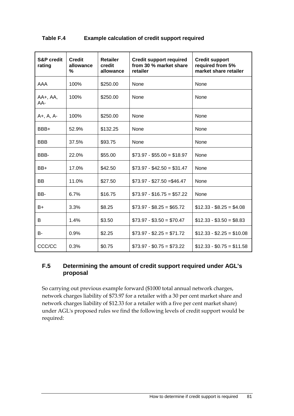| Table F.4 | <b>Example calculation of credit support required</b> |
|-----------|-------------------------------------------------------|
|-----------|-------------------------------------------------------|

| <b>S&amp;P</b> credit<br>rating | <b>Credit</b><br>allowance<br>% | <b>Retailer</b><br>credit<br>allowance | <b>Credit support required</b><br>from 30 % market share<br>retailer | <b>Credit support</b><br>required from 5%<br>market share retailer |
|---------------------------------|---------------------------------|----------------------------------------|----------------------------------------------------------------------|--------------------------------------------------------------------|
| AAA                             | 100%                            | \$250.00                               | None                                                                 | None                                                               |
| $AA+$ , $AA$ ,<br>AA-           | 100%                            | \$250.00                               | None                                                                 | None                                                               |
| A+, A, A-                       | 100%                            | \$250.00                               | None                                                                 | None                                                               |
| BBB+                            | 52.9%                           | \$132.25                               | None                                                                 | None                                                               |
| <b>BBB</b>                      | 37.5%                           | \$93.75                                | None                                                                 | None                                                               |
| BBB-                            | 22.0%                           | \$55.00                                | $$73.97 - $55.00 = $18.97$                                           | None                                                               |
| $BB+$                           | 17.0%                           | \$42.50                                | $$73.97 - $42.50 = $31.47$                                           | None                                                               |
| <b>BB</b>                       | 11.0%                           | \$27.50                                | $$73.97 - $27.50 = $46.47$                                           | None                                                               |
| BB-                             | 6.7%                            | \$16.75                                | $$73.97 - $16.75 = $57.22$                                           | None                                                               |
| $B+$                            | 3.3%                            | \$8.25                                 | $$73.97 - $8.25 = $65.72$                                            | $$12.33 - $8.25 = $4.08$                                           |
| B                               | 1.4%                            | \$3.50                                 | $$73.97 - $3.50 = $70.47$                                            | $$12.33 - $3.50 = $8.83$                                           |
| B-                              | 0.9%                            | \$2.25                                 | $$73.97 - $2.25 = $71.72$                                            | $$12.33 - $2.25 = $10.08$                                          |
| CCC/CC                          | 0.3%                            | \$0.75                                 | $$73.97 - $0.75 = $73.22$                                            | $$12.33 - $0.75 = $11.58$                                          |

#### **F.5 Determining the amount of credit support required under AGL's proposal**

So carrying out previous example forward (\$1000 total annual network charges, network charges liability of \$73.97 for a retailer with a 30 per cent market share and network charges liability of \$12.33 for a retailer with a five per cent market share) under AGL's proposed rules we find the following levels of credit support would be required: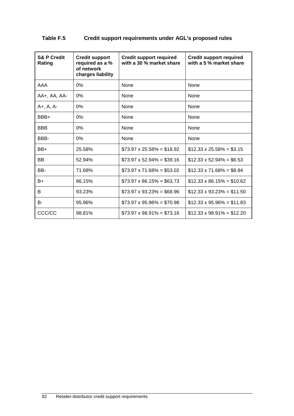| <b>S&amp; P Credit</b><br>Rating | <b>Credit support</b><br>required as a %<br>of network<br>charges liability | <b>Credit support required</b><br>with a 30 % market share | <b>Credit support required</b><br>with a 5 % market share |
|----------------------------------|-----------------------------------------------------------------------------|------------------------------------------------------------|-----------------------------------------------------------|
| AAA                              | 0%                                                                          | None                                                       | None                                                      |
| AA+, AA, AA-                     | $0\%$                                                                       | None                                                       | None                                                      |
| A+, A, A-                        | $0\%$                                                                       | None                                                       | None                                                      |
| BBB+                             | 0%                                                                          | None                                                       | None                                                      |
| <b>BBB</b>                       | 0%                                                                          | None                                                       | <b>None</b>                                               |
| BBB-                             | 0%                                                                          | None                                                       | None                                                      |
| BB+                              | 25.58%                                                                      | $$73.97 \times 25.58\% = $18.92$                           | $$12.33 \times 25.58\% = $3.15$                           |
| <b>BB</b>                        | 52.94%                                                                      | $$73.97 \times 52.94\% = $39.16$                           | $$12.33 \times 52.94\% = $6.53$                           |
| BB-                              | 71.68%                                                                      | $$73.97 \times 71.68\% = $53.02$                           | $$12.33 \times 71.68\% = $8.84$                           |
| B+                               | 86.15%                                                                      | $$73.97 \times 86.15\% = $63.73$                           | $$12.33 \times 86.15\% = $10.62$                          |
| B                                | 93.23%                                                                      | $$73.97 \times 93.23\% = $68.96$                           | $$12.33 \times 93.23\% = $11.50$                          |
| <b>B-</b>                        | 95.96%                                                                      | $$73.97 \times 95.96\% = $70.98$                           | $$12.33 \times 95.96\% = $11.83$                          |
| CCC/CC                           | 98.81%                                                                      | $$73.97 \times 98.91\% = $73.16$                           | $$12.33 \times 98.91\% = $12.20$                          |

## **Table F.5 Credit support requirements under AGL's proposed rules**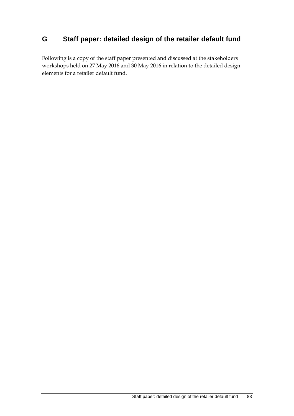# **G Staff paper: detailed design of the retailer default fund**

Following is a copy of the staff paper presented and discussed at the stakeholders workshops held on 27 May 2016 and 30 May 2016 in relation to the detailed design elements for a retailer default fund.

Staff paper: detailed design of the retailer default fund 83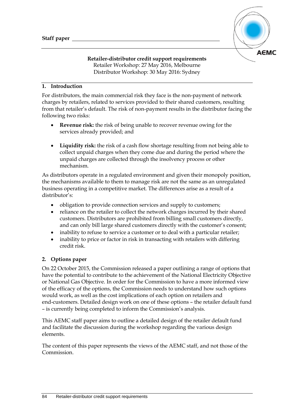

#### **Retailer-distributor credit support requirements** Retailer Workshop: 27 May 2016, Melbourne Distributor Workshop: 30 May 2016: Sydney

#### **1. Introduction**

For distributors, the main commercial risk they face is the non-payment of network charges by retailers, related to services provided to their shared customers, resulting from that retailer's default. The risk of non-payment results in the distributor facing the following two risks:

- **Revenue risk:** the risk of being unable to recover revenue owing for the services already provided; and
- **Liquidity risk:** the risk of a cash flow shortage resulting from not being able to collect unpaid charges when they come due and during the period where the unpaid charges are collected through the insolvency process or other mechanism.

As distributors operate in a regulated environment and given their monopoly position, the mechanisms available to them to manage risk are not the same as an unregulated business operating in a competitive market. The differences arise as a result of a distributor's:

- obligation to provide connection services and supply to customers;
- reliance on the retailer to collect the network charges incurred by their shared customers. Distributors are prohibited from billing small customers directly, and can only bill large shared customers directly with the customer's consent;
- inability to refuse to service a customer or to deal with a particular retailer;
- inability to price or factor in risk in transacting with retailers with differing credit risk.

#### **2. Options paper**

On 22 October 2015, the Commission released a paper outlining a range of options that have the potential to contribute to the achievement of the National Electricity Objective or National Gas Objective. In order for the Commission to have a more informed view of the efficacy of the options, the Commission needs to understand how such options would work, as well as the cost implications of each option on retailers and end-customers. Detailed design work on one of these options – the retailer default fund – is currently being completed to inform the Commission's analysis.

This AEMC staff paper aims to outline a detailed design of the retailer default fund and facilitate the discussion during the workshop regarding the various design elements.

The content of this paper represents the views of the AEMC staff, and not those of the Commission.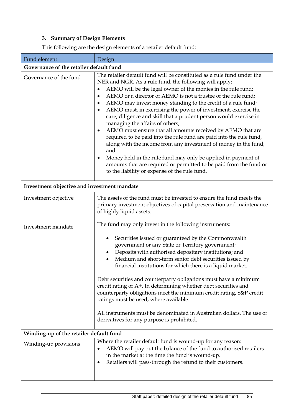## **3. Summary of Design Elements**

This following are the design elements of a retailer default fund:

| Fund element                                | Design                                                                                                                                                                                                                                                                                                                                                                                                                                                                                                                                                                                                                                                                                                                                                                                                                                                                                                                           |  |  |  |
|---------------------------------------------|----------------------------------------------------------------------------------------------------------------------------------------------------------------------------------------------------------------------------------------------------------------------------------------------------------------------------------------------------------------------------------------------------------------------------------------------------------------------------------------------------------------------------------------------------------------------------------------------------------------------------------------------------------------------------------------------------------------------------------------------------------------------------------------------------------------------------------------------------------------------------------------------------------------------------------|--|--|--|
| Governance of the retailer default fund     |                                                                                                                                                                                                                                                                                                                                                                                                                                                                                                                                                                                                                                                                                                                                                                                                                                                                                                                                  |  |  |  |
| Governance of the fund                      | The retailer default fund will be constituted as a rule fund under the<br>NER and NGR. As a rule fund, the following will apply:<br>AEMO will be the legal owner of the monies in the rule fund;<br>AEMO or a director of AEMO is not a trustee of the rule fund;<br>$\bullet$<br>AEMO may invest money standing to the credit of a rule fund;<br>AEMO must, in exercising the power of investment, exercise the<br>care, diligence and skill that a prudent person would exercise in<br>managing the affairs of others;<br>AEMO must ensure that all amounts received by AEMO that are<br>required to be paid into the rule fund are paid into the rule fund,<br>along with the income from any investment of money in the fund;<br>and<br>Money held in the rule fund may only be applied in payment of<br>amounts that are required or permitted to be paid from the fund or<br>to the liability or expense of the rule fund. |  |  |  |
| Investment objective and investment mandate |                                                                                                                                                                                                                                                                                                                                                                                                                                                                                                                                                                                                                                                                                                                                                                                                                                                                                                                                  |  |  |  |
| Investment objective                        | The assets of the fund must be invested to ensure the fund meets the<br>primary investment objectives of capital preservation and maintenance<br>of highly liquid assets.                                                                                                                                                                                                                                                                                                                                                                                                                                                                                                                                                                                                                                                                                                                                                        |  |  |  |
| Investment mandate                          | The fund may only invest in the following instruments:                                                                                                                                                                                                                                                                                                                                                                                                                                                                                                                                                                                                                                                                                                                                                                                                                                                                           |  |  |  |
|                                             | Securities issued or guaranteed by the Commonwealth<br>government or any State or Territory government;<br>Deposits with authorised depositary institutions; and<br>Medium and short-term senior debt securities issued by<br>financial institutions for which there is a liquid market.<br>Debt securities and counterparty obligations must have a minimum<br>credit rating of A+. In determining whether debt securities and<br>counterparty obligations meet the minimum credit rating, S&P credit<br>ratings must be used, where available.<br>All instruments must be denominated in Australian dollars. The use of<br>derivatives for any purpose is prohibited.                                                                                                                                                                                                                                                          |  |  |  |
|                                             |                                                                                                                                                                                                                                                                                                                                                                                                                                                                                                                                                                                                                                                                                                                                                                                                                                                                                                                                  |  |  |  |
| Winding-up of the retailer default fund     |                                                                                                                                                                                                                                                                                                                                                                                                                                                                                                                                                                                                                                                                                                                                                                                                                                                                                                                                  |  |  |  |
| Winding-up provisions                       | Where the retailer default fund is wound-up for any reason:<br>AEMO will pay out the balance of the fund to authorised retailers<br>٠<br>in the market at the time the fund is wound-up.<br>Retailers will pass-through the refund to their customers.<br>$\bullet$                                                                                                                                                                                                                                                                                                                                                                                                                                                                                                                                                                                                                                                              |  |  |  |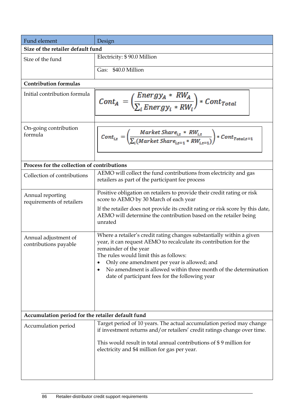| Fund element                                      | Design                                                                                                                                                                                                                                                                                                                                                                             |
|---------------------------------------------------|------------------------------------------------------------------------------------------------------------------------------------------------------------------------------------------------------------------------------------------------------------------------------------------------------------------------------------------------------------------------------------|
| Size of the retailer default fund                 |                                                                                                                                                                                                                                                                                                                                                                                    |
| Size of the fund                                  | Electricity: \$90.0 Million                                                                                                                                                                                                                                                                                                                                                        |
|                                                   | Gas: \$40.0 Million                                                                                                                                                                                                                                                                                                                                                                |
| <b>Contribution formulas</b>                      |                                                                                                                                                                                                                                                                                                                                                                                    |
| Initial contribution formula                      | $\mathit{Cont}_A = \left(\frac{\mathit{Energy}_A * \mathit{RW}_A}{\sum_i \mathit{Energy}_i * \mathit{RW}_i}\right) * \mathit{Cont}_{\mathit{Total}}$                                                                                                                                                                                                                               |
| On-going contribution<br>formula                  | $\mathit{Cont}_{i,t}=\left(\frac{\mathit{Market~Share}_{i,t}*~\mathit{RW}_{i,t}}{\sum_i(\mathit{Market~Share}_{i,t=1}* \mathit{RW}_{i,t=1})}\right)*\mathit{Cont}_{\mathit{Total},t=1}$                                                                                                                                                                                            |
| Process for the collection of contributions       |                                                                                                                                                                                                                                                                                                                                                                                    |
| Collection of contributions                       | AEMO will collect the fund contributions from electricity and gas<br>retailers as part of the participant fee process                                                                                                                                                                                                                                                              |
| Annual reporting<br>requirements of retailers     | Positive obligation on retailers to provide their credit rating or risk<br>score to AEMO by 30 March of each year<br>If the retailer does not provide its credit rating or risk score by this date,<br>AEMO will determine the contribution based on the retailer being<br>unrated                                                                                                 |
| Annual adjustment of<br>contributions payable     | Where a retailer's credit rating changes substantially within a given<br>year, it can request AEMO to recalculate its contribution for the<br>remainder of the year<br>The rules would limit this as follows:<br>Only one amendment per year is allowed; and<br>No amendment is allowed within three month of the determination<br>date of participant fees for the following year |
| Accumulation period for the retailer default fund |                                                                                                                                                                                                                                                                                                                                                                                    |
| Accumulation period                               | Target period of 10 years. The actual accumulation period may change<br>if investment returns and/or retailers' credit ratings change over time.<br>This would result in total annual contributions of \$9 million for<br>electricity and \$4 million for gas per year.                                                                                                            |
|                                                   |                                                                                                                                                                                                                                                                                                                                                                                    |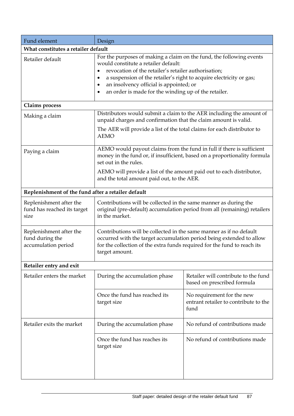| Fund element                                                      | Design                                                                                                                                                                                                                                                                                                                                         |                                                                             |  |  |  |  |
|-------------------------------------------------------------------|------------------------------------------------------------------------------------------------------------------------------------------------------------------------------------------------------------------------------------------------------------------------------------------------------------------------------------------------|-----------------------------------------------------------------------------|--|--|--|--|
| What constitutes a retailer default                               |                                                                                                                                                                                                                                                                                                                                                |                                                                             |  |  |  |  |
| Retailer default                                                  | For the purposes of making a claim on the fund, the following events<br>would constitute a retailer default:<br>revocation of the retailer's retailer authorisation;<br>a suspension of the retailer's right to acquire electricity or gas;<br>an insolvency official is appointed; or<br>an order is made for the winding up of the retailer. |                                                                             |  |  |  |  |
| Claims process                                                    |                                                                                                                                                                                                                                                                                                                                                |                                                                             |  |  |  |  |
| Making a claim                                                    | Distributors would submit a claim to the AER including the amount of<br>unpaid charges and confirmation that the claim amount is valid.                                                                                                                                                                                                        |                                                                             |  |  |  |  |
|                                                                   | The AER will provide a list of the total claims for each distributor to<br><b>AEMO</b>                                                                                                                                                                                                                                                         |                                                                             |  |  |  |  |
| Paying a claim                                                    | AEMO would payout claims from the fund in full if there is sufficient<br>money in the fund or, if insufficient, based on a proportionality formula<br>set out in the rules.                                                                                                                                                                    |                                                                             |  |  |  |  |
|                                                                   | AEMO will provide a list of the amount paid out to each distributor,<br>and the total amount paid out, to the AER.                                                                                                                                                                                                                             |                                                                             |  |  |  |  |
| Replenishment of the fund after a retailer default                |                                                                                                                                                                                                                                                                                                                                                |                                                                             |  |  |  |  |
| Replenishment after the<br>fund has reached its target<br>size    | Contributions will be collected in the same manner as during the<br>original (pre-default) accumulation period from all (remaining) retailers<br>in the market.                                                                                                                                                                                |                                                                             |  |  |  |  |
| Replenishment after the<br>fund during the<br>accumulation period | Contributions will be collected in the same manner as if no default<br>occurred with the target accumulation period being extended to allow<br>for the collection of the extra funds required for the fund to reach its<br>target amount.                                                                                                      |                                                                             |  |  |  |  |
| Retailer entry and exit                                           |                                                                                                                                                                                                                                                                                                                                                |                                                                             |  |  |  |  |
| Retailer enters the market                                        | During the accumulation phase                                                                                                                                                                                                                                                                                                                  | Retailer will contribute to the fund<br>based on prescribed formula         |  |  |  |  |
|                                                                   | Once the fund has reached its<br>target size                                                                                                                                                                                                                                                                                                   | No requirement for the new<br>entrant retailer to contribute to the<br>fund |  |  |  |  |
| Retailer exits the market                                         | During the accumulation phase                                                                                                                                                                                                                                                                                                                  | No refund of contributions made                                             |  |  |  |  |
|                                                                   | Once the fund has reaches its<br>target size                                                                                                                                                                                                                                                                                                   | No refund of contributions made                                             |  |  |  |  |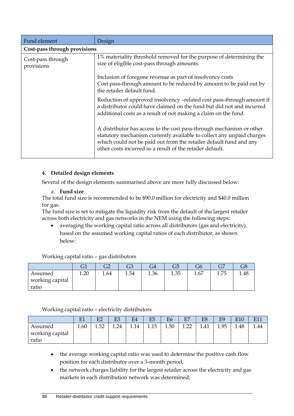| Fund element                    | Design                                                                                                                                                                                                                                                                           |  |  |  |  |
|---------------------------------|----------------------------------------------------------------------------------------------------------------------------------------------------------------------------------------------------------------------------------------------------------------------------------|--|--|--|--|
| Cost-pass through provisions    |                                                                                                                                                                                                                                                                                  |  |  |  |  |
| Cost-pass through<br>provisions | 1% materiality threshold removed for the purpose of determining the<br>size of eligible cost-pass through amounts.                                                                                                                                                               |  |  |  |  |
|                                 | Inclusion of foregone revenue as part of insolvency costs<br>Cost pass-through amount to be reduced by amount to be paid out by<br>the retailer default fund.                                                                                                                    |  |  |  |  |
|                                 | Reduction of approved insolvency -related cost pass-through amount if<br>a distributor could have claimed on the fund but did not and incurred<br>additional costs as a result of not making a claim on the fund.                                                                |  |  |  |  |
|                                 | A distributor has access to the cost pass-through mechanism or other<br>statutory mechanism currently available to collect any unpaid charges<br>which could not be paid out from the retailer default fund and any<br>other costs incurred as a result of the retailer default. |  |  |  |  |

#### **4. Detailed design elements**

Several of the design elements summarised above are more fully discussed below:

a. **Fund size**

The total fund size is recommended to be \$90.0 million for electricity and \$40.0 million for gas.

The fund size is set to mitigate the liquidity risk from the default of the largest retailer across both electricity and gas networks in the NEM using the following steps:

• averaging the working capital ratio across all distributors (gas and electricity), based on the assumed working capital ratios of each distributor, as shown below:

Working capital ratio – gas distributors

|                                     |      | הר<br>∠ت | ∼ר<br>دت | 4ت   | لۍ   | Gb   | $\sqrt{2}$<br>رت |      |
|-------------------------------------|------|----------|----------|------|------|------|------------------|------|
| Assumed<br>working capital<br>ratio | 1.20 | 1.64     | 1.54     | 1.36 | 1.35 | 1.67 | - 75<br>1./ J    | 1.48 |

#### Working capital ratio – electricity distributors

|                                     | E1   | E2         | E3   | E <sub>4</sub> | E5   | E <sub>6</sub> | E7                     | E <sub>8</sub> | E9   | E10  | T11  |
|-------------------------------------|------|------------|------|----------------|------|----------------|------------------------|----------------|------|------|------|
| Assumed<br>working capital<br>ratio | 1.60 | トワ<br>⊥.∪∠ | 1.24 | 1.14           | 1.15 | 1.50           | $\cap$<br>. . <i>.</i> | 1.41           | 1.95 | 1.48 | ۔ 44 |

- the average working capital ratio was used to determine the positive cash flow position for each distributor over a 3-month period;
- the network charges liability for the largest retailer across the electricity and gas markets in each distribution network was determined;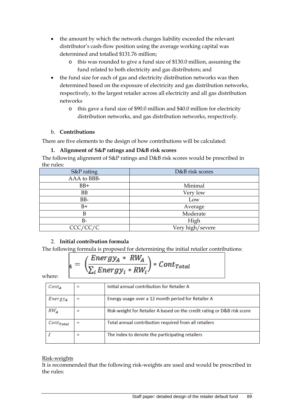- the amount by which the network charges liability exceeded the relevant distributor's cash-flow position using the average working capital was determined and totalled \$131.76 million;
	- o this was rounded to give a fund size of \$130.0 million, assuming the fund related to both electricity and gas distributors; and
- the fund size for each of gas and electricity distribution networks was then determined based on the exposure of electricity and gas distribution networks, respectively, to the largest retailer across all electricity and all gas distribution networks
	- o this gave a fund size of \$90.0 million and \$40.0 million for electricity distribution networks, and gas distribution networks, respectively.

#### b. **Contributions**

There are five elements to the design of how contributions will be calculated:

#### **1. Alignment of S&P ratings and D&B risk scores**

The following alignment of S&P ratings and D&B risk scores would be prescribed in the rules:

| S&P rating  | D&B risk scores  |
|-------------|------------------|
| AAA to BBB- |                  |
| $BB+$       | Minimal          |
| <b>BB</b>   | Very low         |
| BB-         | Low              |
| $B+$        | Average          |
| B           | Moderate         |
| $B -$       | High             |
| CCC/CC/C    | Very high/severe |

#### 2. **Initial contribution formula**

The following formula is proposed for determining the initial retailer contributions:

$$
A = \left(\frac{Energy_A * RW_A}{\sum_i Energy_i * RW_i}\right) * Cont_{Total}
$$

where:

| $\mathcal{C}ont_A$        |   | Initial annual contribution for Retailer A                              |
|---------------------------|---|-------------------------------------------------------------------------|
| $Energy_{A}$              |   | Energy usage over a 12 month period for Retailer A                      |
| $RW_{A}$                  |   | Risk-weight for Retailer A based on the credit rating or D&B risk score |
| $\mathcal {Cont_{Total}}$ |   | Total annual contribution required from all retailers                   |
|                           | = | The index to denote the participating retailers                         |

#### Risk-weights

It is recommended that the following risk-weights are used and would be prescribed in the rules: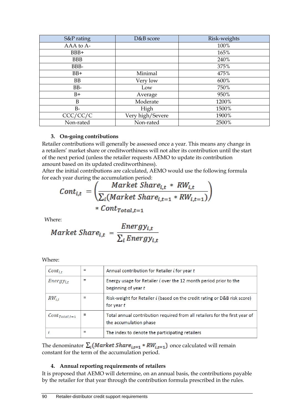| S&P rating | D&B score        | Risk-weights |
|------------|------------------|--------------|
| AAA to A-  |                  | 100%         |
| BBB+       |                  | 165%         |
| <b>BBB</b> |                  | 240%         |
| BBB-       |                  | 375%         |
| $BB+$      | Minimal          | 475%         |
| <b>BB</b>  | Very low         | 600%         |
| BB-        | Low              | 750%         |
| $B+$       | Average          | 950%         |
| B          | Moderate         | 1200%        |
| $B-$       | High             | 1500%        |
| CCC/CC/C   | Very high/Severe | 1900%        |
| Non-rated  | Non-rated        | 2500%        |

#### **3. On-going contributions**

Retailer contributions will generally be assessed once a year. This means any change in a retailers' market share or creditworthiness will not alter its contribution until the start of the next period (unless the retailer requests AEMO to update its contribution amount based on its updated creditworthiness).

After the initial contributions are calculated, AEMO would use the following formula for each year during the accumulation period:

$$
Cont_{i,t} = \left(\frac{Market\ Share_{i,t} * RW_{i,t}}{\sum_i (Market\ Share_{i,t=1} * RW_{i,t=1})}\right)
$$
  
 \*  $Cont_{Total,t=1}$ 

Where:

$$
Market\,Share_{i,t} = \frac{Energy_{i,t}}{\sum_{i}Energy_{i,t}}
$$

Where:

| $Cont_{i,t}$                          |   | Annual contribution for Retailer i for year t                                                         |
|---------------------------------------|---|-------------------------------------------------------------------------------------------------------|
| $Energy_{i,t}$                        | = | Energy usage for Retailer i over the 12 month period prior to the<br>beginning of year t              |
| $RW_{i.t.}$                           |   | Risk-weight for Retailer i (based on the credit rating or D&B risk score)<br>for year t               |
| $\mathcal{C}ont_{\mathit{Total},t=1}$ |   | Total annual contribution required from all retailers for the first year of<br>the accumulation phase |
|                                       |   | The index to denote the participating retailers                                                       |

The denominator  $\sum_i (Market\ Share_{i,t=1} * RW_{i,t=1})$  once calculated will remain constant for the term of the accumulation period.

#### **4. Annual reporting requirements of retailers**

It is proposed that AEMO will determine, on an annual basis, the contributions payable by the retailer for that year through the contribution formula prescribed in the rules.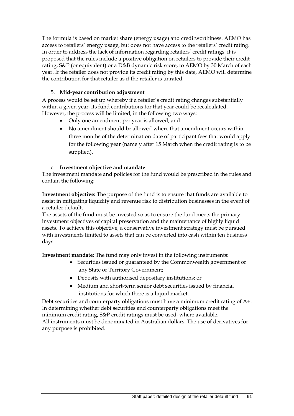The formula is based on market share (energy usage) and creditworthiness. AEMO has access to retailers' energy usage, but does not have access to the retailers' credit rating. In order to address the lack of information regarding retailers' credit ratings, it is proposed that the rules include a positive obligation on retailers to provide their credit rating, S&P (or equivalent) or a D&B dynamic risk score, to AEMO by 30 March of each year. If the retailer does not provide its credit rating by this date, AEMO will determine the contribution for that retailer as if the retailer is unrated.

#### 5. **Mid-year contribution adjustment**

A process would be set up whereby if a retailer's credit rating changes substantially within a given year, its fund contributions for that year could be recalculated. However, the process will be limited, in the following two ways:

- Only one amendment per year is allowed; and
- No amendment should be allowed where that amendment occurs within three months of the determination date of participant fees that would apply for the following year (namely after 15 March when the credit rating is to be supplied).

#### c. **Investment objective and mandate**

The investment mandate and policies for the fund would be prescribed in the rules and contain the following:

**Investment objective:** The purpose of the fund is to ensure that funds are available to assist in mitigating liquidity and revenue risk to distribution businesses in the event of a retailer default.

The assets of the fund must be invested so as to ensure the fund meets the primary investment objectives of capital preservation and the maintenance of highly liquid assets. To achieve this objective, a conservative investment strategy must be pursued with investments limited to assets that can be converted into cash within ten business days.

**Investment mandate:** The fund may only invest in the following instruments:

- Securities issued or guaranteed by the Commonwealth government or any State or Territory Government;
- Deposits with authorised depositary institutions; or
- Medium and short-term senior debt securities issued by financial institutions for which there is a liquid market.

Debt securities and counterparty obligations must have a minimum credit rating of A+. In determining whether debt securities and counterparty obligations meet the minimum credit rating, S&P credit ratings must be used, where available. All instruments must be denominated in Australian dollars. The use of derivatives for any purpose is prohibited.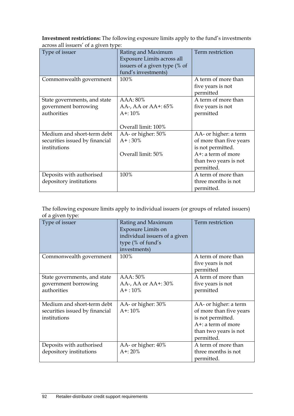**Investment restrictions:** The following exposure limits apply to the fund's investments across all issuers' of a given type:

| Type of issuer                                                               | Rating and Maximum<br>Exposure Limits across all<br>issuers of a given type (% of<br>fund's investments) | Term restriction                                                                                                                       |
|------------------------------------------------------------------------------|----------------------------------------------------------------------------------------------------------|----------------------------------------------------------------------------------------------------------------------------------------|
| Commonwealth government                                                      | 100%                                                                                                     | A term of more than<br>five years is not<br>permitted                                                                                  |
| State governments, and state<br>government borrowing<br>authorities          | AAA: 80%<br>AA-, AA or AA $+$ : 65%<br>$A + 10\%$<br>Overall limit: 100%                                 | A term of more than<br>five years is not<br>permitted                                                                                  |
| Medium and short-term debt<br>securities issued by financial<br>institutions | AA- or higher: 50%<br>$A+$ : 30%<br>Overall limit: 50%                                                   | AA- or higher: a term<br>of more than five years<br>is not permitted.<br>$A^+$ : a term of more<br>than two years is not<br>permitted. |
| Deposits with authorised<br>depository institutions                          | 100%                                                                                                     | A term of more than<br>three months is not<br>permitted.                                                                               |

The following exposure limits apply to individual issuers (or groups of related issuers) of a given type:

| Type of issuer                                                               | Rating and Maximum<br><b>Exposure Limits on</b><br>individual issuers of a given<br>type (% of fund's<br>investments) | Term restriction                                                                                                                       |
|------------------------------------------------------------------------------|-----------------------------------------------------------------------------------------------------------------------|----------------------------------------------------------------------------------------------------------------------------------------|
| Commonwealth government                                                      | 100%                                                                                                                  | A term of more than<br>five years is not<br>permitted                                                                                  |
| State governments, and state<br>government borrowing<br>authorities          | AAA: 50%<br>AA-, AA or $AA$ +: 30%<br>$A + 10\%$                                                                      | A term of more than<br>five years is not<br>permitted                                                                                  |
| Medium and short-term debt<br>securities issued by financial<br>institutions | AA- or higher: 30%<br>$A + 10\%$                                                                                      | AA- or higher: a term<br>of more than five years<br>is not permitted.<br>$A^+$ : a term of more<br>than two years is not<br>permitted. |
| Deposits with authorised<br>depository institutions                          | AA- or higher: 40%<br>$A^{+}: 20\%$                                                                                   | A term of more than<br>three months is not<br>permitted.                                                                               |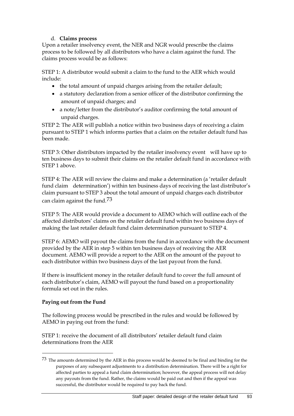#### d. **Claims process**

Upon a retailer insolvency event, the NER and NGR would prescribe the claims process to be followed by all distributors who have a claim against the fund. The claims process would be as follows:

STEP 1: A distributor would submit a claim to the fund to the AER which would include:

- the total amount of unpaid charges arising from the retailer default;
- a statutory declaration from a senior officer of the distributor confirming the amount of unpaid charges; and
- a note/letter from the distributor's auditor confirming the total amount of unpaid charges.

STEP 2: The AER will publish a notice within two business days of receiving a claim pursuant to STEP 1 which informs parties that a claim on the retailer default fund has been made.

STEP 3: Other distributors impacted by the retailer insolvency event will have up to ten business days to submit their claims on the retailer default fund in accordance with STEP 1 above.

STEP 4: The AER will review the claims and make a determination (a 'retailer default fund claim determination') within ten business days of receiving the last distributor's claim pursuant to STEP 3 about the total amount of unpaid charges each distributor can claim against the fund.[73](#page-102-0)

STEP 5: The AER would provide a document to AEMO which will outline each of the affected distributors' claims on the retailer default fund within two business days of making the last retailer default fund claim determination pursuant to STEP 4.

STEP 6: AEMO will payout the claims from the fund in accordance with the document provided by the AER in step 5 within ten business days of receiving the AER document. AEMO will provide a report to the AER on the amount of the payout to each distributor within two business days of the last payout from the fund.

If there is insufficient money in the retailer default fund to cover the full amount of each distributor's claim, AEMO will payout the fund based on a proportionality formula set out in the rules.

#### **Paying out from the Fund**

-

The following process would be prescribed in the rules and would be followed by AEMO in paying out from the fund:

STEP 1: receive the document of all distributors' retailer default fund claim determinations from the AER

<span id="page-102-0"></span><sup>73</sup> The amounts determined by the AER in this process would be deemed to be final and binding for the purposes of any subsequent adjustments to a distribution determination. There will be a right for affected parties to appeal a fund claim determination; however, the appeal process will not delay any payouts from the fund. Rather, the claims would be paid out and then if the appeal was successful, the distributor would be required to pay back the fund.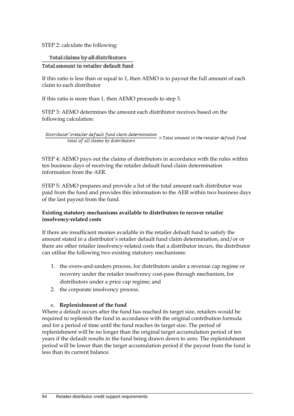STEP 2: calculate the following:

#### Total claims by all distributors

#### Total amount in retailer default fund

If this ratio is less than or equal to 1, then AEMO is to payout the full amount of each claim to each distributor

If this ratio is more than 1, then AEMO proceeds to step 3.

STEP 3: AEMO determines the amount each distributor receives based on the following calculation:

 $\frac{Distribution's retailer\, default\, fund\, claim\, determination}{total\, of\, all\, claims\, by\, distributions} \times Total\, amount\, in\, the\, retailer\, default\, fund$ total of all claims by distributors

STEP 4: AEMO pays out the claims of distributors in accordance with the rules within ten business days of receiving the retailer default fund claim determination information from the AER.

STEP 5: AEMO prepares and provide a list of the total amount each distributor was paid from the fund and provides this information to the AER within two business days of the last payout from the fund.

#### **Existing statutory mechanisms available to distributors to recover retailer insolvency-related costs**

If there are insufficient monies available in the retailer default fund to satisfy the amount stated in a distributor's retailer default fund claim determination, and/or or there are other retailer insolvency-related costs that a distributor incurs, the distributor can utilise the following two existing statutory mechanisms:

- 1. the overs-and-unders process, for distributors under a revenue cap regime or recovery under the retailer insolvency cost-pass through mechanism, for distributors under a price cap regime; and
- 2. the corporate insolvency process.

#### e. **Replenishment of the fund**

Where a default occurs after the fund has reached its target size, retailers would be required to replenish the fund in accordance with the original contribution formula and for a period of time until the fund reaches its target size. The period of replenishment will be no longer than the original target accumulation period of ten years if the default results in the fund being drawn down to zero. The replenishment period will be lower than the target accumulation period if the payout from the fund is less than its current balance.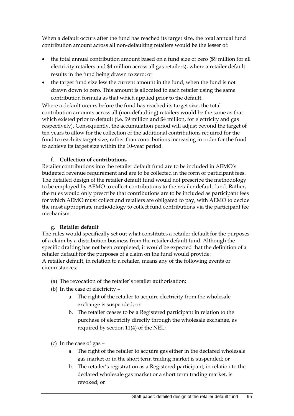When a default occurs after the fund has reached its target size, the total annual fund contribution amount across all non-defaulting retailers would be the lesser of:

- the total annual contribution amount based on a fund size of zero (\$9 million for all electricity retailers and \$4 million across all gas retailers), where a retailer default results in the fund being drawn to zero; or
- the target fund size less the current amount in the fund, when the fund is not drawn down to zero. This amount is allocated to each retailer using the same contribution formula as that which applied prior to the default.

Where a default occurs before the fund has reached its target size, the total contribution amounts across all (non-defaulting) retailers would be the same as that which existed prior to default (i.e. \$9 million and \$4 million, for electricity and gas respectively). Consequently, the accumulation period will adjust beyond the target of ten years to allow for the collection of the additional contributions required for the fund to reach its target size, rather than contributions increasing in order for the fund to achieve its target size within the 10-year period.

#### f. **Collection of contributions**

Retailer contributions into the retailer default fund are to be included in AEMO's budgeted revenue requirement and are to be collected in the form of participant fees. The detailed design of the retailer default fund would not prescribe the methodology to be employed by AEMO to collect contributions to the retailer default fund. Rather, the rules would only prescribe that contributions are to be included as participant fees for which AEMO must collect and retailers are obligated to pay, with AEMO to decide the most appropriate methodology to collect fund contributions via the participant fee mechanism.

#### g. **Retailer default**

The rules would specifically set out what constitutes a retailer default for the purposes of a claim by a distribution business from the retailer default fund. Although the specific drafting has not been completed, it would be expected that the definition of a retailer default for the purposes of a claim on the fund would provide: A retailer default, in relation to a retailer, means any of the following events or circumstances:

- (a) The revocation of the retailer's retailer authorisation;
- (b) In the case of electricity
	- a. The right of the retailer to acquire electricity from the wholesale exchange is suspended; or
	- b. The retailer ceases to be a Registered participant in relation to the purchase of electricity directly through the wholesale exchange, as required by section 11(4) of the NEL;
- (c) In the case of gas
	- a. The right of the retailer to acquire gas either in the declared wholesale gas market or in the short term trading market is suspended; or
	- b. The retailer's registration as a Registered participant, in relation to the declared wholesale gas market or a short term trading market, is revoked; or